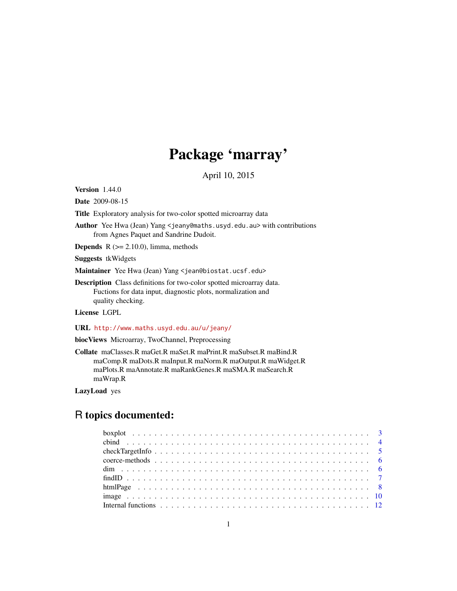# Package 'marray'

April 10, 2015

<span id="page-0-0"></span>Version 1.44.0

Date 2009-08-15

Title Exploratory analysis for two-color spotted microarray data

Author Yee Hwa (Jean) Yang <jeany@maths.usyd.edu.au> with contributions from Agnes Paquet and Sandrine Dudoit.

**Depends**  $R$  ( $>= 2.10.0$ ), limma, methods

Suggests tkWidgets

Maintainer Yee Hwa (Jean) Yang <jean@biostat.ucsf.edu>

Description Class definitions for two-color spotted microarray data. Fuctions for data input, diagnostic plots, normalization and quality checking.

License LGPL

URL <http://www.maths.usyd.edu.au/u/jeany/>

biocViews Microarray, TwoChannel, Preprocessing

Collate maClasses.R maGet.R maSet.R maPrint.R maSubset.R maBind.R maComp.R maDots.R maInput.R maNorm.R maOutput.R maWidget.R maPlots.R maAnnotate.R maRankGenes.R maSMA.R maSearch.R maWrap.R

LazyLoad yes

# R topics documented: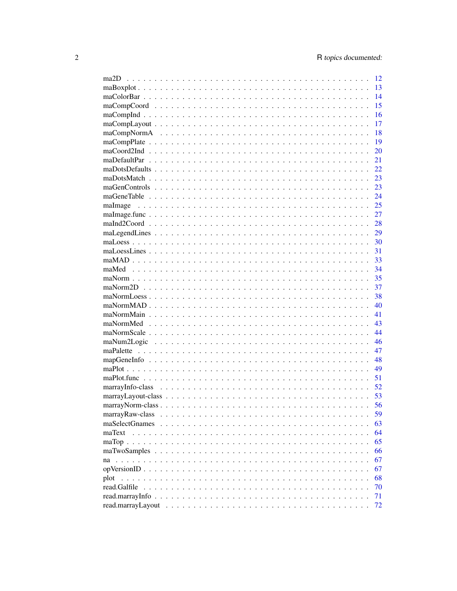| ma <sub>2</sub> D | 12 |
|-------------------|----|
|                   | 13 |
|                   | 14 |
|                   | 15 |
|                   | 16 |
|                   | 17 |
|                   | 18 |
|                   | 19 |
|                   | 20 |
|                   | 21 |
|                   | 22 |
|                   | 23 |
|                   | 23 |
|                   | 24 |
| maImage           | 25 |
|                   | 27 |
|                   | 28 |
|                   | 29 |
|                   | 30 |
|                   | 31 |
|                   | 33 |
|                   | 34 |
|                   | 35 |
|                   | 37 |
|                   | 38 |
|                   | 40 |
|                   | 41 |
|                   | 43 |
|                   | 44 |
|                   | 46 |
|                   | 47 |
|                   | 48 |
|                   | 49 |
|                   | 51 |
|                   | 52 |
|                   | 53 |
|                   | 56 |
| marrayRaw-class   | 59 |
| maSelectGnames    | 63 |
| maText            | 64 |
|                   | 65 |
|                   | 66 |
|                   | 67 |
|                   | 67 |
| plot              | 68 |
| read.Galfile      | 70 |
|                   | 71 |
|                   | 72 |
|                   |    |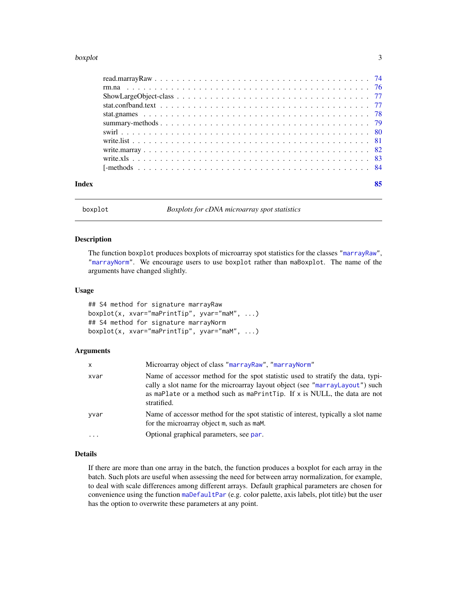#### <span id="page-2-0"></span>boxplot 3

| Index | 85 |
|-------|----|

<span id="page-2-1"></span>

boxplot *Boxplots for cDNA microarray spot statistics*

#### Description

The function boxplot produces boxplots of microarray spot statistics for the classes ["marrayRaw"](#page-58-1), ["marrayNorm"](#page-55-1). We encourage users to use boxplot rather than maBoxplot. The name of the arguments have changed slightly.

#### Usage

## S4 method for signature marrayRaw boxplot(x, xvar="maPrintTip", yvar="maM", ...) ## S4 method for signature marrayNorm boxplot(x, xvar="maPrintTip", yvar="maM", ...)

# Arguments

| X                 | Microarray object of class "marrayRaw", "marrayNorm"                                                                                                                                                                                                         |
|-------------------|--------------------------------------------------------------------------------------------------------------------------------------------------------------------------------------------------------------------------------------------------------------|
| xvar              | Name of accessor method for the spot statistic used to stratify the data, typi-<br>cally a slot name for the microarray layout object (see "marrayLayout") such<br>as maplate or a method such as maprint Tip. If x is NULL, the data are not<br>stratified. |
| yvar              | Name of accessor method for the spot statistic of interest, typically a slot name<br>for the microarray object m, such as maM.                                                                                                                               |
| $\cdot\cdot\cdot$ | Optional graphical parameters, see par.                                                                                                                                                                                                                      |

#### Details

If there are more than one array in the batch, the function produces a boxplot for each array in the batch. Such plots are useful when assessing the need for between array normalization, for example, to deal with scale differences among different arrays. Default graphical parameters are chosen for convenience using the function [maDefaultPar](#page-20-1) (e.g. color palette, axis labels, plot title) but the user has the option to overwrite these parameters at any point.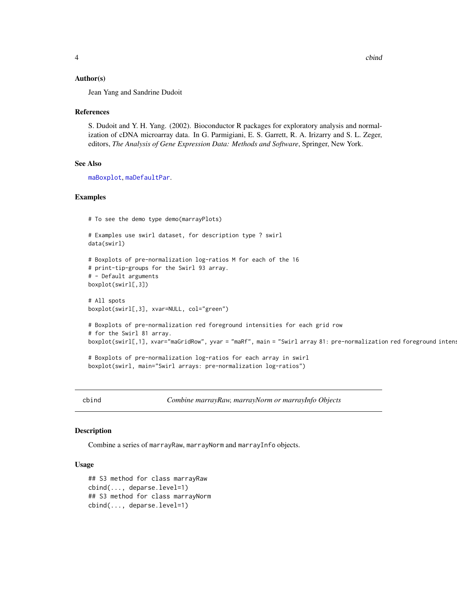# <span id="page-3-0"></span>Author(s)

Jean Yang and Sandrine Dudoit

#### References

S. Dudoit and Y. H. Yang. (2002). Bioconductor R packages for exploratory analysis and normalization of cDNA microarray data. In G. Parmigiani, E. S. Garrett, R. A. Irizarry and S. L. Zeger, editors, *The Analysis of Gene Expression Data: Methods and Software*, Springer, New York.

# See Also

[maBoxplot](#page-12-1), [maDefaultPar](#page-20-1).

#### Examples

# To see the demo type demo(marrayPlots)

```
# Examples use swirl dataset, for description type ? swirl
data(swirl)
```

```
# Boxplots of pre-normalization log-ratios M for each of the 16
# print-tip-groups for the Swirl 93 array.
# - Default arguments
boxplot(swirl[,3])
```

```
# All spots
boxplot(swirl[,3], xvar=NULL, col="green")
```

```
# Boxplots of pre-normalization red foreground intensities for each grid row
# for the Swirl 81 array.
boxplot(swirl[,1], xvar="maGridRow", yvar = "maRf", main = "Swirl array 81: pre-normalization red foreground intens
```

```
# Boxplots of pre-normalization log-ratios for each array in swirl
boxplot(swirl, main="Swirl arrays: pre-normalization log-ratios")
```
<span id="page-3-1"></span>cbind *Combine marrayRaw, marrayNorm or marrayInfo Objects*

# Description

Combine a series of marrayRaw, marrayNorm and marrayInfo objects.

#### Usage

```
## S3 method for class marrayRaw
cbind(..., deparse.level=1)
## S3 method for class marrayNorm
cbind(..., deparse.level=1)
```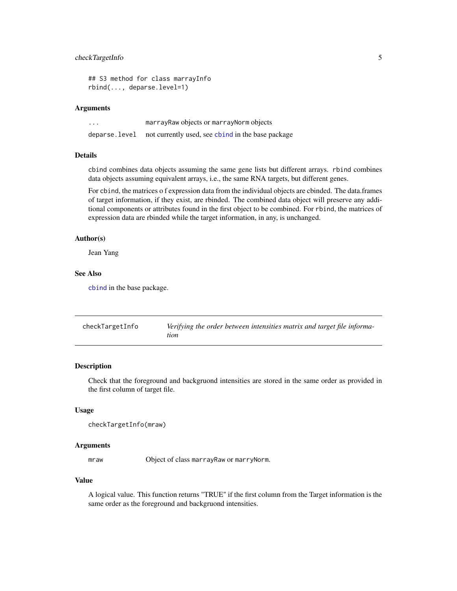# <span id="page-4-0"></span>checkTargetInfo 5

```
## S3 method for class marrayInfo
rbind(..., deparse.level=1)
```
#### Arguments

| $\cdot\cdot\cdot$ | marray Raw objects or marray Norm objects         |
|-------------------|---------------------------------------------------|
| deparse.level     | not currently used, see chind in the base package |

# Details

cbind combines data objects assuming the same gene lists but different arrays. rbind combines data objects assuming equivalent arrays, i.e., the same RNA targets, but different genes.

For cbind, the matrices o f expression data from the individual objects are cbinded. The data.frames of target information, if they exist, are rbinded. The combined data object will preserve any additional components or attributes found in the first object to be combined. For rbind, the matrices of expression data are rbinded while the target information, in any, is unchanged.

#### Author(s)

Jean Yang

#### See Also

[cbind](#page-3-1) in the base package.

| checkTargetInfo | Verifying the order between intensities matrix and target file informa-<br>tion |
|-----------------|---------------------------------------------------------------------------------|
|                 |                                                                                 |

#### Description

Check that the foreground and backgruond intensities are stored in the same order as provided in the first column of target file.

#### Usage

```
checkTargetInfo(mraw)
```
#### Arguments

mraw Object of class marrayRaw or marryNorm.

#### Value

A logical value. This function returns "TRUE" if the first column from the Target information is the same order as the foreground and backgruond intensities.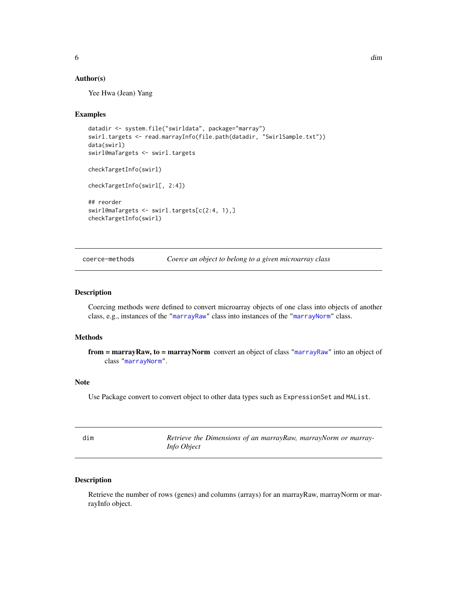# <span id="page-5-0"></span>Author(s)

Yee Hwa (Jean) Yang

# Examples

```
datadir <- system.file("swirldata", package="marray")
swirl.targets <- read.marrayInfo(file.path(datadir, "SwirlSample.txt"))
data(swirl)
swirl@maTargets <- swirl.targets
checkTargetInfo(swirl)
checkTargetInfo(swirl[, 2:4])
## reorder
swirl@maTargets <- swirl.targets[c(2:4, 1),]
checkTargetInfo(swirl)
```
coerce-methods *Coerce an object to belong to a given microarray class*

# Description

Coercing methods were defined to convert microarray objects of one class into objects of another class, e.g., instances of the ["marrayRaw"](#page-58-1) class into instances of the ["marrayNorm"](#page-55-1) class.

# Methods

from = marrayRaw, to = marrayNorm convert an object of class ["marrayRaw"](#page-58-1) into an object of class ["marrayNorm"](#page-55-1).

# Note

Use Package convert to convert object to other data types such as ExpressionSet and MAList.

<span id="page-5-1"></span>

| dim | Retrieve the Dimensions of an marrayRaw, marrayNorm or marray- |
|-----|----------------------------------------------------------------|
|     | Info Object                                                    |

# Description

Retrieve the number of rows (genes) and columns (arrays) for an marrayRaw, marrayNorm or marrayInfo object.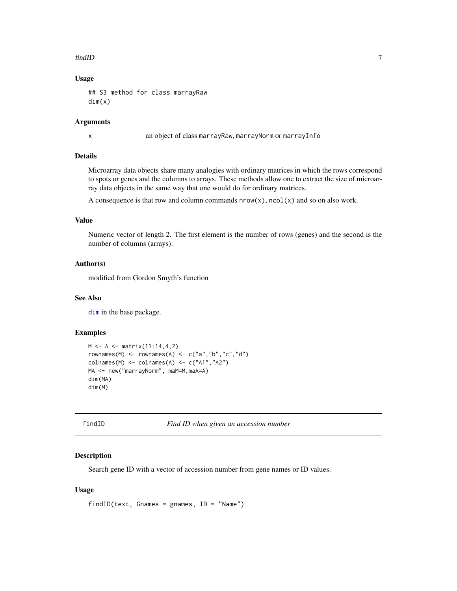#### <span id="page-6-0"></span>findID 7 and 7 and 7 and 7 and 7 and 7 and 7 and 7 and 7 and 7 and 7 and 7 and 7 and 7 and 7 and 7 and 7 and 7

# Usage

## S3 method for class marrayRaw dim(x)

#### Arguments

x an object of class marrayRaw, marrayNorm or marrayInfo

# Details

Microarray data objects share many analogies with ordinary matrices in which the rows correspond to spots or genes and the columns to arrays. These methods allow one to extract the size of microarray data objects in the same way that one would do for ordinary matrices.

A consequence is that row and column commands  $nrow(x)$ , ncol(x) and so on also work.

#### Value

Numeric vector of length 2. The first element is the number of rows (genes) and the second is the number of columns (arrays).

#### Author(s)

modified from Gordon Smyth's function

#### See Also

[dim](#page-5-1) in the base package.

# Examples

```
M \leq -A \leq -\text{matrix}(11:14, 4, 2)rownames(M) \leq rownames(A) \leq c("a","b","c","d")
colnames(M) <- colnames(A) <- c("A1","A2")
MA <- new("marrayNorm", maM=M,maA=A)
dim(MA)
dim(M)
```

```
findID Find ID when given an accession number
```
# Description

Search gene ID with a vector of accession number from gene names or ID values.

#### Usage

```
findID(text, Gnames = gnames, ID = "Name")
```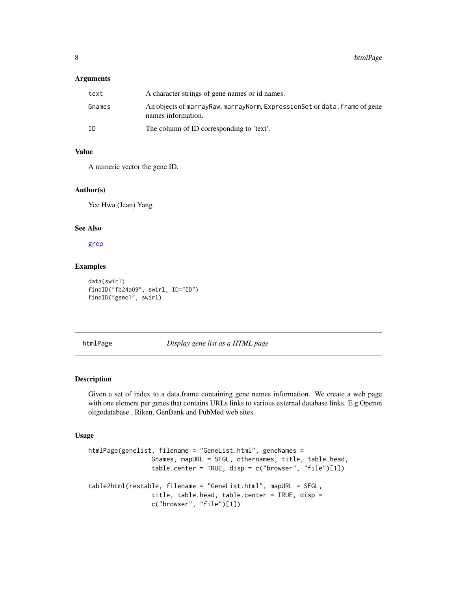# <span id="page-7-0"></span>Arguments

| text   | A character strings of gene names or id names.                                                     |
|--------|----------------------------------------------------------------------------------------------------|
| Gnames | An objects of marray Raw, marray Norm, Expression Set or data. frame of gene<br>names information. |
| ΙD     | The column of ID corresponding to 'text'.                                                          |

# Value

A numeric vector the gene ID.

#### Author(s)

Yee Hwa (Jean) Yang

#### See Also

[grep](#page-0-0)

# Examples

```
data(swirl)
findID("fb24a09", swirl, ID="ID")
findID("geno1", swirl)
```
htmlPage *Display gene list as a HTML page*

# Description

Given a set of index to a data.frame containing gene names information. We create a web page with one element per genes that contains URLs links to various external database links. E.g Operon oligodatabase , Riken, GenBank and PubMed web sites.

#### Usage

```
htmlPage(genelist, filename = "GeneList.html", geneNames =
                 Gnames, mapURL = SFGL, othernames, title, table.head,
                 table.center = TRUE, disp = c("brouser", "file")[1])table2html(restable, filename = "GeneList.html", mapURL = SFGL,
                 title, table.head, table.center = TRUE, disp =
                 c("browser", "file")[1])
```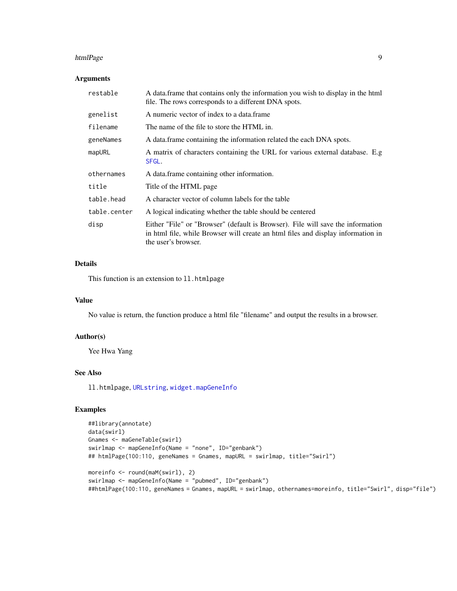#### htmlPage 9

# Arguments

| restable     | A data frame that contains only the information you wish to display in the html<br>file. The rows corresponds to a different DNA spots.                                                    |
|--------------|--------------------------------------------------------------------------------------------------------------------------------------------------------------------------------------------|
| genelist     | A numeric vector of index to a data.frame                                                                                                                                                  |
| filename     | The name of the file to store the HTML in.                                                                                                                                                 |
| geneNames    | A data frame containing the information related the each DNA spots.                                                                                                                        |
| mapURL       | A matrix of characters containing the URL for various external database. E.g<br>SFGL.                                                                                                      |
| othernames   | A data frame containing other information.                                                                                                                                                 |
| title        | Title of the HTML page                                                                                                                                                                     |
| table.head   | A character vector of column labels for the table                                                                                                                                          |
| table.center | A logical indicating whether the table should be centered                                                                                                                                  |
| disp         | Either "File" or "Browser" (default is Browser). File will save the information<br>in html file, while Browser will create an html files and display information in<br>the user's browser. |

# Details

This function is an extension to 11.htmlpage

# Value

No value is return, the function produce a html file "filename" and output the results in a browser.

# Author(s)

Yee Hwa Yang

# See Also

ll.htmlpage, [URLstring](#page-47-1), [widget.mapGeneInfo](#page-47-1)

#### Examples

```
##library(annotate)
data(swirl)
Gnames <- maGeneTable(swirl)
swirlmap <- mapGeneInfo(Name = "none", ID="genbank")
## htmlPage(100:110, geneNames = Gnames, mapURL = swirlmap, title="Swirl")
moreinfo <- round(maM(swirl), 2)
swirlmap <- mapGeneInfo(Name = "pubmed", ID="genbank")
##htmlPage(100:110, geneNames = Gnames, mapURL = swirlmap, othernames=moreinfo, title="Swirl", disp="file")
```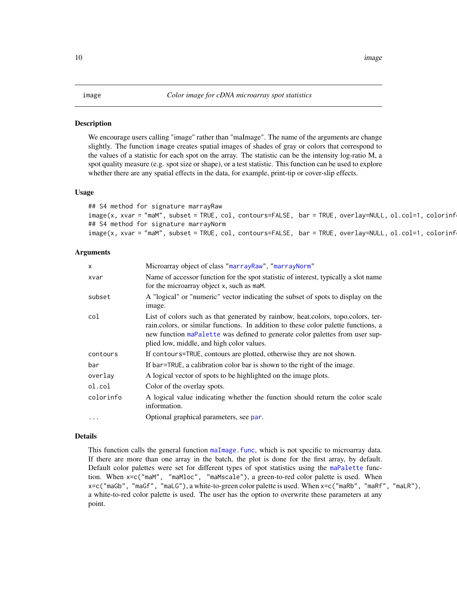<span id="page-9-1"></span><span id="page-9-0"></span>We encourage users calling "image" rather than "maImage". The name of the arguments are change slightly. The function image creates spatial images of shades of gray or colors that correspond to the values of a statistic for each spot on the array. The statistic can be the intensity log-ratio M, a spot quality measure (e.g. spot size or shape), or a test statistic. This function can be used to explore whether there are any spatial effects in the data, for example, print-tip or cover-slip effects.

#### Usage

## S4 method for signature marrayRaw image(x, xvar = "maM", subset = TRUE, col, contours=FALSE, bar = TRUE, overlay=NULL, ol.col=1, colorinf ## S4 method for signature marrayNorm image(x, xvar = "maM", subset = TRUE, col, contours=FALSE, bar = TRUE, overlay=NULL, ol.col=1, colorinf

# Arguments

| x         | Microarray object of class "marrayRaw", "marrayNorm"                                                                                                                                                                                                                                                |
|-----------|-----------------------------------------------------------------------------------------------------------------------------------------------------------------------------------------------------------------------------------------------------------------------------------------------------|
| xvar      | Name of accessor function for the spot statistic of interest, typically a slot name<br>for the microarray object x, such as maM.                                                                                                                                                                    |
| subset    | A "logical" or "numeric" vector indicating the subset of spots to display on the<br>image.                                                                                                                                                                                                          |
| col       | List of colors such as that generated by rainbow, heat colors, topo colors, ter-<br>rain.colors, or similar functions. In addition to these color palette functions, a<br>new function maPalette was defined to generate color palettes from user sup-<br>plied low, middle, and high color values. |
| contours  | If contours=TRUE, contours are plotted, otherwise they are not shown.                                                                                                                                                                                                                               |
| bar       | If bar=TRUE, a calibration color bar is shown to the right of the image.                                                                                                                                                                                                                            |
| overlay   | A logical vector of spots to be highlighted on the image plots.                                                                                                                                                                                                                                     |
| ol.col    | Color of the overlay spots.                                                                                                                                                                                                                                                                         |
| colorinfo | A logical value indicating whether the function should return the color scale<br>information.                                                                                                                                                                                                       |
| .         | Optional graphical parameters, see par.                                                                                                                                                                                                                                                             |
|           |                                                                                                                                                                                                                                                                                                     |

# Details

This function calls the general function [maImage.func](#page-26-1), which is not specific to microarray data. If there are more than one array in the batch, the plot is done for the first array, by default. Default color palettes were set for different types of spot statistics using the [maPalette](#page-46-1) function. When x=c("maM", "maMloc", "maMscale"), a green-to-red color palette is used. When x=c("maGb", "maGf", "maLG"), a white-to-green color palette is used. When x=c("maRb", "maRf", "maLR"), a white-to-red color palette is used. The user has the option to overwrite these parameters at any point.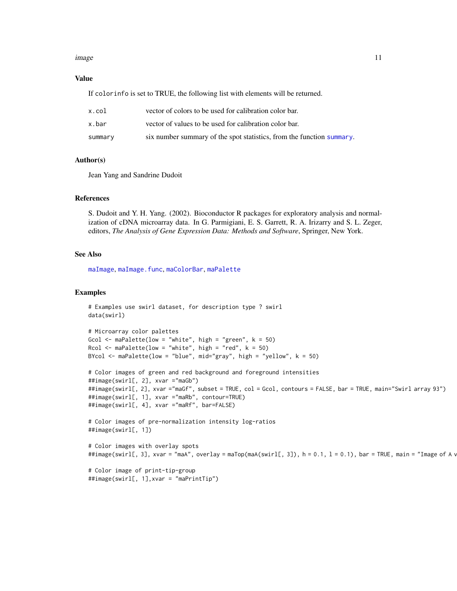#### image that the contract of the contract of the contract of the contract of the contract of the contract of the contract of the contract of the contract of the contract of the contract of the contract of the contract of the

#### Value

If colorinfo is set to TRUE, the following list with elements will be returned.

| x.col   | vector of colors to be used for calibration color bar.                |
|---------|-----------------------------------------------------------------------|
| x.bar   | vector of values to be used for calibration color bar.                |
| summarv | six number summary of the spot statistics, from the function summary. |

# Author(s)

Jean Yang and Sandrine Dudoit

#### References

S. Dudoit and Y. H. Yang. (2002). Bioconductor R packages for exploratory analysis and normalization of cDNA microarray data. In G. Parmigiani, E. S. Garrett, R. A. Irizarry and S. L. Zeger, editors, *The Analysis of Gene Expression Data: Methods and Software*, Springer, New York.

# See Also

[maImage](#page-24-1), [maImage.func](#page-26-1), [maColorBar](#page-13-1), [maPalette](#page-46-1)

#### Examples

```
# Examples use swirl dataset, for description type ? swirl
data(swirl)
# Microarray color palettes
Gcol <- maPalette(low = "white", high = "green", k = 50)
Rcol \leq maPalette(low = "white", high = "red", k = 50)
BYcol \leq maPalette(low = "blue", mid="gray", high = "yellow", k = 50)
# Color images of green and red background and foreground intensities
##image(swirl[, 2], xvar ="maGb")
##image(swirl[, 2], xvar ="maGf", subset = TRUE, col = Gcol, contours = FALSE, bar = TRUE, main="Swirl array 93")
##image(swirl[, 1], xvar ="maRb", contour=TRUE)
##image(swirl[, 4], xvar ="maRf", bar=FALSE)
# Color images of pre-normalization intensity log-ratios
##image(swirl[, 1])
# Color images with overlay spots
##image(swirl[, 3], xvar = "maA", overlay = maTop(maA(swirl[, 3]), h = 0.1, l = 0.1), bar = TRUE, main = "Image of A v
# Color image of print-tip-group
##image(swirl[, 1],xvar = "maPrintTip")
```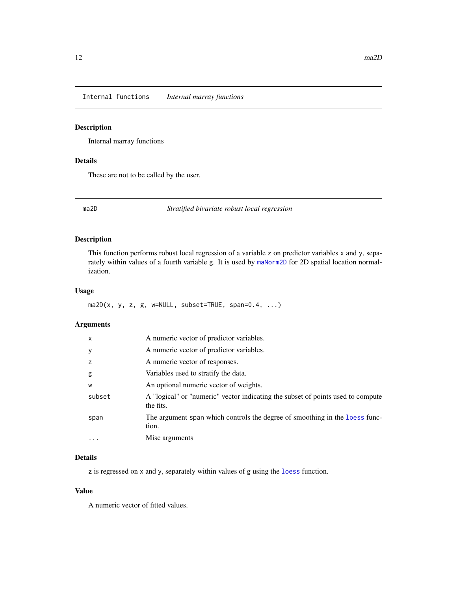<span id="page-11-0"></span>Internal functions *Internal marray functions*

# Description

Internal marray functions

# Details

These are not to be called by the user.

ma2D *Stratified bivariate robust local regression*

# Description

This function performs robust local regression of a variable z on predictor variables x and y, separately within values of a fourth variable g. It is used by [maNorm2D](#page-36-1) for 2D spatial location normalization.

# Usage

 $ma2D(x, y, z, g, w=NULL, subset=TRUE, span=0.4, ...)$ 

# Arguments

| x         | A numeric vector of predictor variables.                                                     |
|-----------|----------------------------------------------------------------------------------------------|
| У         | A numeric vector of predictor variables.                                                     |
| z         | A numeric vector of responses.                                                               |
| g         | Variables used to stratify the data.                                                         |
| W         | An optional numeric vector of weights.                                                       |
| subset    | A "logical" or "numeric" vector indicating the subset of points used to compute<br>the fits. |
| span      | The argument span which controls the degree of smoothing in the loess func-<br>tion.         |
| $\ddotsc$ | Misc arguments                                                                               |

# Details

z is regressed on x and y, separately within values of g using the [loess](#page-0-0) function.

# Value

A numeric vector of fitted values.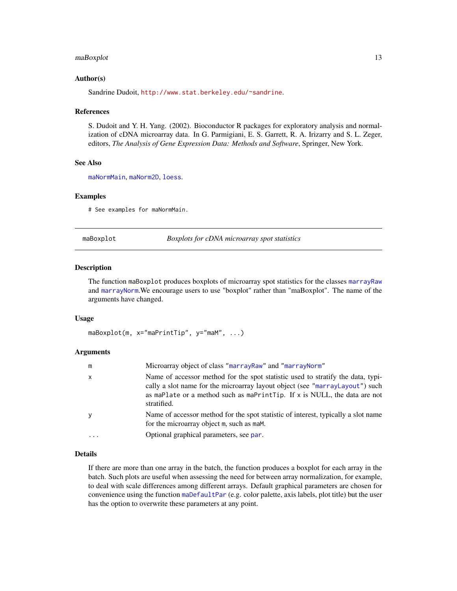#### <span id="page-12-0"></span> $mabexplot$  13

#### Author(s)

Sandrine Dudoit, <http://www.stat.berkeley.edu/~sandrine>.

#### References

S. Dudoit and Y. H. Yang. (2002). Bioconductor R packages for exploratory analysis and normalization of cDNA microarray data. In G. Parmigiani, E. S. Garrett, R. A. Irizarry and S. L. Zeger, editors, *The Analysis of Gene Expression Data: Methods and Software*, Springer, New York.

#### See Also

[maNormMain](#page-40-1), [maNorm2D](#page-36-1), [loess](#page-0-0).

#### Examples

# See examples for maNormMain.

<span id="page-12-1"></span>maBoxplot *Boxplots for cDNA microarray spot statistics* 

#### **Description**

The function maBoxplot produces boxplots of microarray spot statistics for the classes [marrayRaw](#page-58-1) and [marrayNorm](#page-55-1).We encourage users to use "boxplot" rather than "maBoxplot". The name of the arguments have changed.

#### Usage

```
maBoxplot(m, x="maPrintTip", y="maM", ...)
```
#### Arguments

| m            | Microarray object of class "marrayRaw" and "marrayNorm"                                                                                                                                                                                                     |
|--------------|-------------------------------------------------------------------------------------------------------------------------------------------------------------------------------------------------------------------------------------------------------------|
| $\mathsf{x}$ | Name of accessor method for the spot statistic used to stratify the data, typi-<br>cally a slot name for the microarray layout object (see "marrayLayout") such<br>as maPlate or a method such as maPrintTip. If x is NULL, the data are not<br>stratified. |
| <b>y</b>     | Name of accessor method for the spot statistic of interest, typically a slot name<br>for the microarray object m, such as mam.                                                                                                                              |
| $\cdots$     | Optional graphical parameters, see par.                                                                                                                                                                                                                     |

#### Details

If there are more than one array in the batch, the function produces a boxplot for each array in the batch. Such plots are useful when assessing the need for between array normalization, for example, to deal with scale differences among different arrays. Default graphical parameters are chosen for convenience using the function [maDefaultPar](#page-20-1) (e.g. color palette, axis labels, plot title) but the user has the option to overwrite these parameters at any point.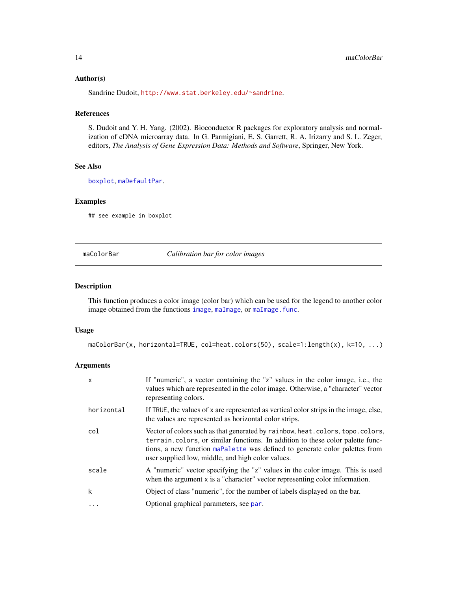#### Author(s)

Sandrine Dudoit, <http://www.stat.berkeley.edu/~sandrine>.

#### References

S. Dudoit and Y. H. Yang. (2002). Bioconductor R packages for exploratory analysis and normalization of cDNA microarray data. In G. Parmigiani, E. S. Garrett, R. A. Irizarry and S. L. Zeger, editors, *The Analysis of Gene Expression Data: Methods and Software*, Springer, New York.

#### See Also

[boxplot](#page-2-1), [maDefaultPar](#page-20-1).

# Examples

## see example in boxplot

<span id="page-13-1"></span>maColorBar *Calibration bar for color images*

#### Description

This function produces a color image (color bar) which can be used for the legend to another color [image](#page-9-1) obtained from the functions image, [maImage](#page-24-1), or [maImage.func](#page-26-1).

#### Usage

```
maColorBar(x, horizontal=TRUE, col=heat.colors(50), scale=1:length(x), k=10, ...)
```
# Arguments

| X          | If "numeric", a vector containing the "z" values in the color image, i.e., the<br>values which are represented in the color image. Otherwise, a "character" vector<br>representing colors.                                                                                                             |
|------------|--------------------------------------------------------------------------------------------------------------------------------------------------------------------------------------------------------------------------------------------------------------------------------------------------------|
| horizontal | If TRUE, the values of x are represented as vertical color strips in the image, else,<br>the values are represented as horizontal color strips.                                                                                                                                                        |
| col        | Vector of colors such as that generated by rainbow, heat. colors, topo. colors,<br>terrain.colors, or similar functions. In addition to these color palette func-<br>tions, a new function mappalette was defined to generate color palettes from<br>user supplied low, middle, and high color values. |
| scale      | A "numeric" vector specifying the "z" values in the color image. This is used<br>when the argument $x$ is a "character" vector representing color information.                                                                                                                                         |
| k          | Object of class "numeric", for the number of labels displayed on the bar.                                                                                                                                                                                                                              |
| $\cdots$   | Optional graphical parameters, see par.                                                                                                                                                                                                                                                                |

<span id="page-13-0"></span>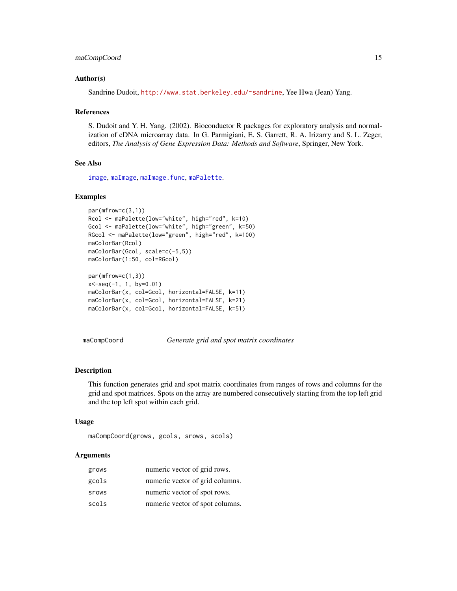# <span id="page-14-0"></span>maCompCoord 15

#### Author(s)

Sandrine Dudoit, <http://www.stat.berkeley.edu/~sandrine>, Yee Hwa (Jean) Yang.

#### References

S. Dudoit and Y. H. Yang. (2002). Bioconductor R packages for exploratory analysis and normalization of cDNA microarray data. In G. Parmigiani, E. S. Garrett, R. A. Irizarry and S. L. Zeger, editors, *The Analysis of Gene Expression Data: Methods and Software*, Springer, New York.

# See Also

[image](#page-9-1), [maImage](#page-24-1), [maImage.func](#page-26-1), [maPalette](#page-46-1).

#### Examples

```
par(mfrow=c(3,1))
Rcol <- maPalette(low="white", high="red", k=10)
Gcol <- maPalette(low="white", high="green", k=50)
RGcol <- maPalette(low="green", high="red", k=100)
maColorBar(Rcol)
maColorBar(Gcol, scale=c(-5,5))
maColorBar(1:50, col=RGcol)
par(mfrow=c(1,3))
x<-seq(-1, 1, by=0.01)
maColorBar(x, col=Gcol, horizontal=FALSE, k=11)
maColorBar(x, col=Gcol, horizontal=FALSE, k=21)
maColorBar(x, col=Gcol, horizontal=FALSE, k=51)
```
maCompCoord *Generate grid and spot matrix coordinates*

#### **Description**

This function generates grid and spot matrix coordinates from ranges of rows and columns for the grid and spot matrices. Spots on the array are numbered consecutively starting from the top left grid and the top left spot within each grid.

#### Usage

```
maCompCoord(grows, gcols, srows, scols)
```
# Arguments

| grows | numeric vector of grid rows.    |
|-------|---------------------------------|
| gcols | numeric vector of grid columns. |
| srows | numeric vector of spot rows.    |
| scols | numeric vector of spot columns. |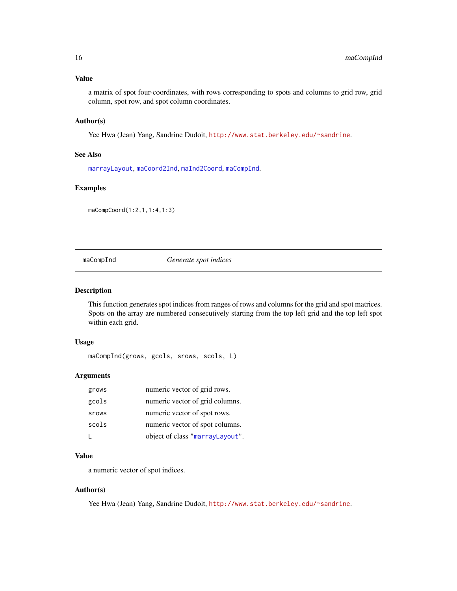# <span id="page-15-0"></span>Value

a matrix of spot four-coordinates, with rows corresponding to spots and columns to grid row, grid column, spot row, and spot column coordinates.

# Author(s)

Yee Hwa (Jean) Yang, Sandrine Dudoit, <http://www.stat.berkeley.edu/~sandrine>.

#### See Also

[marrayLayout](#page-52-1), [maCoord2Ind](#page-19-1), [maInd2Coord](#page-27-1), [maCompInd](#page-15-1).

# Examples

maCompCoord(1:2,1,1:4,1:3)

<span id="page-15-1"></span>maCompInd *Generate spot indices*

# Description

This function generates spot indices from ranges of rows and columns for the grid and spot matrices. Spots on the array are numbered consecutively starting from the top left grid and the top left spot within each grid.

#### Usage

maCompInd(grows, gcols, srows, scols, L)

# Arguments

| grows | numeric vector of grid rows.    |
|-------|---------------------------------|
| gcols | numeric vector of grid columns. |
| srows | numeric vector of spot rows.    |
| scols | numeric vector of spot columns. |
|       | object of class "marrayLayout". |

# Value

a numeric vector of spot indices.

# Author(s)

Yee Hwa (Jean) Yang, Sandrine Dudoit, <http://www.stat.berkeley.edu/~sandrine>.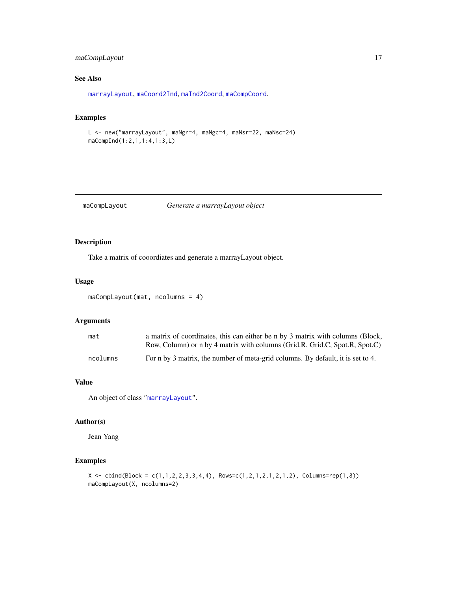# <span id="page-16-0"></span>maCompLayout 17

# See Also

[marrayLayout](#page-52-1), [maCoord2Ind](#page-19-1), [maInd2Coord](#page-27-1), [maCompCoord](#page-14-1).

#### Examples

```
L <- new("marrayLayout", maNgr=4, maNgc=4, maNsr=22, maNsc=24)
maCompInd(1:2,1,1:4,1:3,L)
```
maCompLayout *Generate a marrayLayout object*

# Description

Take a matrix of cooordiates and generate a marrayLayout object.

# Usage

```
maCompLayout(mat, ncolumns = 4)
```
# Arguments

| mat      | a matrix of coordinates, this can either be n by 3 matrix with columns (Block,  |
|----------|---------------------------------------------------------------------------------|
|          | Row, Column) or n by 4 matrix with columns (Grid.R, Grid.C, Spot.R, Spot.C)     |
| ncolumns | For n by 3 matrix, the number of meta-grid columns. By default, it is set to 4. |

# Value

An object of class ["marrayLayout"](#page-52-1).

#### Author(s)

Jean Yang

# Examples

```
X \leftarrow \text{cbind}(\text{Block} = c(1,1,2,2,3,3,4,4), \text{ Rows} = c(1,2,1,2,1,2,1,2), \text{ Columns} = \text{rep}(1,8))maCompLayout(X, ncolumns=2)
```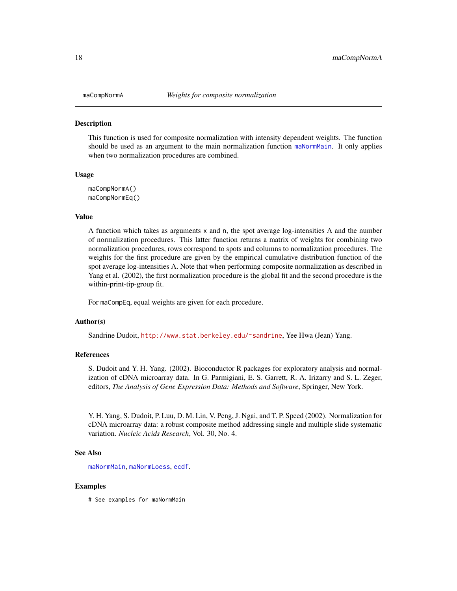<span id="page-17-0"></span>

This function is used for composite normalization with intensity dependent weights. The function should be used as an argument to the main normalization function [maNormMain](#page-40-1). It only applies when two normalization procedures are combined.

#### Usage

maCompNormA() maCompNormEq()

# Value

A function which takes as arguments x and n, the spot average log-intensities A and the number of normalization procedures. This latter function returns a matrix of weights for combining two normalization procedures, rows correspond to spots and columns to normalization procedures. The weights for the first procedure are given by the empirical cumulative distribution function of the spot average log-intensities A. Note that when performing composite normalization as described in Yang et al. (2002), the first normalization procedure is the global fit and the second procedure is the within-print-tip-group fit.

For maCompEq, equal weights are given for each procedure.

#### Author(s)

Sandrine Dudoit, <http://www.stat.berkeley.edu/~sandrine>, Yee Hwa (Jean) Yang.

#### References

S. Dudoit and Y. H. Yang. (2002). Bioconductor R packages for exploratory analysis and normalization of cDNA microarray data. In G. Parmigiani, E. S. Garrett, R. A. Irizarry and S. L. Zeger, editors, *The Analysis of Gene Expression Data: Methods and Software*, Springer, New York.

Y. H. Yang, S. Dudoit, P. Luu, D. M. Lin, V. Peng, J. Ngai, and T. P. Speed (2002). Normalization for cDNA microarray data: a robust composite method addressing single and multiple slide systematic variation. *Nucleic Acids Research*, Vol. 30, No. 4.

#### See Also

[maNormMain](#page-40-1), [maNormLoess](#page-37-1), [ecdf](#page-0-0).

#### Examples

# See examples for maNormMain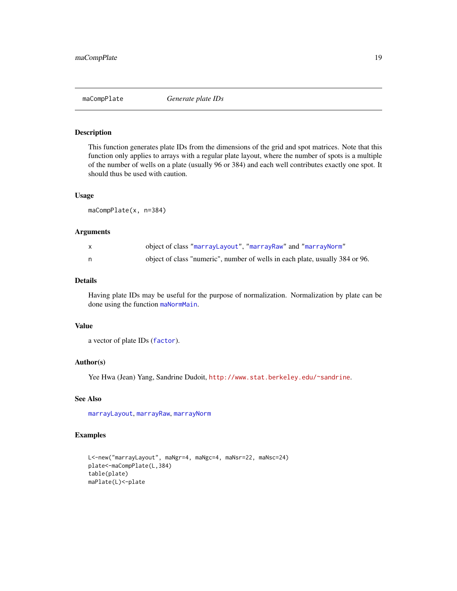<span id="page-18-0"></span>

This function generates plate IDs from the dimensions of the grid and spot matrices. Note that this function only applies to arrays with a regular plate layout, where the number of spots is a multiple of the number of wells on a plate (usually 96 or 384) and each well contributes exactly one spot. It should thus be used with caution.

#### Usage

maCompPlate(x, n=384)

#### Arguments

|    | object of class "marrayLayout", "marrayRaw" and "marrayNorm"                 |
|----|------------------------------------------------------------------------------|
| n. | object of class "numeric", number of wells in each plate, usually 384 or 96. |

# Details

Having plate IDs may be useful for the purpose of normalization. Normalization by plate can be done using the function [maNormMain](#page-40-1).

#### Value

a vector of plate IDs ([factor](#page-0-0)).

#### Author(s)

Yee Hwa (Jean) Yang, Sandrine Dudoit, <http://www.stat.berkeley.edu/~sandrine>.

# See Also

[marrayLayout](#page-52-1), [marrayRaw](#page-58-1), [marrayNorm](#page-55-1)

# Examples

```
L<-new("marrayLayout", maNgr=4, maNgc=4, maNsr=22, maNsc=24)
plate<-maCompPlate(L,384)
table(plate)
maPlate(L)<-plate
```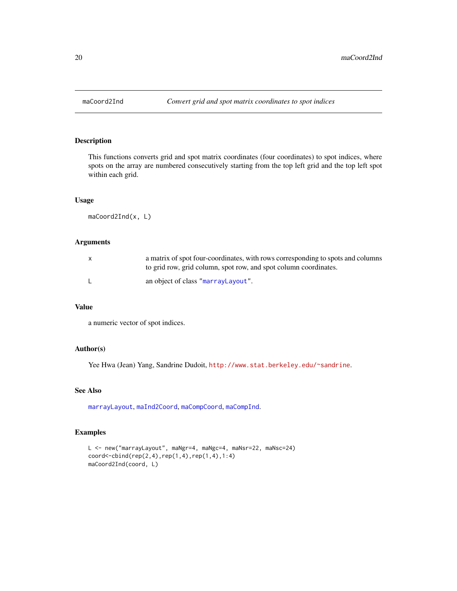<span id="page-19-1"></span><span id="page-19-0"></span>

This functions converts grid and spot matrix coordinates (four coordinates) to spot indices, where spots on the array are numbered consecutively starting from the top left grid and the top left spot within each grid.

# Usage

maCoord2Ind(x, L)

# Arguments

| a matrix of spot four-coordinates, with rows corresponding to spots and columns<br>to grid row, grid column, spot row, and spot column coordinates. |
|-----------------------------------------------------------------------------------------------------------------------------------------------------|
| an object of class "marrayLayout".                                                                                                                  |

#### Value

a numeric vector of spot indices.

# Author(s)

Yee Hwa (Jean) Yang, Sandrine Dudoit, <http://www.stat.berkeley.edu/~sandrine>.

# See Also

[marrayLayout](#page-52-1), [maInd2Coord](#page-27-1), [maCompCoord](#page-14-1), [maCompInd](#page-15-1).

# Examples

```
L <- new("marrayLayout", maNgr=4, maNgc=4, maNsr=22, maNsc=24)
coord<-cbind(rep(2,4),rep(1,4),rep(1,4),1:4)
maCoord2Ind(coord, L)
```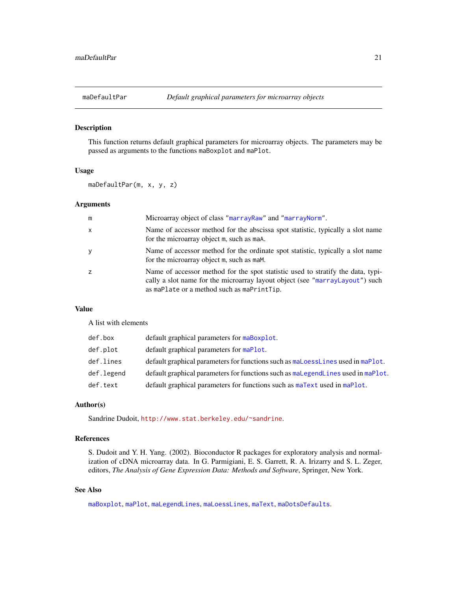<span id="page-20-1"></span><span id="page-20-0"></span>

This function returns default graphical parameters for microarray objects. The parameters may be passed as arguments to the functions maBoxplot and maPlot.

#### Usage

maDefaultPar(m, x, y, z)

#### Arguments

| m            | Microarray object of class "marrayRaw" and "marrayNorm".                                                                                                                                                      |
|--------------|---------------------------------------------------------------------------------------------------------------------------------------------------------------------------------------------------------------|
| $\mathsf{x}$ | Name of accessor method for the abscissa spot statistic, typically a slot name<br>for the microarray object m, such as maA.                                                                                   |
| y            | Name of accessor method for the ordinate spot statistic, typically a slot name<br>for the microarray object m, such as mam.                                                                                   |
| z            | Name of accessor method for the spot statistic used to stratify the data, typi-<br>cally a slot name for the microarray layout object (see "marrayLayout") such<br>as maPlate or a method such as maPrintTip. |

#### Value

A list with elements

| def.box    | default graphical parameters for maBoxplot.                                      |
|------------|----------------------------------------------------------------------------------|
| def.plot   | default graphical parameters for maPlot.                                         |
| def.lines  | default graphical parameters for functions such as maloesslines used in maPlot.  |
| def.legend | default graphical parameters for functions such as malegendlines used in maPlot. |
| def.text   | default graphical parameters for functions such as maText used in maPlot.        |

# Author(s)

Sandrine Dudoit, <http://www.stat.berkeley.edu/~sandrine>.

# References

S. Dudoit and Y. H. Yang. (2002). Bioconductor R packages for exploratory analysis and normalization of cDNA microarray data. In G. Parmigiani, E. S. Garrett, R. A. Irizarry and S. L. Zeger, editors, *The Analysis of Gene Expression Data: Methods and Software*, Springer, New York.

# See Also

[maBoxplot](#page-12-1), [maPlot](#page-48-1), [maLegendLines](#page-28-1), [maLoessLines](#page-30-1), [maText](#page-63-1), [maDotsDefaults](#page-21-1).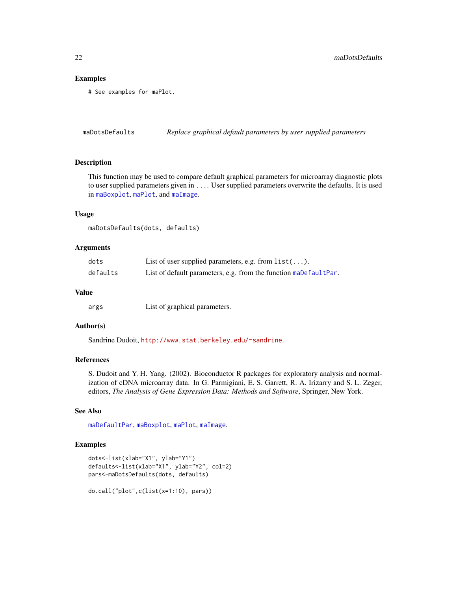# <span id="page-21-0"></span>Examples

# See examples for maPlot.

<span id="page-21-1"></span>maDotsDefaults *Replace graphical default parameters by user supplied parameters*

# Description

This function may be used to compare default graphical parameters for microarray diagnostic plots to user supplied parameters given in .... User supplied parameters overwrite the defaults. It is used in [maBoxplot](#page-12-1), [maPlot](#page-48-1), and [maImage](#page-24-1).

# Usage

maDotsDefaults(dots, defaults)

#### Arguments

| dots     | List of user supplied parameters, e.g. from $list()$ .           |
|----------|------------------------------------------------------------------|
| defaults | List of default parameters, e.g. from the function maDefaultPar. |

# Value

args List of graphical parameters.

#### Author(s)

Sandrine Dudoit, <http://www.stat.berkeley.edu/~sandrine>.

# References

S. Dudoit and Y. H. Yang. (2002). Bioconductor R packages for exploratory analysis and normalization of cDNA microarray data. In G. Parmigiani, E. S. Garrett, R. A. Irizarry and S. L. Zeger, editors, *The Analysis of Gene Expression Data: Methods and Software*, Springer, New York.

# See Also

[maDefaultPar](#page-20-1), [maBoxplot](#page-12-1), [maPlot](#page-48-1), [maImage](#page-24-1).

#### Examples

```
dots<-list(xlab="X1", ylab="Y1")
defaults<-list(xlab="X1", ylab="Y2", col=2)
pars<-maDotsDefaults(dots, defaults)
```
do.call("plot",c(list(x=1:10), pars))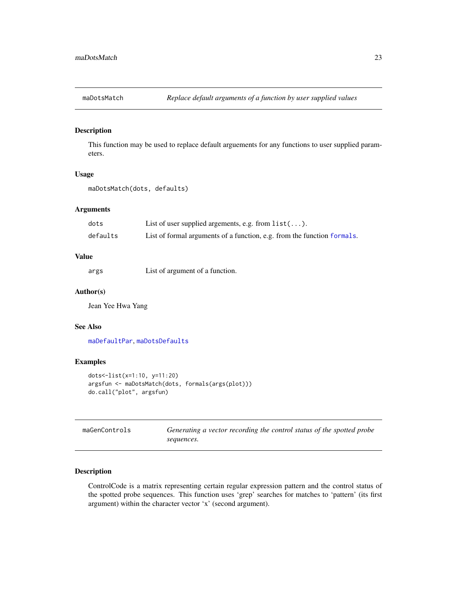<span id="page-22-0"></span>

This function may be used to replace default arguements for any functions to user supplied parameters.

#### Usage

```
maDotsMatch(dots, defaults)
```
# Arguments

| dots     | List of user supplied argements, e.g. from $list()$ .                   |
|----------|-------------------------------------------------------------------------|
| defaults | List of formal arguments of a function, e.g. from the function formals. |

# Value

args List of argument of a function.

# Author(s)

Jean Yee Hwa Yang

#### See Also

[maDefaultPar](#page-20-1), [maDotsDefaults](#page-21-1)

# Examples

```
dots<-list(x=1:10, y=11:20)
argsfun <- maDotsMatch(dots, formals(args(plot)))
do.call("plot", argsfun)
```

| maGenControls | Generating a vector recording the control status of the spotted probe |  |  |  |
|---------------|-----------------------------------------------------------------------|--|--|--|
|               | sequences.                                                            |  |  |  |

# Description

ControlCode is a matrix representing certain regular expression pattern and the control status of the spotted probe sequences. This function uses 'grep' searches for matches to 'pattern' (its first argument) within the character vector 'x' (second argument).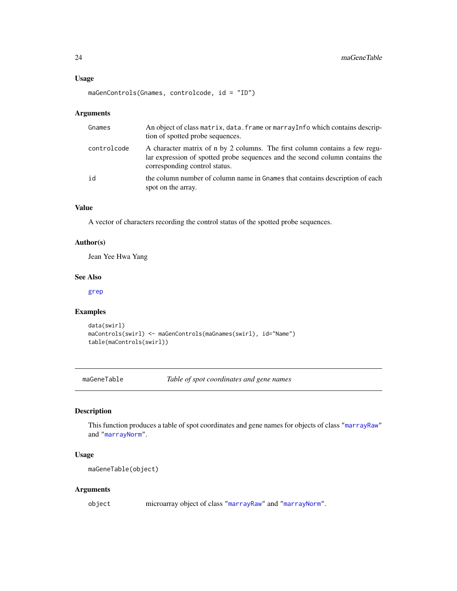```
maGenControls(Gnames, controlcode, id = "ID")
```
# Arguments

| Gnames      | An object of class matrix, data. frame or marray Info which contains descrip-<br>tion of spotted probe sequences.                                                                            |
|-------------|----------------------------------------------------------------------------------------------------------------------------------------------------------------------------------------------|
| controlcode | A character matrix of n by 2 columns. The first column contains a few regu-<br>lar expression of spotted probe sequences and the second column contains the<br>corresponding control status. |
| id          | the column number of column name in Gnames that contains description of each<br>spot on the array.                                                                                           |

# Value

A vector of characters recording the control status of the spotted probe sequences.

# Author(s)

Jean Yee Hwa Yang

#### See Also

[grep](#page-0-0)

# Examples

```
data(swirl)
maControls(swirl) <- maGenControls(maGnames(swirl), id="Name")
table(maControls(swirl))
```
maGeneTable *Table of spot coordinates and gene names*

# Description

This function produces a table of spot coordinates and gene names for objects of class ["marrayRaw"](#page-58-1) and ["marrayNorm"](#page-55-1).

# Usage

maGeneTable(object)

# Arguments

object microarray object of class ["marrayRaw"](#page-58-1) and ["marrayNorm"](#page-55-1).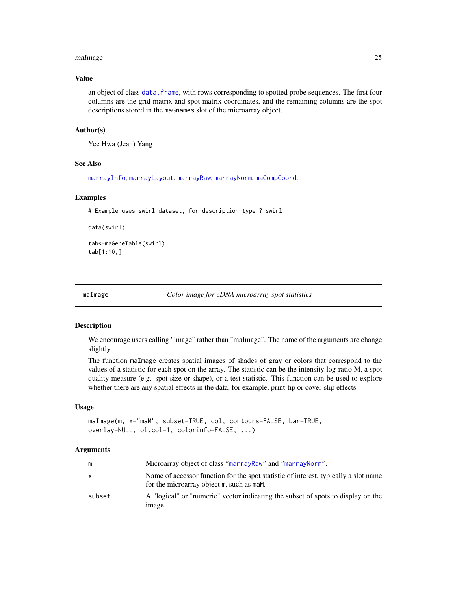#### <span id="page-24-0"></span>maImage 25

# Value

an object of class [data.frame](#page-0-0), with rows corresponding to spotted probe sequences. The first four columns are the grid matrix and spot matrix coordinates, and the remaining columns are the spot descriptions stored in the maGnames slot of the microarray object.

#### Author(s)

Yee Hwa (Jean) Yang

# See Also

[marrayInfo](#page-51-1), [marrayLayout](#page-52-1), [marrayRaw](#page-58-1), [marrayNorm](#page-55-1), [maCompCoord](#page-14-1).

# Examples

# Example uses swirl dataset, for description type ? swirl

data(swirl)

tab<-maGeneTable(swirl) tab[1:10,]

<span id="page-24-1"></span>

maImage *Color image for cDNA microarray spot statistics*

#### Description

We encourage users calling "image" rather than "maImage". The name of the arguments are change slightly.

The function maImage creates spatial images of shades of gray or colors that correspond to the values of a statistic for each spot on the array. The statistic can be the intensity log-ratio M, a spot quality measure (e.g. spot size or shape), or a test statistic. This function can be used to explore whether there are any spatial effects in the data, for example, print-tip or cover-slip effects.

#### Usage

```
maImage(m, x="maM", subset=TRUE, col, contours=FALSE, bar=TRUE,
overlay=NULL, ol.col=1, colorinfo=FALSE, ...)
```
#### Arguments

| m      | Microarray object of class "marrayRaw" and "marrayNorm".                                                                         |
|--------|----------------------------------------------------------------------------------------------------------------------------------|
| X      | Name of accessor function for the spot statistic of interest, typically a slot name<br>for the microarray object m, such as mam. |
| subset | A "logical" or "numeric" vector indicating the subset of spots to display on the<br>image.                                       |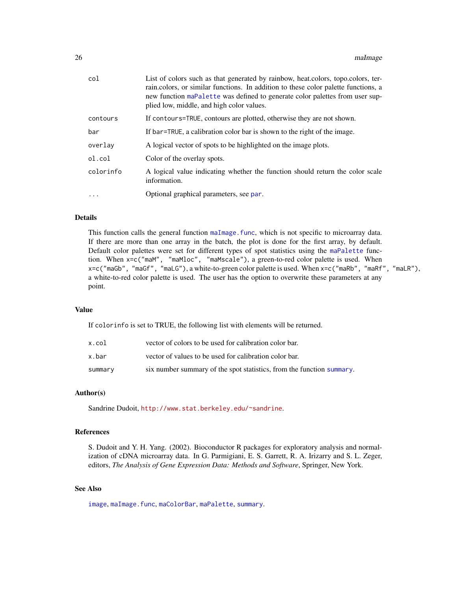| col       | List of colors such as that generated by rainbow, heat.colors, topo.colors, ter-<br>rain.colors, or similar functions. In addition to these color palette functions, a<br>new function maPalette was defined to generate color palettes from user sup-<br>plied low, middle, and high color values. |
|-----------|-----------------------------------------------------------------------------------------------------------------------------------------------------------------------------------------------------------------------------------------------------------------------------------------------------|
| contours  | If contours=TRUE, contours are plotted, otherwise they are not shown.                                                                                                                                                                                                                               |
| bar       | If bar=TRUE, a calibration color bar is shown to the right of the image.                                                                                                                                                                                                                            |
| overlav   | A logical vector of spots to be highlighted on the image plots.                                                                                                                                                                                                                                     |
| ol.col    | Color of the overlay spots.                                                                                                                                                                                                                                                                         |
| colorinfo | A logical value indicating whether the function should return the color scale<br>information.                                                                                                                                                                                                       |
| $\cdots$  | Optional graphical parameters, see par.                                                                                                                                                                                                                                                             |
|           |                                                                                                                                                                                                                                                                                                     |

# Details

This function calls the general function [maImage.func](#page-26-1), which is not specific to microarray data. If there are more than one array in the batch, the plot is done for the first array, by default. Default color palettes were set for different types of spot statistics using the [maPalette](#page-46-1) function. When x=c("maM", "maMloc", "maMscale"), a green-to-red color palette is used. When x=c("maGb", "maGf", "maLG"), a white-to-green color palette is used. When x=c("maRb", "maRf", "maLR"), a white-to-red color palette is used. The user has the option to overwrite these parameters at any point.

# Value

If colorinfo is set to TRUE, the following list with elements will be returned.

| x.col   | vector of colors to be used for calibration color bar.                |
|---------|-----------------------------------------------------------------------|
| x.bar   | vector of values to be used for calibration color bar.                |
| summary | six number summary of the spot statistics, from the function summary. |

#### Author(s)

Sandrine Dudoit, <http://www.stat.berkeley.edu/~sandrine>.

# References

S. Dudoit and Y. H. Yang. (2002). Bioconductor R packages for exploratory analysis and normalization of cDNA microarray data. In G. Parmigiani, E. S. Garrett, R. A. Irizarry and S. L. Zeger, editors, *The Analysis of Gene Expression Data: Methods and Software*, Springer, New York.

# See Also

[image](#page-9-1), [maImage.func](#page-26-1), [maColorBar](#page-13-1), [maPalette](#page-46-1), [summary](#page-0-0).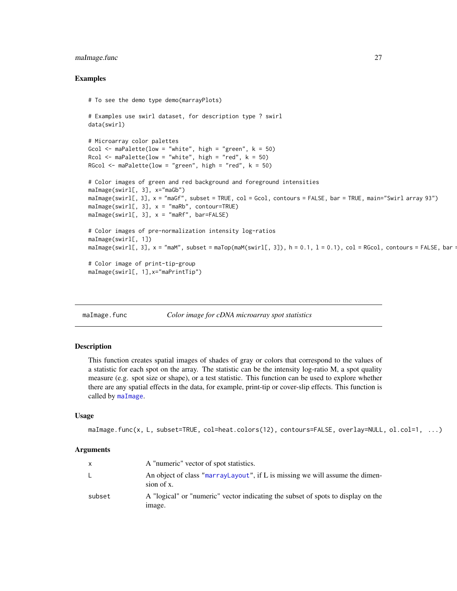# <span id="page-26-0"></span>maImage.func 27

#### Examples

```
# To see the demo type demo(marrayPlots)
# Examples use swirl dataset, for description type ? swirl
data(swirl)
# Microarray color palettes
Gcol \leq maPalette(low = "white", high = "green", k = 50)
Rcol \leq maPalette(low = "white", high = "red", k = 50)
RGcol \leq maPalette(low = "green", high = "red", k = 50)
# Color images of green and red background and foreground intensities
maImage(swirl[, 3], x="maGb")
maImage(swirl[, 3], x = "maGf", subset = TRUE, col = Gcol, contours = FALSE, bar = TRUE, main="Swirl array 93")
m\Delta Image(swin1[, 3], x = "m\Delta B", contour=TRUE)maImage(swin1[, 3], x = "makf", bar=False)# Color images of pre-normalization intensity log-ratios
maImage(swirl[, 1])
maImage(swirl[, 3], x = "maM", subset = maTop(maM(swirl[, 3]), h = 0.1, l = 0.1), col = RGcol, contours = FALSE, bar:
# Color image of print-tip-group
maImage(swirl[, 1],x="maPrintTip")
```
<span id="page-26-1"></span>maImage.func *Color image for cDNA microarray spot statistics*

#### Description

This function creates spatial images of shades of gray or colors that correspond to the values of a statistic for each spot on the array. The statistic can be the intensity log-ratio M, a spot quality measure (e.g. spot size or shape), or a test statistic. This function can be used to explore whether there are any spatial effects in the data, for example, print-tip or cover-slip effects. This function is called by [maImage](#page-24-1).

# Usage

```
maImage.func(x, L, subset=TRUE, col=heat.colors(12), contours=FALSE, overlay=NULL, ol.col=1, ...)
```
#### Arguments

| X      | A "numeric" vector of spot statistics.                                                     |
|--------|--------------------------------------------------------------------------------------------|
| L.     | An object of class "marrayLayout", if L is missing we will assume the dimen-<br>sion of x. |
| subset | A "logical" or "numeric" vector indicating the subset of spots to display on the<br>image. |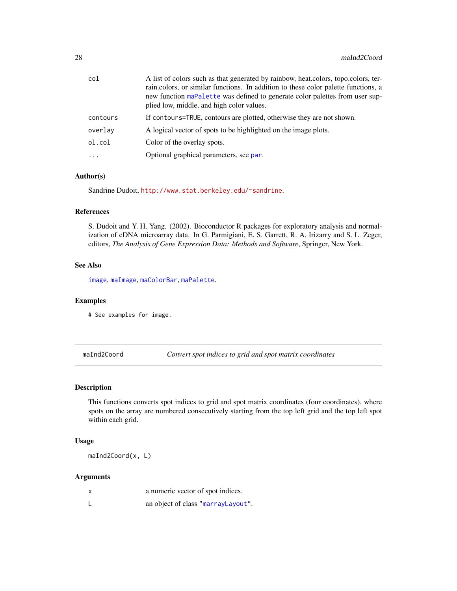<span id="page-27-0"></span>

| col      | A list of colors such as that generated by rainbow, heat colors, topo colors, ter-<br>rain.colors, or similar functions. In addition to these color palette functions, a<br>new function maPalette was defined to generate color palettes from user sup-<br>plied low, middle, and high color values. |
|----------|-------------------------------------------------------------------------------------------------------------------------------------------------------------------------------------------------------------------------------------------------------------------------------------------------------|
| contours | If contours=TRUE, contours are plotted, otherwise they are not shown.                                                                                                                                                                                                                                 |
| overlav  | A logical vector of spots to be highlighted on the image plots.                                                                                                                                                                                                                                       |
| ol.col   | Color of the overlay spots.                                                                                                                                                                                                                                                                           |
| $\cdots$ | Optional graphical parameters, see par.                                                                                                                                                                                                                                                               |

# Author(s)

Sandrine Dudoit, <http://www.stat.berkeley.edu/~sandrine>.

# References

S. Dudoit and Y. H. Yang. (2002). Bioconductor R packages for exploratory analysis and normalization of cDNA microarray data. In G. Parmigiani, E. S. Garrett, R. A. Irizarry and S. L. Zeger, editors, *The Analysis of Gene Expression Data: Methods and Software*, Springer, New York.

# See Also

[image](#page-9-1), [maImage](#page-24-1), [maColorBar](#page-13-1), [maPalette](#page-46-1).

#### Examples

# See examples for image.

<span id="page-27-1"></span>maInd2Coord *Convert spot indices to grid and spot matrix coordinates*

#### Description

This functions converts spot indices to grid and spot matrix coordinates (four coordinates), where spots on the array are numbered consecutively starting from the top left grid and the top left spot within each grid.

#### Usage

maInd2Coord(x, L)

# Arguments

| X | a numeric vector of spot indices.  |
|---|------------------------------------|
|   | an object of class "marrayLayout". |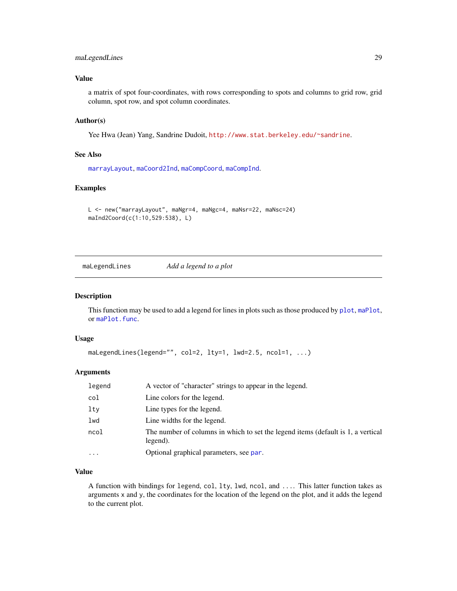# <span id="page-28-0"></span>maLegendLines 29

# Value

a matrix of spot four-coordinates, with rows corresponding to spots and columns to grid row, grid column, spot row, and spot column coordinates.

# Author(s)

Yee Hwa (Jean) Yang, Sandrine Dudoit, <http://www.stat.berkeley.edu/~sandrine>.

#### See Also

[marrayLayout](#page-52-1), [maCoord2Ind](#page-19-1), [maCompCoord](#page-14-1), [maCompInd](#page-15-1).

#### Examples

```
L <- new("marrayLayout", maNgr=4, maNgc=4, maNsr=22, maNsc=24)
maInd2Coord(c(1:10,529:538), L)
```
<span id="page-28-1"></span>maLegendLines *Add a legend to a plot*

# Description

This function may be used to add a legend for lines in [plot](#page-67-1)s such as those produced by plot, [maPlot](#page-48-1), or [maPlot.func](#page-50-1).

#### Usage

```
maLegendLines(legend="", col=2, lty=1, lwd=2.5, ncol=1, ...)
```
#### Arguments

| legend    | A vector of "character" strings to appear in the legend.                                     |
|-----------|----------------------------------------------------------------------------------------------|
| col       | Line colors for the legend.                                                                  |
| lty       | Line types for the legend.                                                                   |
| lwd       | Line widths for the legend.                                                                  |
| ncol      | The number of columns in which to set the legend items (default is 1, a vertical<br>legend). |
| $\ddotsc$ | Optional graphical parameters, see par.                                                      |

# Value

A function with bindings for legend, col, lty, lwd, ncol, and .... This latter function takes as arguments x and y, the coordinates for the location of the legend on the plot, and it adds the legend to the current plot.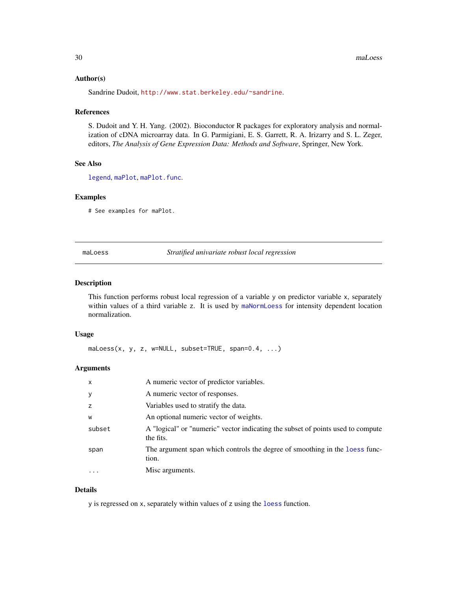#### <span id="page-29-0"></span>Author(s)

Sandrine Dudoit, <http://www.stat.berkeley.edu/~sandrine>.

#### References

S. Dudoit and Y. H. Yang. (2002). Bioconductor R packages for exploratory analysis and normalization of cDNA microarray data. In G. Parmigiani, E. S. Garrett, R. A. Irizarry and S. L. Zeger, editors, *The Analysis of Gene Expression Data: Methods and Software*, Springer, New York.

# See Also

[legend](#page-0-0), [maPlot](#page-48-1), [maPlot.func](#page-50-1).

# Examples

# See examples for maPlot.

#### maLoess *Stratified univariate robust local regression*

#### Description

This function performs robust local regression of a variable y on predictor variable x, separately within values of a third variable z. It is used by [maNormLoess](#page-37-1) for intensity dependent location normalization.

#### Usage

maLoess(x, y, z, w=NULL, subset=TRUE, span=0.4, ...)

#### Arguments

| $\mathsf{x}$ | A numeric vector of predictor variables.                                                     |
|--------------|----------------------------------------------------------------------------------------------|
| У            | A numeric vector of responses.                                                               |
| z            | Variables used to stratify the data.                                                         |
| W            | An optional numeric vector of weights.                                                       |
| subset       | A "logical" or "numeric" vector indicating the subset of points used to compute<br>the fits. |
| span         | The argument span which controls the degree of smoothing in the loess func-<br>tion.         |
| $\ddotsc$    | Misc arguments.                                                                              |
|              |                                                                                              |

# Details

y is regressed on x, separately within values of z using the [loess](#page-0-0) function.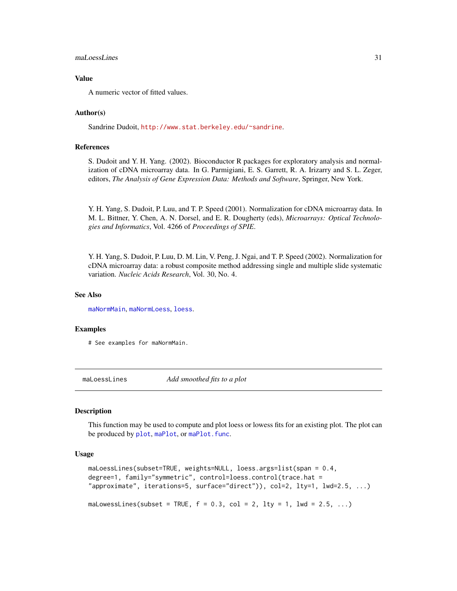#### <span id="page-30-0"></span>maLoessLines 31

# Value

A numeric vector of fitted values.

#### Author(s)

Sandrine Dudoit, <http://www.stat.berkeley.edu/~sandrine>.

#### References

S. Dudoit and Y. H. Yang. (2002). Bioconductor R packages for exploratory analysis and normalization of cDNA microarray data. In G. Parmigiani, E. S. Garrett, R. A. Irizarry and S. L. Zeger, editors, *The Analysis of Gene Expression Data: Methods and Software*, Springer, New York.

Y. H. Yang, S. Dudoit, P. Luu, and T. P. Speed (2001). Normalization for cDNA microarray data. In M. L. Bittner, Y. Chen, A. N. Dorsel, and E. R. Dougherty (eds), *Microarrays: Optical Technologies and Informatics*, Vol. 4266 of *Proceedings of SPIE*.

Y. H. Yang, S. Dudoit, P. Luu, D. M. Lin, V. Peng, J. Ngai, and T. P. Speed (2002). Normalization for cDNA microarray data: a robust composite method addressing single and multiple slide systematic variation. *Nucleic Acids Research*, Vol. 30, No. 4.

#### See Also

[maNormMain](#page-40-1), [maNormLoess](#page-37-1), [loess](#page-0-0).

#### Examples

# See examples for maNormMain.

<span id="page-30-1"></span>maLoessLines *Add smoothed fits to a plot*

#### Description

This function may be used to compute and plot loess or lowess fits for an existing plot. The plot can be produced by [plot](#page-67-1), [maPlot](#page-48-1), or maPlot. func.

#### Usage

```
maLoessLines(subset=TRUE, weights=NULL, loess.args=list(span = 0.4,
degree=1, family="symmetric", control=loess.control(trace.hat =
"approximate", iterations=5, surface="direct")), col=2, lty=1, lwd=2.5, ...)
```
maLowessLines(subset = TRUE,  $f = 0.3$ , col = 2, lty = 1, lwd = 2.5, ...)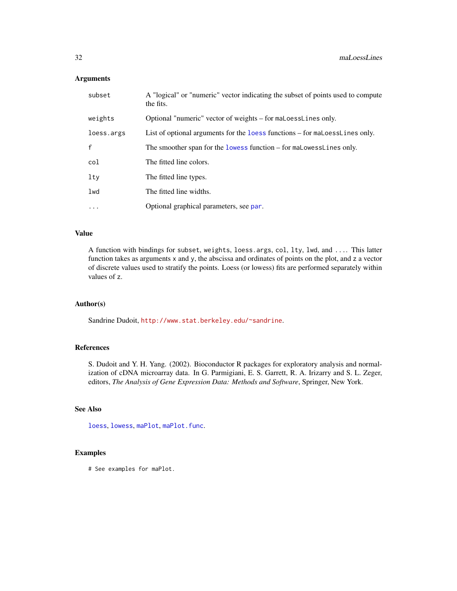# Arguments

| subset       | A "logical" or "numeric" vector indicating the subset of points used to compute<br>the fits. |
|--------------|----------------------------------------------------------------------------------------------|
| weights      | Optional "numeric" vector of weights – for maloesslines only.                                |
| loess.args   | List of optional arguments for the loess functions – for maloess Lines only.                 |
| $\mathsf{f}$ | The smoother span for the lowess function – for maLowessLines only.                          |
| col          | The fitted line colors.                                                                      |
| lty          | The fitted line types.                                                                       |
| lwd          | The fitted line widths.                                                                      |
| $\cdots$     | Optional graphical parameters, see par.                                                      |

# Value

A function with bindings for subset, weights, loess.args, col, lty, lwd, and .... This latter function takes as arguments x and y, the abscissa and ordinates of points on the plot, and z a vector of discrete values used to stratify the points. Loess (or lowess) fits are performed separately within values of z.

# Author(s)

Sandrine Dudoit, <http://www.stat.berkeley.edu/~sandrine>.

# References

S. Dudoit and Y. H. Yang. (2002). Bioconductor R packages for exploratory analysis and normalization of cDNA microarray data. In G. Parmigiani, E. S. Garrett, R. A. Irizarry and S. L. Zeger, editors, *The Analysis of Gene Expression Data: Methods and Software*, Springer, New York.

# See Also

[loess](#page-0-0), [lowess](#page-0-0), [maPlot](#page-48-1), [maPlot.func](#page-50-1).

#### Examples

# See examples for maPlot.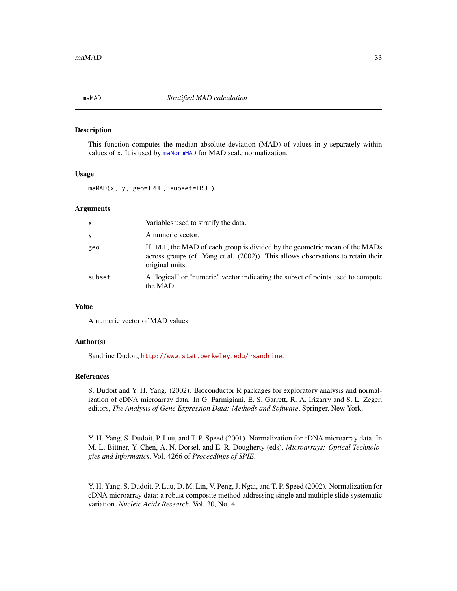<span id="page-32-0"></span>

This function computes the median absolute deviation (MAD) of values in y separately within values of x. It is used by [maNormMAD](#page-39-1) for MAD scale normalization.

#### Usage

maMAD(x, y, geo=TRUE, subset=TRUE)

#### Arguments

| $\mathsf{x}$ | Variables used to stratify the data.                                                                                                                                               |
|--------------|------------------------------------------------------------------------------------------------------------------------------------------------------------------------------------|
| y            | A numeric vector.                                                                                                                                                                  |
| geo          | If TRUE, the MAD of each group is divided by the geometric mean of the MADs<br>across groups (cf. Yang et al. (2002)). This allows observations to retain their<br>original units. |
| subset       | A "logical" or "numeric" vector indicating the subset of points used to compute<br>the MAD.                                                                                        |

# Value

A numeric vector of MAD values.

#### Author(s)

Sandrine Dudoit, <http://www.stat.berkeley.edu/~sandrine>.

#### References

S. Dudoit and Y. H. Yang. (2002). Bioconductor R packages for exploratory analysis and normalization of cDNA microarray data. In G. Parmigiani, E. S. Garrett, R. A. Irizarry and S. L. Zeger, editors, *The Analysis of Gene Expression Data: Methods and Software*, Springer, New York.

Y. H. Yang, S. Dudoit, P. Luu, and T. P. Speed (2001). Normalization for cDNA microarray data. In M. L. Bittner, Y. Chen, A. N. Dorsel, and E. R. Dougherty (eds), *Microarrays: Optical Technologies and Informatics*, Vol. 4266 of *Proceedings of SPIE*.

Y. H. Yang, S. Dudoit, P. Luu, D. M. Lin, V. Peng, J. Ngai, and T. P. Speed (2002). Normalization for cDNA microarray data: a robust composite method addressing single and multiple slide systematic variation. *Nucleic Acids Research*, Vol. 30, No. 4.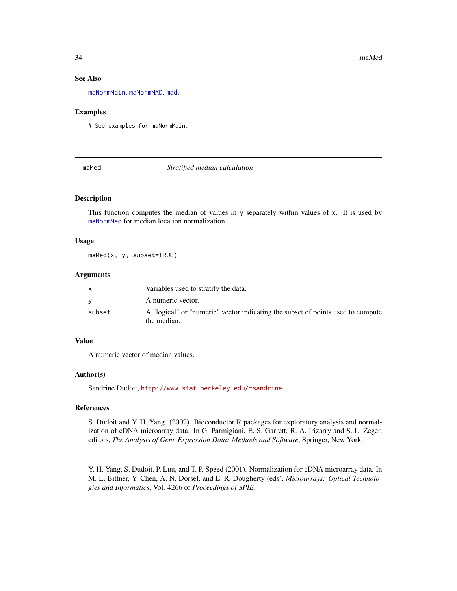#### See Also

[maNormMain](#page-40-1), [maNormMAD](#page-39-1), [mad](#page-0-0).

#### Examples

# See examples for maNormMain.

maMed *Stratified median calculation*

#### Description

This function computes the median of values in y separately within values of x. It is used by [maNormMed](#page-42-1) for median location normalization.

#### Usage

maMed(x, y, subset=TRUE)

# Arguments

|        | Variables used to stratify the data.                                                           |
|--------|------------------------------------------------------------------------------------------------|
|        | A numeric vector.                                                                              |
| subset | A "logical" or "numeric" vector indicating the subset of points used to compute<br>the median. |

#### Value

A numeric vector of median values.

#### Author(s)

Sandrine Dudoit, <http://www.stat.berkeley.edu/~sandrine>.

# References

S. Dudoit and Y. H. Yang. (2002). Bioconductor R packages for exploratory analysis and normalization of cDNA microarray data. In G. Parmigiani, E. S. Garrett, R. A. Irizarry and S. L. Zeger, editors, *The Analysis of Gene Expression Data: Methods and Software*, Springer, New York.

Y. H. Yang, S. Dudoit, P. Luu, and T. P. Speed (2001). Normalization for cDNA microarray data. In M. L. Bittner, Y. Chen, A. N. Dorsel, and E. R. Dougherty (eds), *Microarrays: Optical Technologies and Informatics*, Vol. 4266 of *Proceedings of SPIE*.

<span id="page-33-0"></span>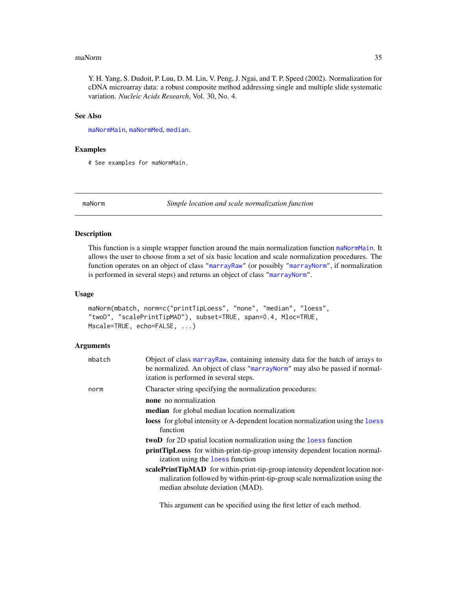#### <span id="page-34-0"></span>maNorm 35

Y. H. Yang, S. Dudoit, P. Luu, D. M. Lin, V. Peng, J. Ngai, and T. P. Speed (2002). Normalization for cDNA microarray data: a robust composite method addressing single and multiple slide systematic variation. *Nucleic Acids Research*, Vol. 30, No. 4.

# See Also

[maNormMain](#page-40-1), [maNormMed](#page-42-1), [median](#page-0-0).

#### Examples

# See examples for maNormMain.

maNorm *Simple location and scale normalization function*

# Description

This function is a simple wrapper function around the main normalization function [maNormMain](#page-40-1). It allows the user to choose from a set of six basic location and scale normalization procedures. The function operates on an object of class ["marrayRaw"](#page-58-1) (or possibly ["marrayNorm"](#page-55-1), if normalization is performed in several steps) and returns an object of class ["marrayNorm"](#page-55-1).

#### Usage

```
maNorm(mbatch, norm=c("printTipLoess", "none", "median", "loess",
"twoD", "scalePrintTipMAD"), subset=TRUE, span=0.4, Mloc=TRUE,
Mscale=TRUE, echo=FALSE, ...)
```
# Arguments

| mbatch | Object of class marray Raw, containing intensity data for the batch of arrays to<br>be normalized. An object of class "marrayNorm" may also be passed if normal-<br>ization is performed in several steps. |
|--------|------------------------------------------------------------------------------------------------------------------------------------------------------------------------------------------------------------|
| norm   | Character string specifying the normalization procedures:                                                                                                                                                  |
|        | <b>none</b> no normalization                                                                                                                                                                               |
|        | <b>median</b> for global median location normalization                                                                                                                                                     |
|        | loess for global intensity or A-dependent location normalization using the loess<br>function                                                                                                               |
|        | <b>twoD</b> for 2D spatial location normalization using the loss function                                                                                                                                  |
|        | <b>printTipLoess</b> for within-print-tip-group intensity dependent location normal-<br>ization using the loss function                                                                                    |
|        | scalePrintTipMAD for within-print-tip-group intensity dependent location nor-<br>malization followed by within-print-tip-group scale normalization using the<br>median absolute deviation (MAD).           |

This argument can be specified using the first letter of each method.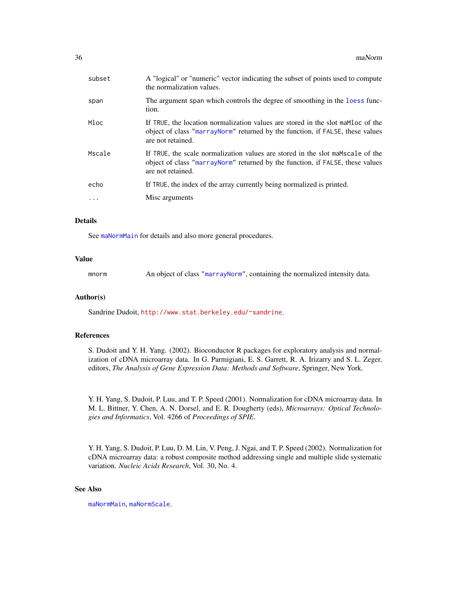| subset    | A "logical" or "numeric" vector indicating the subset of points used to compute<br>the normalization values.                                                                           |
|-----------|----------------------------------------------------------------------------------------------------------------------------------------------------------------------------------------|
| span      | The argument span which controls the degree of smoothing in the loess func-<br>tion.                                                                                                   |
| Mloc      | If TRUE, the location normalization values are stored in the slot mamble of the<br>object of class "marrayNorm" returned by the function, if FALSE, these values<br>are not retained.  |
| Mscale    | If TRUE, the scale normalization values are stored in the slot mambroacle of the<br>object of class "marrayNorm" returned by the function, if FALSE, these values<br>are not retained. |
| echo      | If TRUE, the index of the array currently being normalized is printed.                                                                                                                 |
| $\ddotsc$ | Misc arguments                                                                                                                                                                         |
|           |                                                                                                                                                                                        |

# Details

See [maNormMain](#page-40-1) for details and also more general procedures.

# Value

mnorm An object of class ["marrayNorm"](#page-55-1), containing the normalized intensity data.

#### Author(s)

Sandrine Dudoit, <http://www.stat.berkeley.edu/~sandrine>.

# References

S. Dudoit and Y. H. Yang. (2002). Bioconductor R packages for exploratory analysis and normalization of cDNA microarray data. In G. Parmigiani, E. S. Garrett, R. A. Irizarry and S. L. Zeger, editors, *The Analysis of Gene Expression Data: Methods and Software*, Springer, New York.

Y. H. Yang, S. Dudoit, P. Luu, and T. P. Speed (2001). Normalization for cDNA microarray data. In M. L. Bittner, Y. Chen, A. N. Dorsel, and E. R. Dougherty (eds), *Microarrays: Optical Technologies and Informatics*, Vol. 4266 of *Proceedings of SPIE*.

Y. H. Yang, S. Dudoit, P. Luu, D. M. Lin, V. Peng, J. Ngai, and T. P. Speed (2002). Normalization for cDNA microarray data: a robust composite method addressing single and multiple slide systematic variation. *Nucleic Acids Research*, Vol. 30, No. 4.

# See Also

[maNormMain](#page-40-1), [maNormScale](#page-43-1).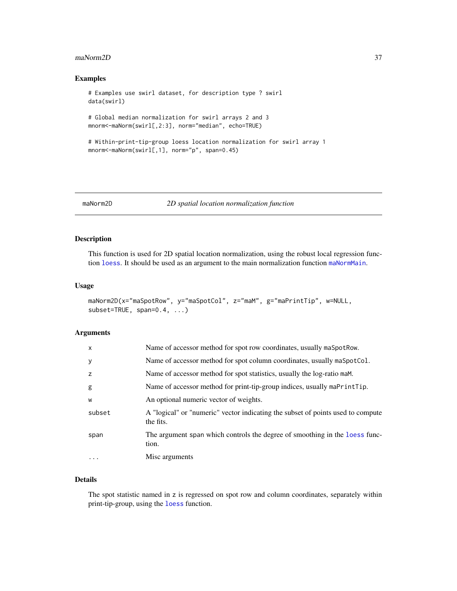#### maNorm2D 37

# Examples

```
# Examples use swirl dataset, for description type ? swirl
data(swirl)
# Global median normalization for swirl arrays 2 and 3
mnorm<-maNorm(swirl[,2:3], norm="median", echo=TRUE)
# Within-print-tip-group loess location normalization for swirl array 1
mnorm<-maNorm(swirl[,1], norm="p", span=0.45)
```
<span id="page-36-0"></span>

# maNorm2D *2D spatial location normalization function*

# Description

This function is used for 2D spatial location normalization, using the robust local regression function [loess](#page-0-0). It should be used as an argument to the main normalization function [maNormMain](#page-40-0).

#### Usage

```
maNorm2D(x="maSpotRow", y="maSpotCol", z="maM", g="maPrintTip", w=NULL,
subset=TRUE, span=0.4, ...)
```
# Arguments

| $\times$  | Name of accessor method for spot row coordinates, usually maspot Row.                        |
|-----------|----------------------------------------------------------------------------------------------|
| У         | Name of accessor method for spot column coordinates, usually maSpotCol.                      |
| z         | Name of accessor method for spot statistics, usually the log-ratio maM.                      |
| g         | Name of accessor method for print-tip-group indices, usually maPrintTip.                     |
| W         | An optional numeric vector of weights.                                                       |
| subset    | A "logical" or "numeric" vector indicating the subset of points used to compute<br>the fits. |
| span      | The argument span which controls the degree of smoothing in the loess func-<br>tion.         |
| $\ddotsc$ | Misc arguments                                                                               |
|           |                                                                                              |

# Details

The spot statistic named in z is regressed on spot row and column coordinates, separately within print-tip-group, using the [loess](#page-0-0) function.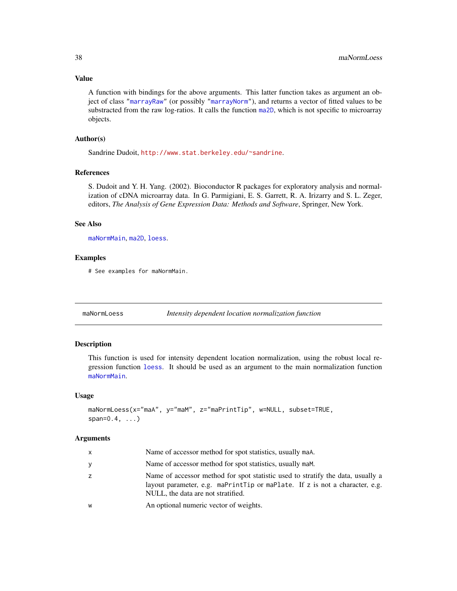# Value

A function with bindings for the above arguments. This latter function takes as argument an object of class ["marrayRaw"](#page-58-0) (or possibly ["marrayNorm"](#page-55-0)), and returns a vector of fitted values to be substracted from the raw log-ratios. It calls the function [ma2D](#page-11-0), which is not specific to microarray objects.

# Author(s)

Sandrine Dudoit, <http://www.stat.berkeley.edu/~sandrine>.

## References

S. Dudoit and Y. H. Yang. (2002). Bioconductor R packages for exploratory analysis and normalization of cDNA microarray data. In G. Parmigiani, E. S. Garrett, R. A. Irizarry and S. L. Zeger, editors, *The Analysis of Gene Expression Data: Methods and Software*, Springer, New York.

#### See Also

[maNormMain](#page-40-0), [ma2D](#page-11-0), [loess](#page-0-0).

## Examples

# See examples for maNormMain.

<span id="page-37-0"></span>

maNormLoess *Intensity dependent location normalization function*

# **Description**

This function is used for intensity dependent location normalization, using the robust local regression function [loess](#page-0-0). It should be used as an argument to the main normalization function [maNormMain](#page-40-0).

#### Usage

```
maNormLoess(x="maA", y="maM", z="maPrintTip", w=NULL, subset=TRUE,
span=0.4, \ldots)
```
#### **Arguments**

| $\mathsf{x}$ | Name of accessor method for spot statistics, usually maA.                                                                                                                                            |
|--------------|------------------------------------------------------------------------------------------------------------------------------------------------------------------------------------------------------|
| y            | Name of accessor method for spot statistics, usually maM.                                                                                                                                            |
|              | Name of accessor method for spot statistic used to stratify the data, usually a<br>layout parameter, e.g. maPrintTip or maPlate. If z is not a character, e.g.<br>NULL, the data are not stratified. |
| W            | An optional numeric vector of weights.                                                                                                                                                               |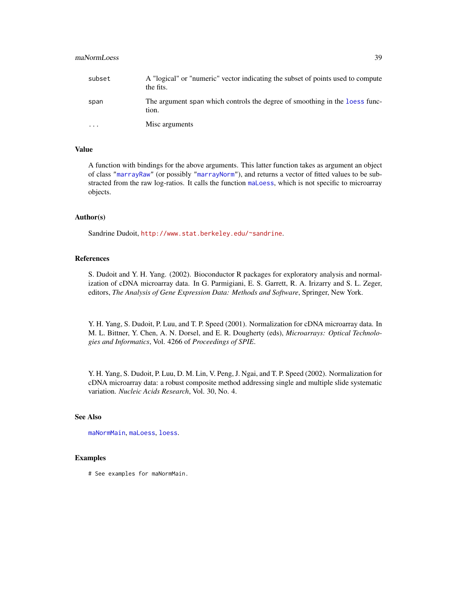# maNormLoess 39

| subset    | A "logical" or "numeric" vector indicating the subset of points used to compute<br>the fits. |
|-----------|----------------------------------------------------------------------------------------------|
| span      | The argument span which controls the degree of smoothing in the loess func-<br>tion.         |
| $\ddotsc$ | Misc arguments                                                                               |

# Value

A function with bindings for the above arguments. This latter function takes as argument an object of class ["marrayRaw"](#page-58-0) (or possibly ["marrayNorm"](#page-55-0)), and returns a vector of fitted values to be substracted from the raw log-ratios. It calls the function [maLoess](#page-29-0), which is not specific to microarray objects.

# Author(s)

Sandrine Dudoit, <http://www.stat.berkeley.edu/~sandrine>.

# References

S. Dudoit and Y. H. Yang. (2002). Bioconductor R packages for exploratory analysis and normalization of cDNA microarray data. In G. Parmigiani, E. S. Garrett, R. A. Irizarry and S. L. Zeger, editors, *The Analysis of Gene Expression Data: Methods and Software*, Springer, New York.

Y. H. Yang, S. Dudoit, P. Luu, and T. P. Speed (2001). Normalization for cDNA microarray data. In M. L. Bittner, Y. Chen, A. N. Dorsel, and E. R. Dougherty (eds), *Microarrays: Optical Technologies and Informatics*, Vol. 4266 of *Proceedings of SPIE*.

Y. H. Yang, S. Dudoit, P. Luu, D. M. Lin, V. Peng, J. Ngai, and T. P. Speed (2002). Normalization for cDNA microarray data: a robust composite method addressing single and multiple slide systematic variation. *Nucleic Acids Research*, Vol. 30, No. 4.

# See Also

[maNormMain](#page-40-0), [maLoess](#page-29-0), [loess](#page-0-0).

# Examples

# See examples for maNormMain.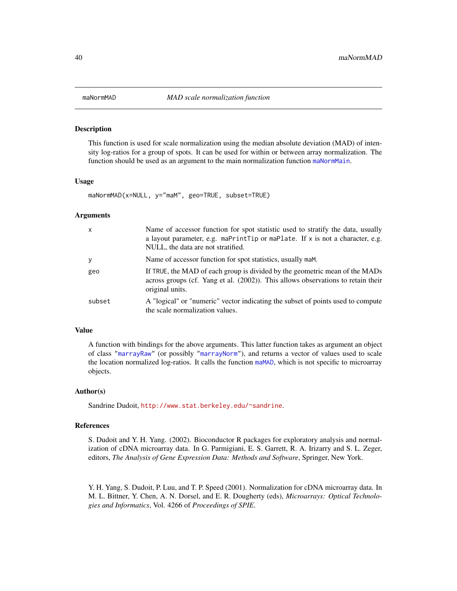<span id="page-39-0"></span>

This function is used for scale normalization using the median absolute deviation (MAD) of intensity log-ratios for a group of spots. It can be used for within or between array normalization. The function should be used as an argument to the main normalization function [maNormMain](#page-40-0).

## Usage

maNormMAD(x=NULL, y="maM", geo=TRUE, subset=TRUE)

## **Arguments**

| $\mathsf{x}$ | Name of accessor function for spot statistic used to stratify the data, usually<br>a layout parameter, e.g. maPrintTip or maPlate. If $x$ is not a character, e.g.<br>NULL, the data are not stratified. |
|--------------|----------------------------------------------------------------------------------------------------------------------------------------------------------------------------------------------------------|
| y            | Name of accessor function for spot statistics, usually maM.                                                                                                                                              |
| geo          | If TRUE, the MAD of each group is divided by the geometric mean of the MADs<br>across groups (cf. Yang et al. (2002)). This allows observations to retain their<br>original units.                       |
| subset       | A "logical" or "numeric" vector indicating the subset of points used to compute<br>the scale normalization values.                                                                                       |

## Value

A function with bindings for the above arguments. This latter function takes as argument an object of class ["marrayRaw"](#page-58-0) (or possibly ["marrayNorm"](#page-55-0)), and returns a vector of values used to scale the location normalized log-ratios. It calls the function [maMAD](#page-32-0), which is not specific to microarray objects.

#### Author(s)

Sandrine Dudoit, <http://www.stat.berkeley.edu/~sandrine>.

#### References

S. Dudoit and Y. H. Yang. (2002). Bioconductor R packages for exploratory analysis and normalization of cDNA microarray data. In G. Parmigiani, E. S. Garrett, R. A. Irizarry and S. L. Zeger, editors, *The Analysis of Gene Expression Data: Methods and Software*, Springer, New York.

Y. H. Yang, S. Dudoit, P. Luu, and T. P. Speed (2001). Normalization for cDNA microarray data. In M. L. Bittner, Y. Chen, A. N. Dorsel, and E. R. Dougherty (eds), *Microarrays: Optical Technologies and Informatics*, Vol. 4266 of *Proceedings of SPIE*.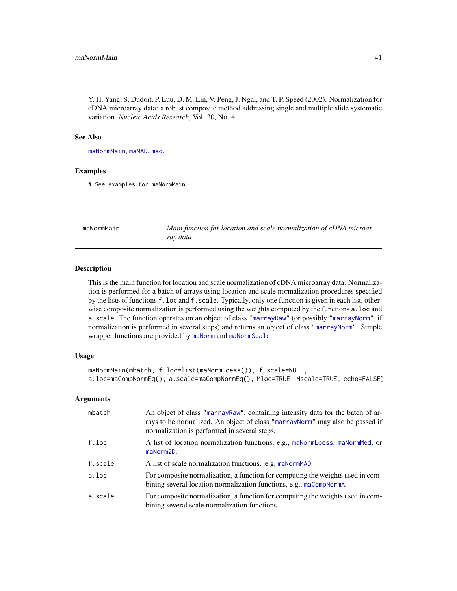Y. H. Yang, S. Dudoit, P. Luu, D. M. Lin, V. Peng, J. Ngai, and T. P. Speed (2002). Normalization for cDNA microarray data: a robust composite method addressing single and multiple slide systematic variation. *Nucleic Acids Research*, Vol. 30, No. 4.

# See Also

[maNormMain](#page-40-0), [maMAD](#page-32-0), [mad](#page-0-0).

## Examples

# See examples for maNormMain.

<span id="page-40-0"></span>

| maNormMain | Main function for location and scale normalization of cDNA microar- |
|------------|---------------------------------------------------------------------|
|            | ray data                                                            |

#### Description

This is the main function for location and scale normalization of cDNA microarray data. Normalization is performed for a batch of arrays using location and scale normalization procedures specified by the lists of functions f.loc and f.scale. Typically, only one function is given in each list, otherwise composite normalization is performed using the weights computed by the functions a.loc and a.scale. The function operates on an object of class ["marrayRaw"](#page-58-0) (or possibly ["marrayNorm"](#page-55-0), if normalization is performed in several steps) and returns an object of class ["marrayNorm"](#page-55-0). Simple wrapper functions are provided by [maNorm](#page-34-0) and [maNormScale](#page-43-0).

# Usage

```
maNormMain(mbatch, f.loc=list(maNormLoess()), f.scale=NULL,
a.loc=maCompNormEq(), a.scale=maCompNormEq(), Mloc=TRUE, Mscale=TRUE, echo=FALSE)
```
## Arguments

| mbatch   | An object of class "marrayRaw", containing intensity data for the batch of ar-<br>rays to be normalized. An object of class "marrayNorm" may also be passed if<br>normalization is performed in several steps. |
|----------|----------------------------------------------------------------------------------------------------------------------------------------------------------------------------------------------------------------|
| $f.$ loc | A list of location normalization functions, e.g., maNormLoess, maNormMed, or<br>maNorm2D.                                                                                                                      |
| f.scale  | A list of scale normalization functions, .e.g, maNormMAD.                                                                                                                                                      |
| a.loc    | For composite normalization, a function for computing the weights used in com-<br>bining several location normalization functions, e.g., maCompNormA.                                                          |
| a.scale  | For composite normalization, a function for computing the weights used in com-<br>bining several scale normalization functions.                                                                                |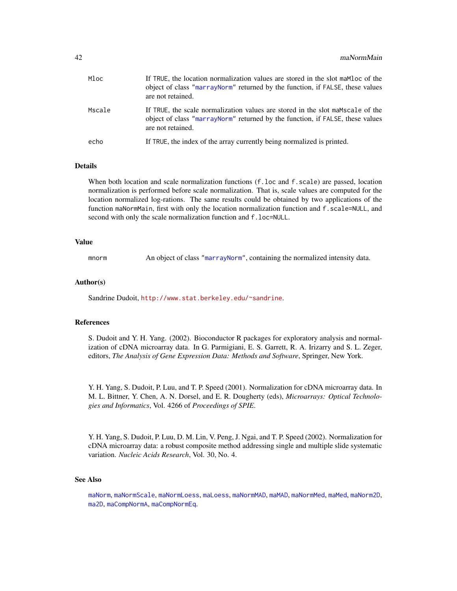| Mloc   | If TRUE, the location normalization values are stored in the slot maMloc of the<br>object of class "marrayNorm" returned by the function, if FALSE, these values<br>are not retained.  |
|--------|----------------------------------------------------------------------------------------------------------------------------------------------------------------------------------------|
| Mscale | If TRUE, the scale normalization values are stored in the slot mambracale of the<br>object of class "marrayNorm" returned by the function, if FALSE, these values<br>are not retained. |
| echo   | If TRUE, the index of the array currently being normalized is printed.                                                                                                                 |

# **Details**

When both location and scale normalization functions (f.loc and f. scale) are passed, location normalization is performed before scale normalization. That is, scale values are computed for the location normalized log-rations. The same results could be obtained by two applications of the function maNormMain, first with only the location normalization function and f.scale=NULL, and second with only the scale normalization function and f.loc=NULL.

## Value

mnorm An object of class ["marrayNorm"](#page-55-0), containing the normalized intensity data.

# Author(s)

Sandrine Dudoit, <http://www.stat.berkeley.edu/~sandrine>.

#### References

S. Dudoit and Y. H. Yang. (2002). Bioconductor R packages for exploratory analysis and normalization of cDNA microarray data. In G. Parmigiani, E. S. Garrett, R. A. Irizarry and S. L. Zeger, editors, *The Analysis of Gene Expression Data: Methods and Software*, Springer, New York.

Y. H. Yang, S. Dudoit, P. Luu, and T. P. Speed (2001). Normalization for cDNA microarray data. In M. L. Bittner, Y. Chen, A. N. Dorsel, and E. R. Dougherty (eds), *Microarrays: Optical Technologies and Informatics*, Vol. 4266 of *Proceedings of SPIE*.

Y. H. Yang, S. Dudoit, P. Luu, D. M. Lin, V. Peng, J. Ngai, and T. P. Speed (2002). Normalization for cDNA microarray data: a robust composite method addressing single and multiple slide systematic variation. *Nucleic Acids Research*, Vol. 30, No. 4.

# See Also

[maNorm](#page-34-0), [maNormScale](#page-43-0), [maNormLoess](#page-37-0), [maLoess](#page-29-0), [maNormMAD](#page-39-0), [maMAD](#page-32-0), [maNormMed](#page-42-0), [maMed](#page-33-0), [maNorm2D](#page-36-0), [ma2D](#page-11-0), [maCompNormA](#page-17-0), [maCompNormEq](#page-17-1).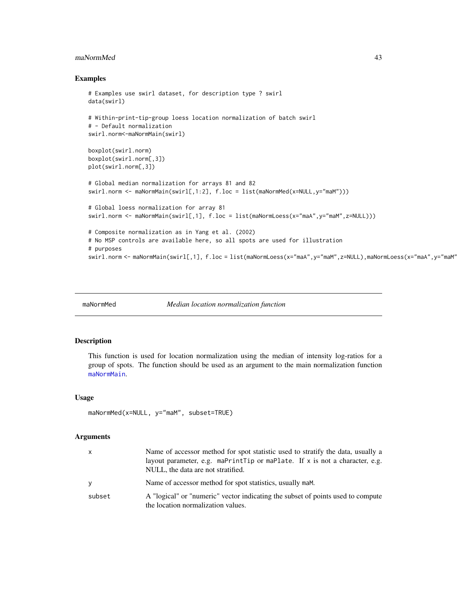#### maNormMed 43

## Examples

```
# Examples use swirl dataset, for description type ? swirl
data(swirl)
# Within-print-tip-group loess location normalization of batch swirl
# - Default normalization
swirl.norm<-maNormMain(swirl)
boxplot(swirl.norm)
boxplot(swirl.norm[,3])
plot(swirl.norm[,3])
# Global median normalization for arrays 81 and 82
swirl.norm <- maNormMain(swirl[,1:2], f.loc = list(maNormMed(x=NULL,y="maM")))
# Global loess normalization for array 81
swirl.norm <- maNormMain(swirl[,1], f.loc = list(maNormLoess(x="maA",y="maM",z=NULL)))
# Composite normalization as in Yang et al. (2002)
# No MSP controls are available here, so all spots are used for illustration
# purposes
swirl.norm <- maNormMain(swirl[,1], f.loc = list(maNormLoess(x="maA",y="maM",z=NULL),maNormLoess(x="maA",y="maM"
```
<span id="page-42-0"></span>

maNormMed *Median location normalization function*

# Description

This function is used for location normalization using the median of intensity log-ratios for a group of spots. The function should be used as an argument to the main normalization function [maNormMain](#page-40-0).

# Usage

```
maNormMed(x=NULL, y="maM", subset=TRUE)
```
#### Arguments

| x      | Name of accessor method for spot statistic used to stratify the data, usually a<br>layout parameter, e.g. maPrintTip or maPlate. If $x$ is not a character, e.g.<br>NULL, the data are not stratified. |
|--------|--------------------------------------------------------------------------------------------------------------------------------------------------------------------------------------------------------|
| v      | Name of accessor method for spot statistics, usually mam.                                                                                                                                              |
| subset | A "logical" or "numeric" vector indicating the subset of points used to compute<br>the location normalization values.                                                                                  |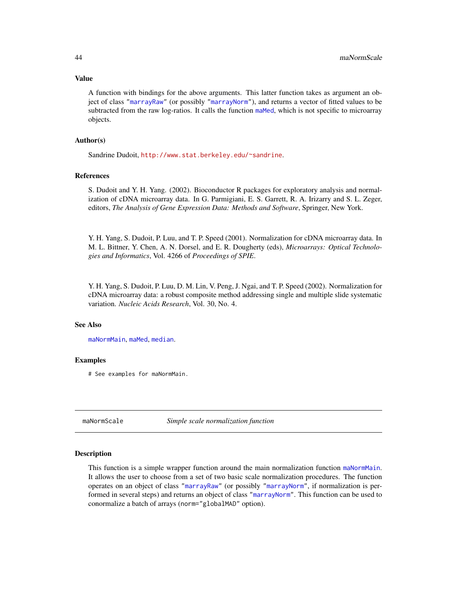### Value

A function with bindings for the above arguments. This latter function takes as argument an object of class ["marrayRaw"](#page-58-0) (or possibly ["marrayNorm"](#page-55-0)), and returns a vector of fitted values to be subtracted from the raw log-ratios. It calls the function [maMed](#page-33-0), which is not specific to microarray objects.

# Author(s)

Sandrine Dudoit, <http://www.stat.berkeley.edu/~sandrine>.

# References

S. Dudoit and Y. H. Yang. (2002). Bioconductor R packages for exploratory analysis and normalization of cDNA microarray data. In G. Parmigiani, E. S. Garrett, R. A. Irizarry and S. L. Zeger, editors, *The Analysis of Gene Expression Data: Methods and Software*, Springer, New York.

Y. H. Yang, S. Dudoit, P. Luu, and T. P. Speed (2001). Normalization for cDNA microarray data. In M. L. Bittner, Y. Chen, A. N. Dorsel, and E. R. Dougherty (eds), *Microarrays: Optical Technologies and Informatics*, Vol. 4266 of *Proceedings of SPIE*.

Y. H. Yang, S. Dudoit, P. Luu, D. M. Lin, V. Peng, J. Ngai, and T. P. Speed (2002). Normalization for cDNA microarray data: a robust composite method addressing single and multiple slide systematic variation. *Nucleic Acids Research*, Vol. 30, No. 4.

#### See Also

[maNormMain](#page-40-0), [maMed](#page-33-0), [median](#page-0-0).

# Examples

# See examples for maNormMain.

<span id="page-43-0"></span>

maNormScale *Simple scale normalization function*

## Description

This function is a simple wrapper function around the main normalization function [maNormMain](#page-40-0). It allows the user to choose from a set of two basic scale normalization procedures. The function operates on an object of class ["marrayRaw"](#page-58-0) (or possibly ["marrayNorm"](#page-55-0), if normalization is performed in several steps) and returns an object of class ["marrayNorm"](#page-55-0). This function can be used to conormalize a batch of arrays (norm="globalMAD" option).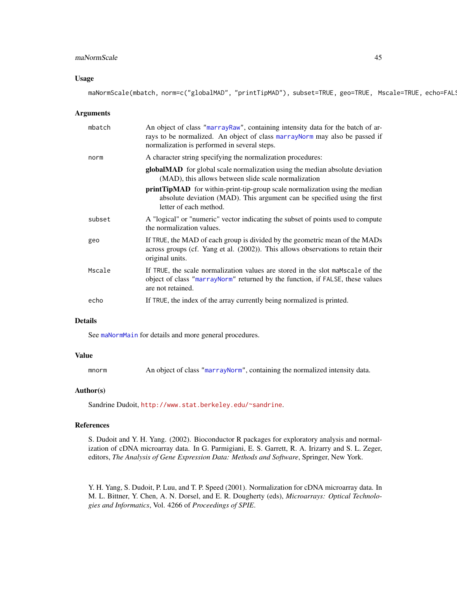# maNormScale 45

## Usage

maNormScale(mbatch, norm=c("globalMAD", "printTipMAD"), subset=TRUE, geo=TRUE, Mscale=TRUE, echo=FAL!

## Arguments

| mbatch | An object of class "marrayRaw", containing intensity data for the batch of ar-<br>rays to be normalized. An object of class marrayNorm may also be passed if<br>normalization is performed in several steps. |  |
|--------|--------------------------------------------------------------------------------------------------------------------------------------------------------------------------------------------------------------|--|
| norm   | A character string specifying the normalization procedures:                                                                                                                                                  |  |
|        | globalMAD for global scale normalization using the median absolute deviation<br>(MAD), this allows between slide scale normalization                                                                         |  |
|        | <b>printTipMAD</b> for within-print-tip-group scale normalization using the median<br>absolute deviation (MAD). This argument can be specified using the first<br>letter of each method.                     |  |
| subset | A "logical" or "numeric" vector indicating the subset of points used to compute<br>the normalization values.                                                                                                 |  |
| geo    | If TRUE, the MAD of each group is divided by the geometric mean of the MADs<br>across groups (cf. Yang et al. (2002)). This allows observations to retain their<br>original units.                           |  |
| Mscale | If TRUE, the scale normalization values are stored in the slot mambrace of the<br>object of class "marrayNorm" returned by the function, if FALSE, these values<br>are not retained.                         |  |
| echo   | If TRUE, the index of the array currently being normalized is printed.                                                                                                                                       |  |

# Details

See [maNormMain](#page-40-0) for details and more general procedures.

#### Value

| mnorm | An object of class "marrayNorm", containing the normalized intensity data. |  |  |
|-------|----------------------------------------------------------------------------|--|--|
|       |                                                                            |  |  |

# Author(s)

Sandrine Dudoit, <http://www.stat.berkeley.edu/~sandrine>.

#### References

S. Dudoit and Y. H. Yang. (2002). Bioconductor R packages for exploratory analysis and normalization of cDNA microarray data. In G. Parmigiani, E. S. Garrett, R. A. Irizarry and S. L. Zeger, editors, *The Analysis of Gene Expression Data: Methods and Software*, Springer, New York.

Y. H. Yang, S. Dudoit, P. Luu, and T. P. Speed (2001). Normalization for cDNA microarray data. In M. L. Bittner, Y. Chen, A. N. Dorsel, and E. R. Dougherty (eds), *Microarrays: Optical Technologies and Informatics*, Vol. 4266 of *Proceedings of SPIE*.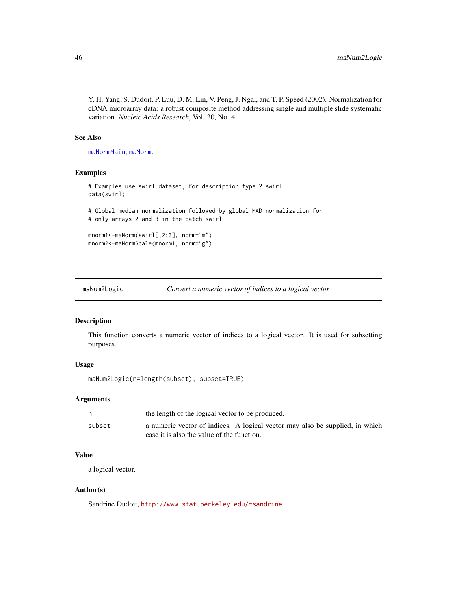Y. H. Yang, S. Dudoit, P. Luu, D. M. Lin, V. Peng, J. Ngai, and T. P. Speed (2002). Normalization for cDNA microarray data: a robust composite method addressing single and multiple slide systematic variation. *Nucleic Acids Research*, Vol. 30, No. 4.

# See Also

[maNormMain](#page-40-0), [maNorm](#page-34-0).

## Examples

```
# Examples use swirl dataset, for description type ? swirl
data(swirl)
# Global median normalization followed by global MAD normalization for
# only arrays 2 and 3 in the batch swirl
mnorm1<-maNorm(swirl[,2:3], norm="m")
mnorm2<-maNormScale(mnorm1, norm="g")
```

| Convert a numeric vector of indices to a logical vector<br>maNum2Logic |  |  |
|------------------------------------------------------------------------|--|--|
|------------------------------------------------------------------------|--|--|

# Description

This function converts a numeric vector of indices to a logical vector. It is used for subsetting purposes.

# Usage

```
maNum2Logic(n=length(subset), subset=TRUE)
```
#### Arguments

|        | the length of the logical vector to be produced.                             |
|--------|------------------------------------------------------------------------------|
| subset | a numeric vector of indices. A logical vector may also be supplied, in which |
|        | case it is also the value of the function.                                   |

# Value

a logical vector.

# Author(s)

Sandrine Dudoit, <http://www.stat.berkeley.edu/~sandrine>.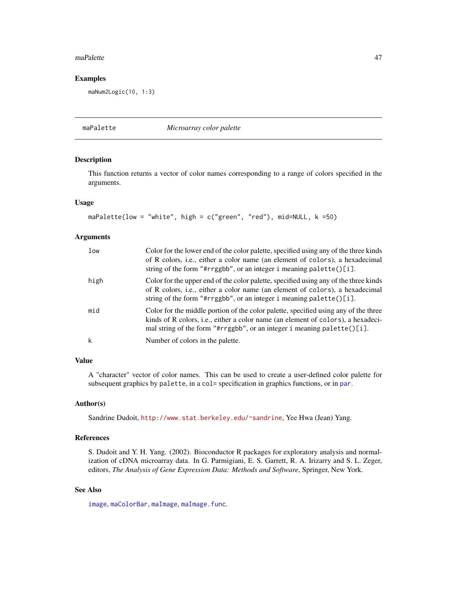#### maPalette and the set of the set of the set of the set of the set of the set of the set of the set of the set of the set of the set of the set of the set of the set of the set of the set of the set of the set of the set of

## Examples

maNum2Logic(10, 1:3)

maPalette *Microarray color palette*

# Description

This function returns a vector of color names corresponding to a range of colors specified in the arguments.

#### Usage

```
maPalette(low = "white", high = c("green", "red"), mid=NULL, k =50)
```
## **Arguments**

| low  | Color for the lower end of the color palette, specified using any of the three kinds<br>of R colors, i.e., either a color name (an element of colors), a hexadecimal<br>string of the form "#rrggbb", or an integer i meaning palette()[i].            |
|------|--------------------------------------------------------------------------------------------------------------------------------------------------------------------------------------------------------------------------------------------------------|
| high | Color for the upper end of the color palette, specified using any of the three kinds<br>of R colors, i.e., either a color name (an element of colors), a hexadecimal<br>string of the form "#rrggbb", or an integer i meaning palette( $)[i]$ .        |
| mid  | Color for the middle portion of the color palette, specified using any of the three<br>kinds of R colors, i.e., either a color name (an element of colors), a hexadeci-<br>mal string of the form "#rrggbb", or an integer i meaning palette $()$ [i]. |
| k    | Number of colors in the palette.                                                                                                                                                                                                                       |

# Value

A "character" vector of color names. This can be used to create a user-defined color palette for subsequent graphics by palette, in a col= specification in graphics functions, or in [par](#page-0-0).

## Author(s)

Sandrine Dudoit, <http://www.stat.berkeley.edu/~sandrine>, Yee Hwa (Jean) Yang.

# References

S. Dudoit and Y. H. Yang. (2002). Bioconductor R packages for exploratory analysis and normalization of cDNA microarray data. In G. Parmigiani, E. S. Garrett, R. A. Irizarry and S. L. Zeger, editors, *The Analysis of Gene Expression Data: Methods and Software*, Springer, New York.

## See Also

[image](#page-9-0), [maColorBar](#page-13-0), [maImage](#page-24-0), [maImage.func](#page-26-0).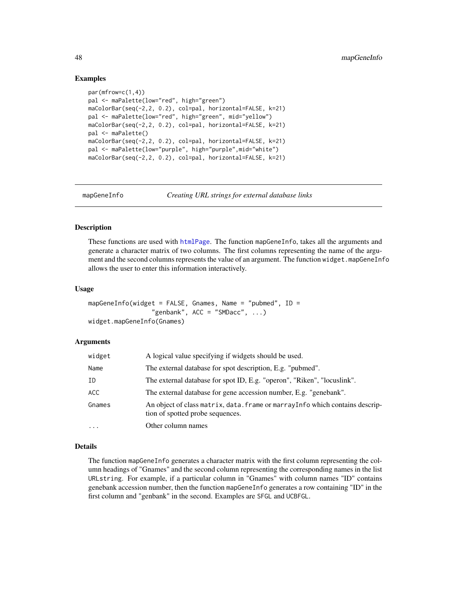# Examples

```
par(mfrow=c(1,4))
pal <- maPalette(low="red", high="green")
maColorBar(seq(-2,2, 0.2), col=pal, horizontal=FALSE, k=21)
pal <- maPalette(low="red", high="green", mid="yellow")
maColorBar(seq(-2,2, 0.2), col=pal, horizontal=FALSE, k=21)
pal <- maPalette()
maColorBar(seq(-2,2, 0.2), col=pal, horizontal=FALSE, k=21)
pal <- maPalette(low="purple", high="purple",mid="white")
maColorBar(seq(-2,2, 0.2), col=pal, horizontal=FALSE, k=21)
```
mapGeneInfo *Creating URL strings for external database links*

# <span id="page-47-0"></span>Description

These functions are used with [htmlPage](#page-7-0). The function mapGeneInfo, takes all the arguments and generate a character matrix of two columns. The first columns representing the name of the argument and the second columns represents the value of an argument. The function widget.mapGeneInfo allows the user to enter this information interactively.

#### Usage

```
mapGeneInfo(widget = FALSE, Gnames, Name = "pubmed", ID =
                 "genbank", ACC = "SMDacc", ...widget.mapGeneInfo(Gnames)
```
## Arguments

| widget | A logical value specifying if widgets should be used.                                                             |
|--------|-------------------------------------------------------------------------------------------------------------------|
| Name   | The external database for spot description, E.g. "pubmed".                                                        |
| ΙD     | The external database for spot ID, E.g. "operon", "Riken", "locuslink".                                           |
| ACC.   | The external database for gene accession number, E.g. "genebank".                                                 |
| Gnames | An object of class matrix, data. frame or marray Info which contains descrip-<br>tion of spotted probe sequences. |
| .      | Other column names                                                                                                |

## Details

The function mapGeneInfo generates a character matrix with the first column representing the column headings of "Gnames" and the second column representing the corresponding names in the list URLstring. For example, if a particular column in "Gnames" with column names "ID" contains genebank accession number, then the function mapGeneInfo generates a row containing "ID" in the first column and "genbank" in the second. Examples are SFGL and UCBFGL.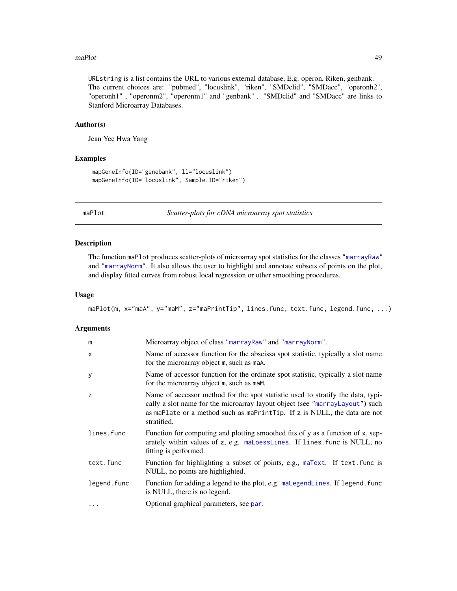#### maPlot **49**

URLstring is a list contains the URL to various external database, E.g. operon, Riken, genbank. The current choices are: "pubmed", "locuslink", "riken", "SMDclid", "SMDacc", "operonh2", "operonh1" , "operonm2", "operonm1" and "genbank" . "SMDclid" and "SMDacc" are links to Stanford Microarray Databases.

#### Author(s)

Jean Yee Hwa Yang

## Examples

```
mapGeneInfo(ID="genebank", ll="locuslink")
mapGeneInfo(ID="locuslink", Sample.ID="riken")
```
<span id="page-48-0"></span>

maPlot *Scatter-plots for cDNA microarray spot statistics*

# Description

The function maPlot produces scatter-plots of microarray spot statistics for the classes ["marrayRaw"](#page-58-0) and ["marrayNorm"](#page-55-0). It also allows the user to highlight and annotate subsets of points on the plot, and display fitted curves from robust local regression or other smoothing procedures.

## Usage

maPlot(m, x="maA", y="maM", z="maPrintTip", lines.func, text.func, legend.func, ...)

# Arguments

| m           | Microarray object of class "marrayRaw" and "marrayNorm".                                                                                                                                                                                                    |
|-------------|-------------------------------------------------------------------------------------------------------------------------------------------------------------------------------------------------------------------------------------------------------------|
| X           | Name of accessor function for the abscissa spot statistic, typically a slot name<br>for the microarray object m, such as maA.                                                                                                                               |
| У           | Name of accessor function for the ordinate spot statistic, typically a slot name<br>for the microarray object m, such as maM.                                                                                                                               |
| z           | Name of accessor method for the spot statistic used to stratify the data, typi-<br>cally a slot name for the microarray layout object (see "marrayLayout") such<br>as maPlate or a method such as maPrintTip. If z is NULL, the data are not<br>stratified. |
| lines.func  | Function for computing and plotting smoothed fits of y as a function of x, sep-<br>arately within values of z, e.g. maloesslines. If lines. func is NULL, no<br>fitting is performed.                                                                       |
| text.func   | Function for highlighting a subset of points, e.g., maText. If text. func is<br>NULL, no points are highlighted.                                                                                                                                            |
| legend.func | Function for adding a legend to the plot, e.g. malleeend lines. If legend, func<br>is NULL, there is no legend.                                                                                                                                             |
| $\ddotsc$   | Optional graphical parameters, see par.                                                                                                                                                                                                                     |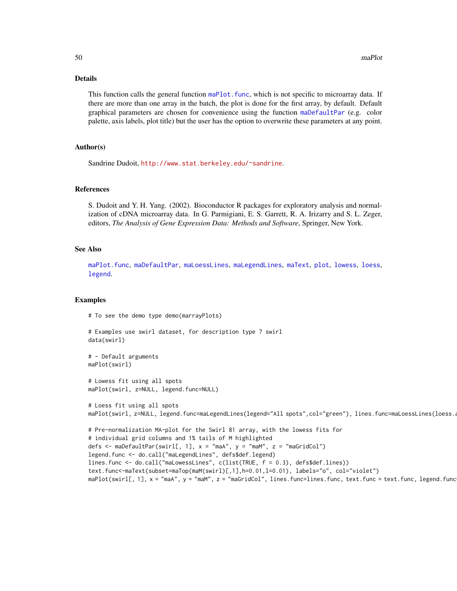## Details

This function calls the general function maPlot. func, which is not specific to microarray data. If there are more than one array in the batch, the plot is done for the first array, by default. Default graphical parameters are chosen for convenience using the function [maDefaultPar](#page-20-0) (e.g. color palette, axis labels, plot title) but the user has the option to overwrite these parameters at any point.

# Author(s)

Sandrine Dudoit, <http://www.stat.berkeley.edu/~sandrine>.

## References

S. Dudoit and Y. H. Yang. (2002). Bioconductor R packages for exploratory analysis and normalization of cDNA microarray data. In G. Parmigiani, E. S. Garrett, R. A. Irizarry and S. L. Zeger, editors, *The Analysis of Gene Expression Data: Methods and Software*, Springer, New York.

# See Also

[maPlot.func](#page-50-0), [maDefaultPar](#page-20-0), [maLoessLines](#page-30-0), [maLegendLines](#page-28-0), [maText](#page-63-0), [plot](#page-67-0), [lowess](#page-0-0), [loess](#page-0-0), [legend](#page-0-0).

# Examples

# To see the demo type demo(marrayPlots)

```
# Examples use swirl dataset, for description type ? swirl
data(swirl)
```

```
# - Default arguments
maPlot(swirl)
```
# Lowess fit using all spots maPlot(swirl, z=NULL, legend.func=NULL)

```
# Loess fit using all spots
maPlot(swirl, z=NULL, legend.func=maLegendLines(legend="All spots",col="green"), lines.func=maLoessLines(loess.a
```

```
# Pre-normalization MA-plot for the Swirl 81 array, with the lowess fits for
# individual grid columns and 1% tails of M highlighted
defs <- maDefaultPar(swirl[, 1], x = "maA", y = "maM", z = "maGridCol")
legend.func <- do.call("maLegendLines", defs$def.legend)
lines.func <- do.call("maLowessLines", c(list(TRUE, f = 0.3), defs$def.lines))
text.func<-maText(subset=maTop(maM(swirl)[,1],h=0.01,l=0.01), labels="o", col="violet")
maPlot(swirl[, 1], x = "maA", y = "maM", z = "maGridCol", lines.func=lines.func, text.func = text.func, legend.func
```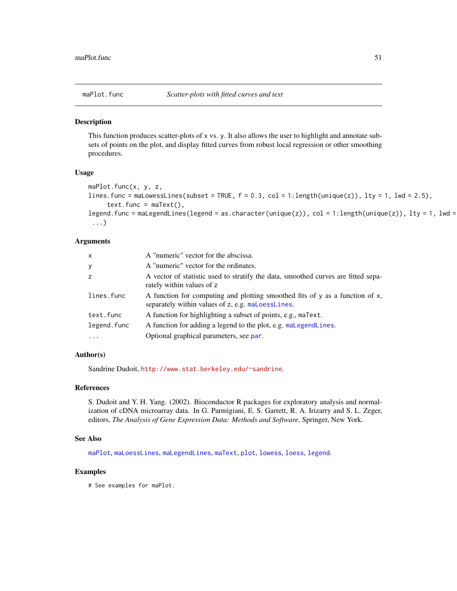<span id="page-50-0"></span>

This function produces scatter-plots of x vs. y. It also allows the user to highlight and annotate subsets of points on the plot, and display fitted curves from robust local regression or other smoothing procedures.

## Usage

```
maPlot.func(x, y, z,
lines.func = maLowessLines(subset = TRUE, f = 0.3, col = 1:length(unique(z)), lty = 1, lwd = 2.5),
     text{text .} = text{max},
legend.func = maLegendLines(legend = as.character(unique(z)), col = 1:length(unique(z)), lty = 1, lwd =
 ...)
```
# Arguments

| $\mathsf{x}$      | A "numeric" vector for the abscissa.                                                                                              |
|-------------------|-----------------------------------------------------------------------------------------------------------------------------------|
| У                 | A "numeric" vector for the ordinates.                                                                                             |
| z                 | A vector of statistic used to stratify the data, smoothed curves are fitted sepa-<br>rately within values of z                    |
| lines.func        | A function for computing and plotting smoothed fits of y as a function of x,<br>separately within values of z, e.g. maLoessLines. |
| text.func         | A function for highlighting a subset of points, e.g., maText.                                                                     |
| legend.func       | A function for adding a legend to the plot, e.g. mallergendlines.                                                                 |
| $\cdot\cdot\cdot$ | Optional graphical parameters, see par.                                                                                           |

# Author(s)

Sandrine Dudoit, <http://www.stat.berkeley.edu/~sandrine>.

#### **References**

S. Dudoit and Y. H. Yang. (2002). Bioconductor R packages for exploratory analysis and normalization of cDNA microarray data. In G. Parmigiani, E. S. Garrett, R. A. Irizarry and S. L. Zeger, editors, *The Analysis of Gene Expression Data: Methods and Software*, Springer, New York.

#### See Also

[maPlot](#page-48-0), [maLoessLines](#page-30-0), [maLegendLines](#page-28-0), [maText](#page-63-0), [plot](#page-67-0), [lowess](#page-0-0), [loess](#page-0-0), [legend](#page-0-0).

## Examples

# See examples for maPlot.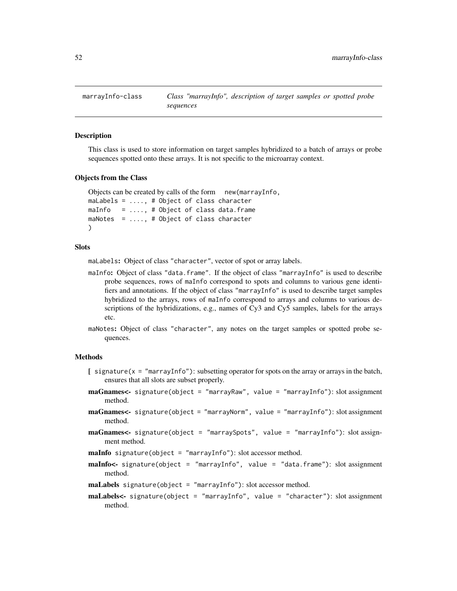<span id="page-51-0"></span>This class is used to store information on target samples hybridized to a batch of arrays or probe sequences spotted onto these arrays. It is not specific to the microarray context.

#### Objects from the Class

```
Objects can be created by calls of the form new(marrayInfo,
maLabels = ...., # Object of class character
maInfo = \dots, # Object of class data.frame
maNotes = ...., # Object of class character
)
```
# Slots

maLabels: Object of class "character", vector of spot or array labels.

- maInfo: Object of class "data.frame". If the object of class "marrayInfo" is used to describe probe sequences, rows of maInfo correspond to spots and columns to various gene identifiers and annotations. If the object of class "marrayInfo" is used to describe target samples hybridized to the arrays, rows of maInfo correspond to arrays and columns to various descriptions of the hybridizations, e.g., names of Cy3 and Cy5 samples, labels for the arrays etc.
- maNotes: Object of class "character", any notes on the target samples or spotted probe sequences.

# Methods

- $[$  signature( $x =$  "marrayInfo"): subsetting operator for spots on the array or arrays in the batch, ensures that all slots are subset properly.
- maGnames<- signature(object = "marrayRaw", value = "marrayInfo"): slot assignment method.
- maGnames<- signature(object = "marrayNorm", value = "marrayInfo"): slot assignment method.
- maGnames<- signature(object = "marraySpots", value = "marrayInfo"): slot assignment method.

maInfo signature(object = "marrayInfo"): slot accessor method.

- maInfo<- signature(object = "marrayInfo", value = "data.frame"): slot assignment method.
- maLabels signature(object = "marrayInfo"): slot accessor method.
- maLabels<- signature(object = "marrayInfo", value = "character"): slot assignment method.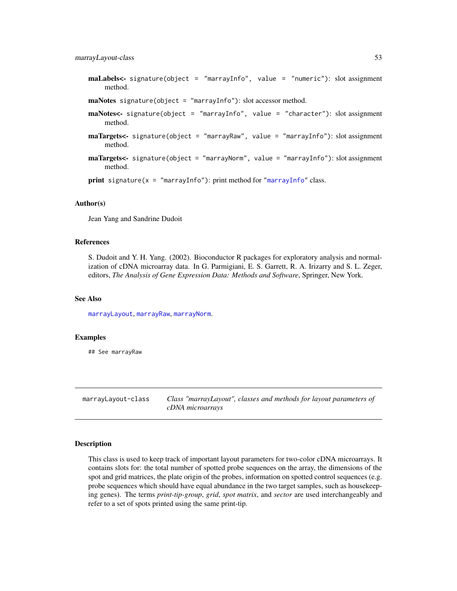marrayLayout-class 53

maLabels<- signature(object = "marrayInfo", value = "numeric"): slot assignment method.

```
maNotes signature(object = "marrayInfo"): slot accessor method.
```
- maNotes<- signature(object = "marrayInfo", value = "character"): slot assignment method.
- maTargets<- signature(object = "marrayRaw", value = "marrayInfo"): slot assignment method.
- maTargets<- signature(object = "marrayNorm", value = "marrayInfo"): slot assignment method.

print signature( $x = "marrayInfo"$  $x = "marrayInfo"$ ): print method for "marrayInfo" class.

## Author(s)

Jean Yang and Sandrine Dudoit

## References

S. Dudoit and Y. H. Yang. (2002). Bioconductor R packages for exploratory analysis and normalization of cDNA microarray data. In G. Parmigiani, E. S. Garrett, R. A. Irizarry and S. L. Zeger, editors, *The Analysis of Gene Expression Data: Methods and Software*, Springer, New York.

#### See Also

[marrayLayout](#page-52-0), [marrayRaw](#page-58-0), [marrayNorm](#page-55-0).

## Examples

## See marrayRaw

marrayLayout-class *Class "marrayLayout", classes and methods for layout parameters of cDNA microarrays*

# <span id="page-52-0"></span>Description

This class is used to keep track of important layout parameters for two-color cDNA microarrays. It contains slots for: the total number of spotted probe sequences on the array, the dimensions of the spot and grid matrices, the plate origin of the probes, information on spotted control sequences (e.g. probe sequences which should have equal abundance in the two target samples, such as housekeeping genes). The terms *print-tip-group*, *grid*, *spot matrix*, and *sector* are used interchangeably and refer to a set of spots printed using the same print-tip.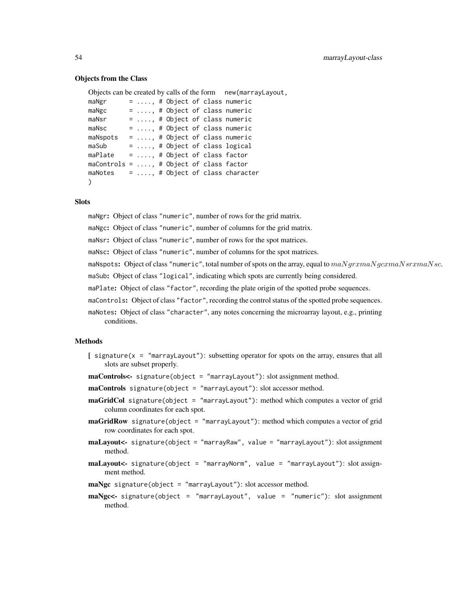## Objects from the Class

```
Objects can be created by calls of the form new(marrayLayout,
m\Delta\gamma = 1, \ldots, m + Object of class numeric
maNgc = ...., # Object of class numeric
maNsr = ...., # Object of class numeric
maNsc = ...., # Object of class numeric
maNspots = \dots, # Object of class numeric
maSub = \dots, # Object of class logical
maPlate = ...., # Object of class factor
maControls = ...., # Object of class factor
maNotes = ...., # Object of class character
)
```
# **Slots**

maNgr: Object of class "numeric", number of rows for the grid matrix.

maNgc: Object of class "numeric", number of columns for the grid matrix.

maNsr: Object of class "numeric", number of rows for the spot matrices.

maNsc: Object of class "numeric", number of columns for the spot matrices.

maNspots: Object of class "numeric", total number of spots on the array, equal to  $maNqrxmaNqcxmaNsrxmaNsc$ .

maSub: Object of class "logical", indicating which spots are currently being considered.

maPlate: Object of class "factor", recording the plate origin of the spotted probe sequences.

maControls: Object of class "factor", recording the control status of the spotted probe sequences.

maNotes: Object of class "character", any notes concerning the microarray layout, e.g., printing conditions.

# Methods

- $\int$  signature(x = "marrayLayout"): subsetting operator for spots on the array, ensures that all slots are subset properly.
- maControls<- signature(object = "marrayLayout"): slot assignment method.
- $maControls$  signature(object = "marrayLayout"): slot accessor method.
- maGridCol signature(object = "marrayLayout"): method which computes a vector of grid column coordinates for each spot.
- **maGridRow** signature(object = "marrayLayout"): method which computes a vector of grid row coordinates for each spot.
- maLayout<- signature(object = "marrayRaw", value = "marrayLayout"): slot assignment method.
- maLayout<- signature(object = "marrayNorm", value = "marrayLayout"): slot assignment method.
- maNgc signature(object = "marrayLayout"): slot accessor method.
- maNgc<- signature(object = "marrayLayout", value = "numeric"): slot assignment method.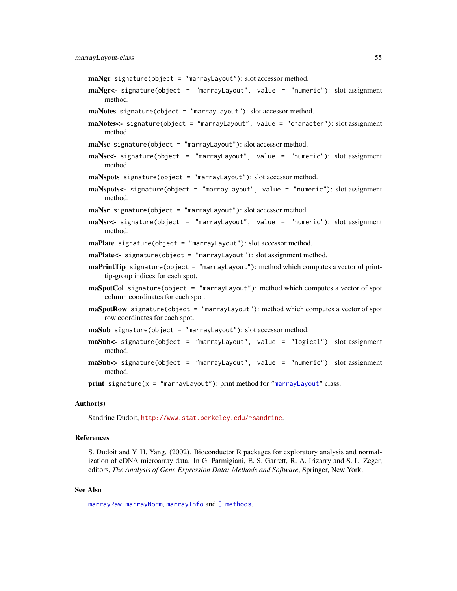- maNgr signature(object = "marrayLayout"): slot accessor method.
- maNgr<- signature(object = "marrayLayout", value = "numeric"): slot assignment method.
- maNotes signature(object = "marrayLayout"): slot accessor method.
- maNotes<- signature(object = "marrayLayout", value = "character"): slot assignment method.

maNsc signature(object = "marrayLayout"): slot accessor method.

- maNsc<- signature(object = "marrayLayout", value = "numeric"): slot assignment method.
- maNspots signature(object = "marrayLayout"): slot accessor method.
- maNspots<- signature(object = "marrayLayout", value = "numeric"): slot assignment method.
- maNsr signature(object = "marrayLayout"): slot accessor method.
- maNsr<- signature(object = "marrayLayout", value = "numeric"): slot assignment method.
- maPlate signature(object = "marrayLayout"): slot accessor method.
- maPlate<- signature(object = "marrayLayout"): slot assignment method.
- **maPrintTip** signature(object = "marrayLayout"): method which computes a vector of printtip-group indices for each spot.
- maSpotCol signature(object = "marrayLayout"): method which computes a vector of spot column coordinates for each spot.
- **maSpotRow** signature(object = "marrayLayout"): method which computes a vector of spot row coordinates for each spot.

maSub signature(object = "marrayLayout"): slot accessor method.

- $\text{maSub}$  signature(object = "marrayLayout", value = "logical"): slot assignment method.
- maSub<- signature(object = "marrayLayout", value = "numeric"): slot assignment method.

**print** signature( $x = "marrayLayout")$  $x = "marrayLayout")$  $x = "marrayLayout")$ : print method for "marrayLayout" class.

## Author(s)

Sandrine Dudoit, <http://www.stat.berkeley.edu/~sandrine>.

# References

S. Dudoit and Y. H. Yang. (2002). Bioconductor R packages for exploratory analysis and normalization of cDNA microarray data. In G. Parmigiani, E. S. Garrett, R. A. Irizarry and S. L. Zeger, editors, *The Analysis of Gene Expression Data: Methods and Software*, Springer, New York.

#### See Also

[marrayRaw](#page-58-0), [marrayNorm](#page-55-0), [marrayInfo](#page-51-0) and [\[-methods](#page-83-0).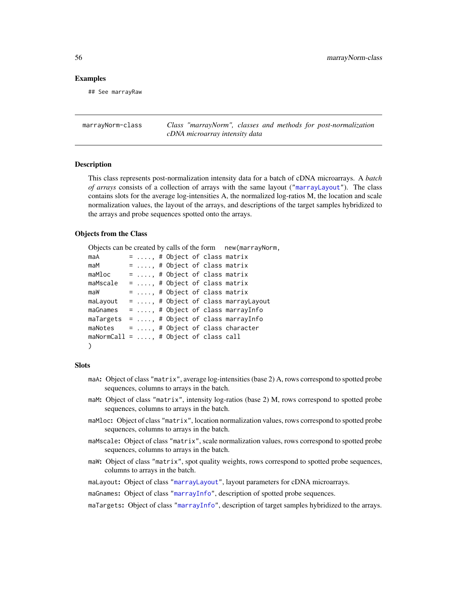## Examples

## See marrayRaw

marrayNorm-class *Class "marrayNorm", classes and methods for post-normalization cDNA microarray intensity data*

# <span id="page-55-0"></span>Description

This class represents post-normalization intensity data for a batch of cDNA microarrays. A *batch of arrays* consists of a collection of arrays with the same layout (["marrayLayout"](#page-52-0)). The class contains slots for the average log-intensities A, the normalized log-ratios M, the location and scale normalization values, the layout of the arrays, and descriptions of the target samples hybridized to the arrays and probe sequences spotted onto the arrays.

## Objects from the Class

```
Objects can be created by calls of the form new(marrayNorm,
maA = ...., # Object of class matrix
maM = \dots, # Object of class matrix
maMloc = \dots, # Object of class matrix
maMscale = \dots, # Object of class matrix
maw = \ldots, # Object of class matrix
maLayout = \dots, # Object of class marrayLayout
maGnames = ...., # Object of class marrayInfo
maTargets = ...., # Object of class marrayInfo
maNotes = ...., # Object of class character
maNormCall = ...., # Object of class call
)
```
#### **Slots**

- maA: Object of class "matrix", average log-intensities (base 2) A, rows correspond to spotted probe sequences, columns to arrays in the batch.
- maM: Object of class "matrix", intensity log-ratios (base 2) M, rows correspond to spotted probe sequences, columns to arrays in the batch.
- maMloc: Object of class "matrix", location normalization values, rows correspond to spotted probe sequences, columns to arrays in the batch.
- maMscale: Object of class "matrix", scale normalization values, rows correspond to spotted probe sequences, columns to arrays in the batch.
- maW: Object of class "matrix", spot quality weights, rows correspond to spotted probe sequences, columns to arrays in the batch.

maLayout: Object of class ["marrayLayout"](#page-52-0), layout parameters for cDNA microarrays.

maGnames: Object of class ["marrayInfo"](#page-51-0), description of spotted probe sequences.

maTargets: Object of class ["marrayInfo"](#page-51-0), description of target samples hybridized to the arrays.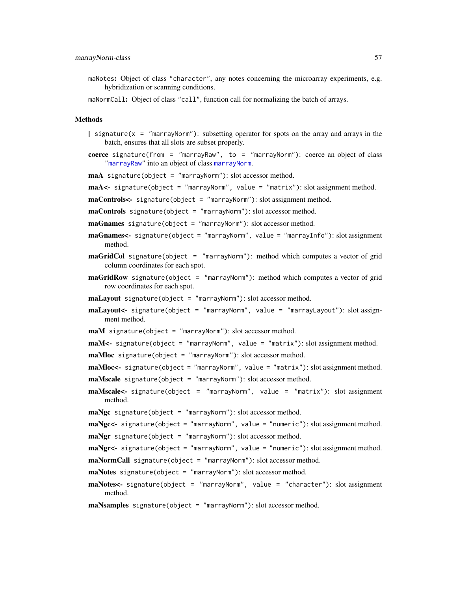- maNotes: Object of class "character", any notes concerning the microarray experiments, e.g. hybridization or scanning conditions.
- maNormCall: Object of class "call", function call for normalizing the batch of arrays.

# Methods

- $\int$  signature(x = "marrayNorm"): subsetting operator for spots on the array and arrays in the batch, ensures that all slots are subset properly.
- coerce signature(from = "marrayRaw", to = "marrayNorm"): coerce an object of class ["marrayRaw"](#page-58-0) into an object of class [marrayNorm](#page-55-0).
- maA signature(object = "marrayNorm"): slot accessor method.
- maA<- signature(object = "marrayNorm", value = "matrix"): slot assignment method.
- maControls<- signature(object = "marrayNorm"): slot assignment method.
- maControls signature(object = "marrayNorm"): slot accessor method.
- maGnames signature(object = "marrayNorm"): slot accessor method.
- maGnames<- signature(object = "marrayNorm", value = "marrayInfo"): slot assignment method.
- **maGridCol** signature(object = "marrayNorm"): method which computes a vector of grid column coordinates for each spot.
- **maGridRow** signature(object = "marrayNorm"): method which computes a vector of grid row coordinates for each spot.
- maLayout signature(object = "marrayNorm"): slot accessor method.
- maLayout<- signature(object = "marrayNorm", value = "marrayLayout"): slot assignment method.
- maM signature(object = "marrayNorm"): slot accessor method.

```
maM<- signature(object = "marrayNorm", value = "matrix"): slot assignment method.
maMloc signature(object = "marrayNorm"): slot accessor method.
```
- maMloc<- signature(object = "marrayNorm", value = "matrix"): slot assignment method. maMscale signature(object = "marrayNorm"): slot accessor method.
- maMscale<- signature(object = "marrayNorm", value = "matrix"): slot assignment method.

maNgc signature(object = "marrayNorm"): slot accessor method.

```
maNgc<- signature(object = "marrayNorm", value = "numeric"): slot assignment method.
\text{max} signature(object = "marrayNorm"): slot accessor method.
```

```
maNgr<- signature(object = "marrayNorm", value = "numeric"): slot assignment method.
\text{m}aNormCall signature(object = "marrayNorm"): slot accessor method.
```
- maNotes signature(object = "marrayNorm"): slot accessor method.
- maNotes<- signature(object = "marrayNorm", value = "character"): slot assignment method.
- maNsamples signature(object = "marrayNorm"): slot accessor method.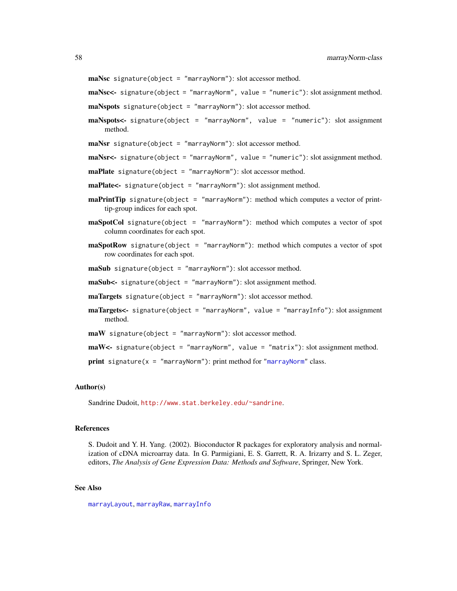maNsc signature(object = "marrayNorm"): slot accessor method.

maNsc<- signature(object = "marrayNorm", value = "numeric"): slot assignment method.

- maNspots signature(object = "marrayNorm"): slot accessor method.
- maNspots<- signature(object = "marrayNorm", value = "numeric"): slot assignment method.

maNsr signature(object = "marrayNorm"): slot accessor method.

- maNsr<- signature(object = "marrayNorm", value = "numeric"): slot assignment method.
- maPlate signature(object = "marrayNorm"): slot accessor method.
- maPlate<- signature(object = "marrayNorm"): slot assignment method.
- **maPrintTip** signature(object = "marrayNorm"): method which computes a vector of printtip-group indices for each spot.
- maSpotCol signature(object = "marrayNorm"): method which computes a vector of spot column coordinates for each spot.
- maSpotRow signature(object = "marrayNorm"): method which computes a vector of spot row coordinates for each spot.

maSub signature(object = "marrayNorm"): slot accessor method.

maSub<- signature(object = "marrayNorm"): slot assignment method.

- maTargets signature(object = "marrayNorm"): slot accessor method.
- maTargets<- signature(object = "marrayNorm", value = "marrayInfo"): slot assignment method.
- maW signature(object = "marrayNorm"): slot accessor method.

```
maW<- signature(object = "marrayNorm", value = "matrix"): slot assignment method.
```
print signature( $x = "marrayNorm"$  $x = "marrayNorm"$ ): print method for "marrayNorm" class.

#### Author(s)

Sandrine Dudoit, <http://www.stat.berkeley.edu/~sandrine>.

#### References

S. Dudoit and Y. H. Yang. (2002). Bioconductor R packages for exploratory analysis and normalization of cDNA microarray data. In G. Parmigiani, E. S. Garrett, R. A. Irizarry and S. L. Zeger, editors, *The Analysis of Gene Expression Data: Methods and Software*, Springer, New York.

## See Also

[marrayLayout](#page-52-0), [marrayRaw](#page-58-0), [marrayInfo](#page-51-0)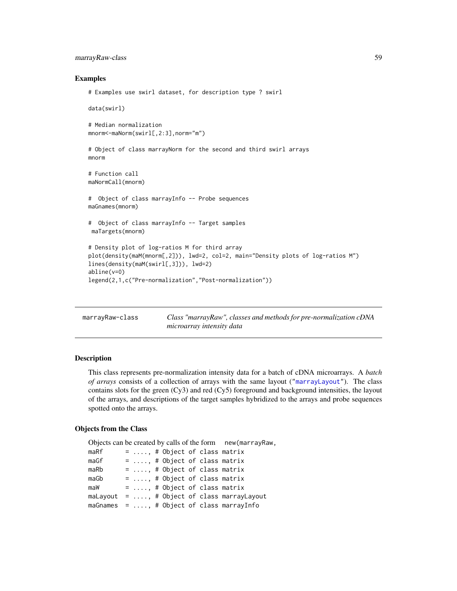# marrayRaw-class 59

# Examples

```
# Examples use swirl dataset, for description type ? swirl
data(swirl)
# Median normalization
mnorm<-maNorm(swirl[,2:3],norm="m")
# Object of class marrayNorm for the second and third swirl arrays
mnorm
# Function call
maNormCall(mnorm)
# Object of class marrayInfo -- Probe sequences
maGnames(mnorm)
# Object of class marrayInfo -- Target samples
maTargets(mnorm)
# Density plot of log-ratios M for third array
plot(density(maM(mnorm[,2])), lwd=2, col=2, main="Density plots of log-ratios M")
lines(density(maM(swirl[,3])), lwd=2)
abline(v=0)
legend(2,1,c("Pre-normalization","Post-normalization"))
```

| marrayRaw-class | Class "marrayRaw", classes and methods for pre-normalization cDNA |
|-----------------|-------------------------------------------------------------------|
|                 | microarray intensity data                                         |

## <span id="page-58-0"></span>Description

This class represents pre-normalization intensity data for a batch of cDNA microarrays. A *batch of arrays* consists of a collection of arrays with the same layout (["marrayLayout"](#page-52-0)). The class contains slots for the green (Cy3) and red (Cy5) foreground and background intensities, the layout of the arrays, and descriptions of the target samples hybridized to the arrays and probe sequences spotted onto the arrays.

# Objects from the Class

```
Objects can be created by calls of the form new(marrayRaw,
maRf = ...., # Object of class matrix
maGf = ..., # Object of class matrix
maRb = ...., # Object of class matrix
maGb = ..., # Object of class matrix
maW = ...., # Object of class matrix
maLayout = ...., # Object of class marrayLayout
maGnames = ...., # Object of class marrayInfo
```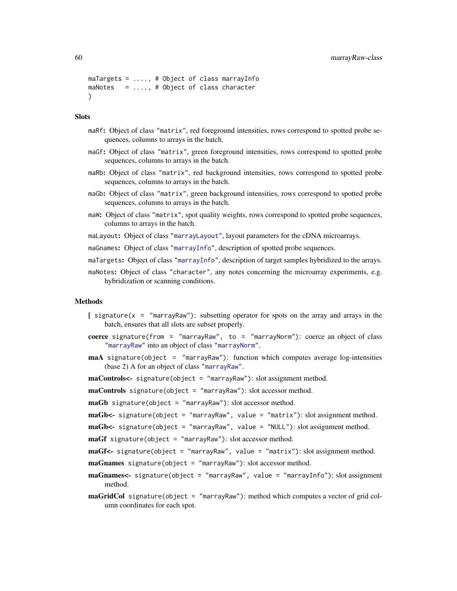```
maTargets = ...., # Object of class marrayInfo
maNotes = ...., # Object of class character
\lambda
```
## **Slots**

- maRf: Object of class "matrix", red foreground intensities, rows correspond to spotted probe sequences, columns to arrays in the batch.
- maGf: Object of class "matrix", green foreground intensities, rows correspond to spotted probe sequences, columns to arrays in the batch.
- maRb: Object of class "matrix", red background intensities, rows correspond to spotted probe sequences, columns to arrays in the batch.
- maGb: Object of class "matrix", green background intensities, rows correspond to spotted probe sequences, columns to arrays in the batch.
- maW: Object of class "matrix", spot quality weights, rows correspond to spotted probe sequences, columns to arrays in the batch.
- maLayout: Object of class ["marrayLayout"](#page-52-0), layout parameters for the cDNA microarrays.
- maGnames: Object of class ["marrayInfo"](#page-51-0), description of spotted probe sequences.
- maTargets: Object of class ["marrayInfo"](#page-51-0), description of target samples hybridized to the arrays.
- maNotes: Object of class "character", any notes concerning the microarray experiments, e.g. hybridization or scanning conditions.

## Methods

- $[$  signature(x = "marrayRaw"): subsetting operator for spots on the array and arrays in the batch, ensures that all slots are subset properly.
- coerce signature(from = "marrayRaw", to = "marrayNorm"): coerce an object of class ["marrayRaw"](#page-58-0) into an object of class ["marrayNorm"](#page-55-0).
- maA signature(object = "marrayRaw"): function which computes average log-intensities (base 2) A for an object of class ["marrayRaw"](#page-58-0).

maControls<- signature(object = "marrayRaw"): slot assignment method.

maControls signature(object = "marrayRaw"): slot accessor method.

maGb signature(object = "marrayRaw"): slot accessor method.

 $mAGb$  <- signature(object = "marrayRaw", value = "matrix"): slot assignment method.

 $m a G b$  <- signature(object = "marrayRaw", value = "NULL"): slot assignment method.

maGf signature(object = "marrayRaw"): slot accessor method.

 $maGf$  - signature(object = "marrayRaw", value = "matrix"): slot assignment method.

- maGnames signature(object = "marrayRaw"): slot accessor method.
- maGnames<- signature(object = "marrayRaw", value = "marrayInfo"): slot assignment method.
- maGridCol signature(object = "marrayRaw"): method which computes a vector of grid column coordinates for each spot.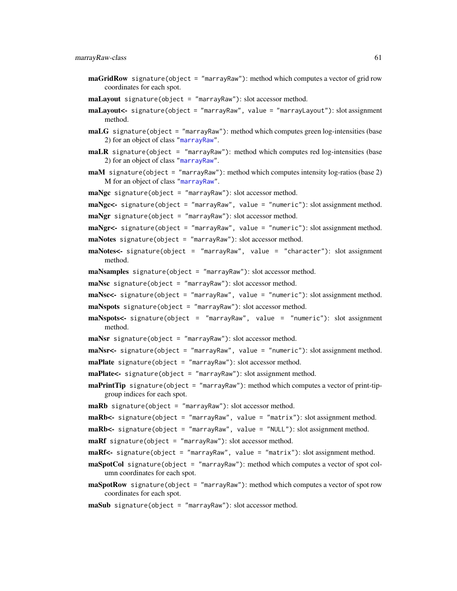- $maGridRow$  signature(object = "marrayRaw"): method which computes a vector of grid row coordinates for each spot.
- maLayout signature(object = "marrayRaw"): slot accessor method.
- maLayout<- signature(object = "marrayRaw", value = "marrayLayout"): slot assignment method.
- maLG signature(object = "marrayRaw"): method which computes green log-intensities (base 2) for an object of class ["marrayRaw"](#page-58-0).
- $m$ aLR signature(object = "marrayRaw"): method which computes red log-intensive (base2) for an object of class ["marrayRaw"](#page-58-0).
- maM signature(object = "marrayRaw"): method which computes intensity log-ratios (base 2) M for an object of class ["marrayRaw"](#page-58-0).
- maNgc signature(object = "marrayRaw"): slot accessor method.
- maNgc<- signature(object = "marrayRaw", value = "numeric"): slot assignment method.
- maNgr signature(object = "marrayRaw"): slot accessor method.

maNgr<- signature(object = "marrayRaw", value = "numeric"): slot assignment method.  $maNotes$  signature(object = "marrayRaw"): slot accessor method.

- maNotes<- signature(object = "marrayRaw", value = "character"): slot assignment method.
- maNsamples signature(object = "marrayRaw"): slot accessor method.
- maNsc signature(object = "marrayRaw"): slot accessor method.
- maNsc<- signature(object = "marrayRaw", value = "numeric"): slot assignment method. maNspots signature(object = "marrayRaw"): slot accessor method.
- maNspots<- signature(object = "marrayRaw", value = "numeric"): slot assignment method.
- maNsr signature(object = "marrayRaw"): slot accessor method.

 $\text{maxS}$  r signature(object = "marrayRaw", value = "numeric"): slot assignment method.

- maPlate signature(object = "marrayRaw"): slot accessor method.
- maPlate<- signature(object = "marrayRaw"): slot assignment method.
- **maPrintTip** signature(object = "marrayRaw"): method which computes a vector of print-tipgroup indices for each spot.

maRb signature(object = "marrayRaw"): slot accessor method.

 $mRb$  <- signature(object = "marrayRaw", value = "matrix"): slot assignment method.

maRb<- signature(object = "marrayRaw", value = "NULL"): slot assignment method.

 $\text{maRf}$  signature(object = "marrayRaw"): slot accessor method.

- $mRf$ <- signature(object = "marrayRaw", value = "matrix"): slot assignment method.
- maSpotCol signature(object = "marrayRaw"): method which computes a vector of spot column coordinates for each spot.
- $$ coordinates for each spot.
- maSub signature(object = "marrayRaw"): slot accessor method.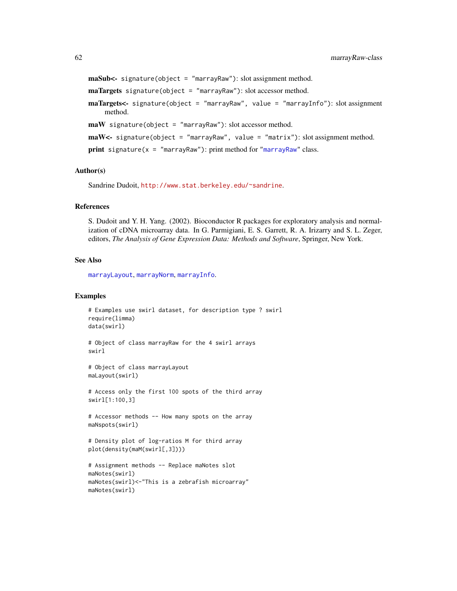```
maSub<- signature(object = "marrayRaw"): slot assignment method.
maTargets signature(object = "marrayRaw"): slot accessor method.
maTargets<- signature(object = "marrayRaw", value = "marrayInfo"): slot assignment
    method.
maW signature(object = "marrayRaw"): slot accessor method.
maw \leftarrow signature(object = "marrayRaw", value = "matrix"): slot assignment method.
print signature("marrayRaw"): print method for "marrayRaw" class.
```
## Author(s)

Sandrine Dudoit, <http://www.stat.berkeley.edu/~sandrine>.

#### References

S. Dudoit and Y. H. Yang. (2002). Bioconductor R packages for exploratory analysis and normalization of cDNA microarray data. In G. Parmigiani, E. S. Garrett, R. A. Irizarry and S. L. Zeger, editors, *The Analysis of Gene Expression Data: Methods and Software*, Springer, New York.

## See Also

[marrayLayout](#page-52-0), [marrayNorm](#page-55-0), [marrayInfo](#page-51-0).

#### Examples

```
# Examples use swirl dataset, for description type ? swirl
require(limma)
data(swirl)
# Object of class marrayRaw for the 4 swirl arrays
swirl
# Object of class marrayLayout
maLayout(swirl)
# Access only the first 100 spots of the third array
swirl[1:100,3]
# Accessor methods -- How many spots on the array
maNspots(swirl)
# Density plot of log-ratios M for third array
plot(density(maM(swirl[,3])))
# Assignment methods -- Replace maNotes slot
maNotes(swirl)
maNotes(swirl)<-"This is a zebrafish microarray"
maNotes(swirl)
```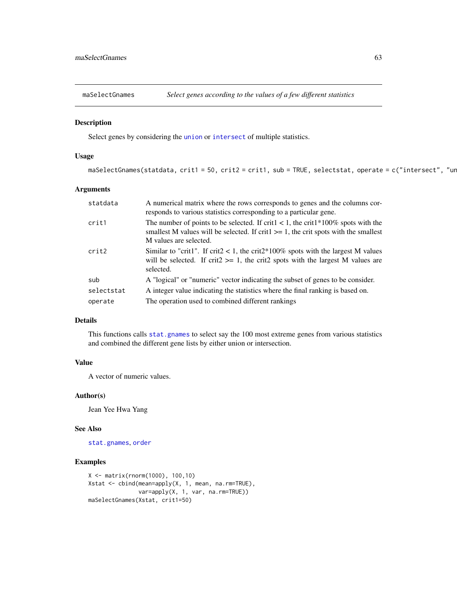Select genes by considering the [union](#page-0-0) or [intersect](#page-0-0) of multiple statistics.

# Usage

```
maSelectGnames(statdata, crit1 = 50, crit2 = crit1, sub = TRUE, selectstat, operate = c("intersect", "ur
```
# Arguments

| statdata   | A numerical matrix where the rows corresponds to genes and the columns cor-<br>responds to various statistics corresponding to a particular gene.                                                            |
|------------|--------------------------------------------------------------------------------------------------------------------------------------------------------------------------------------------------------------|
| crit1      | The number of points to be selected. If crit $1 < 1$ , the crit $1*100\%$ spots with the<br>smallest M values will be selected. If crit $\geq$ 1, the crit spots with the smallest<br>M values are selected. |
| crit2      | Similar to "crit1". If crit2 < 1, the crit2*100% spots with the largest M values<br>will be selected. If crit2 $>= 1$ , the crit2 spots with the largest M values are<br>selected.                           |
| sub        | A "logical" or "numeric" vector indicating the subset of genes to be consider.                                                                                                                               |
| selectstat | A integer value indicating the statistics where the final ranking is based on.                                                                                                                               |
| operate    | The operation used to combined different rankings                                                                                                                                                            |

# Details

This functions calls [stat.gnames](#page-77-0) to select say the 100 most extreme genes from various statistics and combined the different gene lists by either union or intersection.

# Value

A vector of numeric values.

#### Author(s)

Jean Yee Hwa Yang

### See Also

[stat.gnames](#page-77-0), [order](#page-0-0)

# Examples

```
X <- matrix(rnorm(1000), 100,10)
Xstat <- cbind(mean=apply(X, 1, mean, na.rm=TRUE),
               var=apply(X, 1, var, na.rm=TRUE))
maSelectGnames(Xstat, crit1=50)
```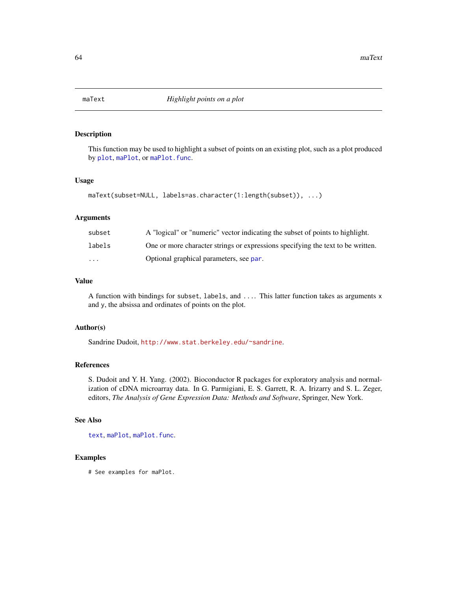<span id="page-63-0"></span>

This function may be used to highlight a subset of points on an existing plot, such as a plot produced by [plot](#page-67-0), [maPlot](#page-48-0), or [maPlot.func](#page-50-0).

# Usage

maText(subset=NULL, labels=as.character(1:length(subset)), ...)

# Arguments

| subset                  | A "logical" or "numeric" vector indicating the subset of points to highlight.   |
|-------------------------|---------------------------------------------------------------------------------|
| labels                  | One or more character strings or expressions specifying the text to be written. |
| $\cdot$ $\cdot$ $\cdot$ | Optional graphical parameters, see par.                                         |

# Value

A function with bindings for subset, labels, and .... This latter function takes as arguments x and y, the absissa and ordinates of points on the plot.

# Author(s)

Sandrine Dudoit, <http://www.stat.berkeley.edu/~sandrine>.

# References

S. Dudoit and Y. H. Yang. (2002). Bioconductor R packages for exploratory analysis and normalization of cDNA microarray data. In G. Parmigiani, E. S. Garrett, R. A. Irizarry and S. L. Zeger, editors, *The Analysis of Gene Expression Data: Methods and Software*, Springer, New York.

# See Also

[text](#page-0-0), [maPlot](#page-48-0), [maPlot.func](#page-50-0).

# Examples

# See examples for maPlot.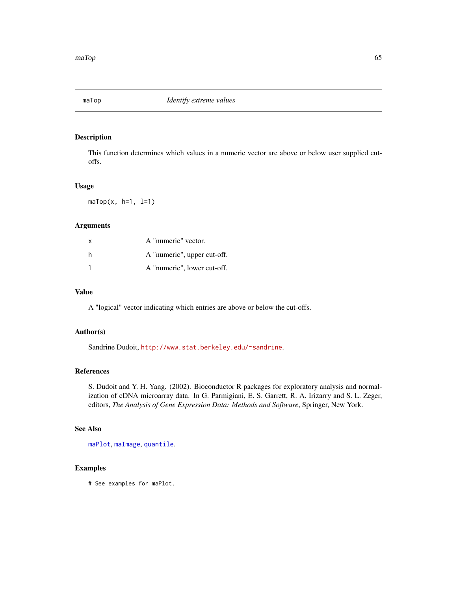This function determines which values in a numeric vector are above or below user supplied cutoffs.

#### Usage

 $maTop(x, h=1, l=1)$ 

# Arguments

| X | A "numeric" vector.         |
|---|-----------------------------|
| h | A "numeric", upper cut-off. |
|   | A "numeric", lower cut-off. |

# Value

A "logical" vector indicating which entries are above or below the cut-offs.

# Author(s)

Sandrine Dudoit, <http://www.stat.berkeley.edu/~sandrine>.

## References

S. Dudoit and Y. H. Yang. (2002). Bioconductor R packages for exploratory analysis and normalization of cDNA microarray data. In G. Parmigiani, E. S. Garrett, R. A. Irizarry and S. L. Zeger, editors, *The Analysis of Gene Expression Data: Methods and Software*, Springer, New York.

# See Also

[maPlot](#page-48-0), [maImage](#page-24-0), [quantile](#page-0-0).

# Examples

# See examples for maPlot.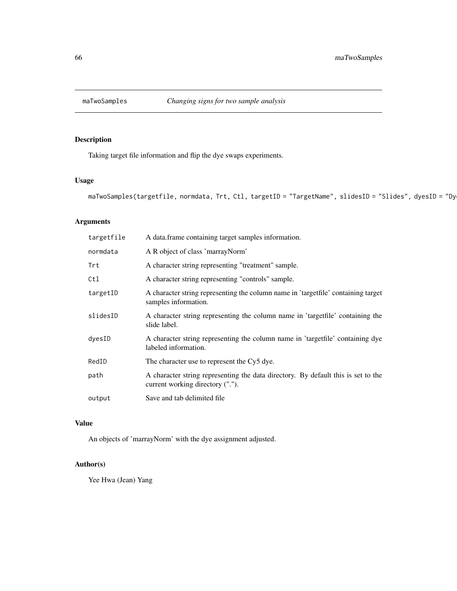Taking target file information and flip the dye swaps experiments.

# Usage

```
maTwoSamples(targetfile, normdata, Trt, Ctl, targetID = "TargetName", slidesID = "Slides", dyesID = "Dy
```
# Arguments

| A data frame containing target samples information.                                                                   |
|-----------------------------------------------------------------------------------------------------------------------|
| A R object of class 'marrayNorm'                                                                                      |
| A character string representing "treatment" sample.                                                                   |
| A character string representing "controls" sample.                                                                    |
| A character string representing the column name in 'targetfile' containing target<br>samples information.             |
| A character string representing the column name in 'targetfile' containing the<br>slide label.                        |
| A character string representing the column name in 'targetfile' containing dye<br>labeled information.                |
| The character use to represent the Cy5 dye.                                                                           |
| A character string representing the data directory. By default this is set to the<br>current working directory ("."). |
| Save and tab delimited file                                                                                           |
|                                                                                                                       |

# Value

An objects of 'marrayNorm' with the dye assignment adjusted.

# Author(s)

Yee Hwa (Jean) Yang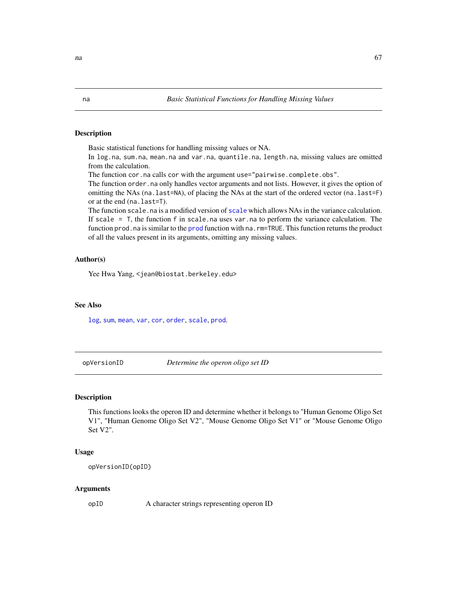Basic statistical functions for handling missing values or NA.

In log.na, sum.na, mean.na and var.na, quantile.na, length.na, missing values are omitted from the calculation.

The function cor.na calls cor with the argument use="pairwise.complete.obs".

The function order.na only handles vector arguments and not lists. However, it gives the option of omitting the NAs (na.last=NA), of placing the NAs at the start of the ordered vector (na.last=F) or at the end (na.last=T).

The function [scale](#page-0-0), na is a modified version of scale which allows NAs in the variance calculation. If scale  $=$  T, the function f in scale.na uses var.na to perform the variance calculation. The function [prod](#page-0-0).na is similar to the prod function with na.rm=TRUE. This function returns the product of all the values present in its arguments, omitting any missing values.

## Author(s)

Yee Hwa Yang, <jean@biostat.berkeley.edu>

#### See Also

[log](#page-0-0), [sum](#page-0-0), [mean](#page-0-0), [var](#page-0-0), [cor](#page-0-0), [order](#page-0-0), [scale](#page-0-0), [prod](#page-0-0).

opVersionID *Determine the operon oligo set ID*

## **Description**

This functions looks the operon ID and determine whether it belongs to "Human Genome Oligo Set V1", "Human Genome Oligo Set V2", "Mouse Genome Oligo Set V1" or "Mouse Genome Oligo Set V2".

## Usage

opVersionID(opID)

#### Arguments

opID A character strings representing operon ID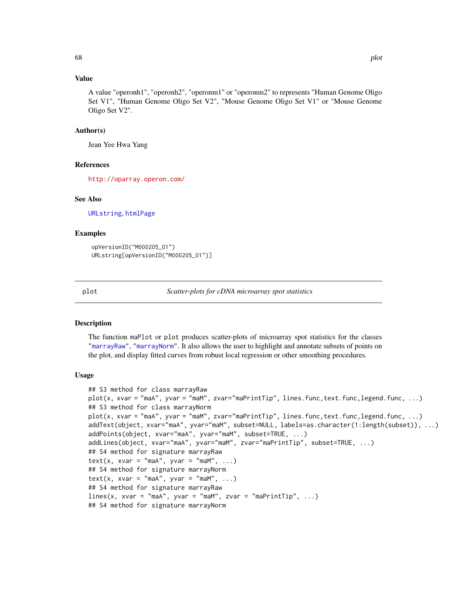# Value

A value "operonh1", "operonh2", "operonm1" or "operonm2" to represents "Human Genome Oligo Set V1", "Human Genome Oligo Set V2", "Mouse Genome Oligo Set V1" or "Mouse Genome Oligo Set V2".

# Author(s)

Jean Yee Hwa Yang

# References

<http://oparray.operon.com/>

#### See Also

[URLstring](#page-47-0), [htmlPage](#page-7-0)

# Examples

```
opVersionID("M000205_01")
URLstring[opVersionID("M000205_01")]
```
<span id="page-67-0"></span>plot *Scatter-plots for cDNA microarray spot statistics*

# Description

The function maPlot or plot produces scatter-plots of microarray spot statistics for the classes ["marrayRaw"](#page-58-0), ["marrayNorm"](#page-55-0). It also allows the user to highlight and annotate subsets of points on the plot, and display fitted curves from robust local regression or other smoothing procedures.

#### Usage

```
## S3 method for class marrayRaw
plot(x, xvar = "maA", yvar = "maM", zvar = "maPrintTip", lines.func, text.func, legend.func, ...)## S3 method for class marrayNorm
plot(x, xvar = "maA", yvar = "maM", zvar = "maPrintTip", lines.func, text.func, legend.func, ...)addText(object, xvar="maA", yvar="maM", subset=NULL, labels=as.character(1:length(subset)), ...)
addPoints(object, xvar="maA", yvar="maM", subset=TRUE, ...)
addLines(object, xvar="maA", yvar="maM", zvar="maPrintTip", subset=TRUE, ...)
## S4 method for signature marrayRaw
text(x, xvar = "maA", yvar = "maM", ...)
## S4 method for signature marrayNorm
text(x, xvar = "maA", yvar = "maM", ...)## S4 method for signature marrayRaw
lines(x, xvar = "maA", yvar = "maM", zvar = "maPrintTip", ...)## S4 method for signature marrayNorm
```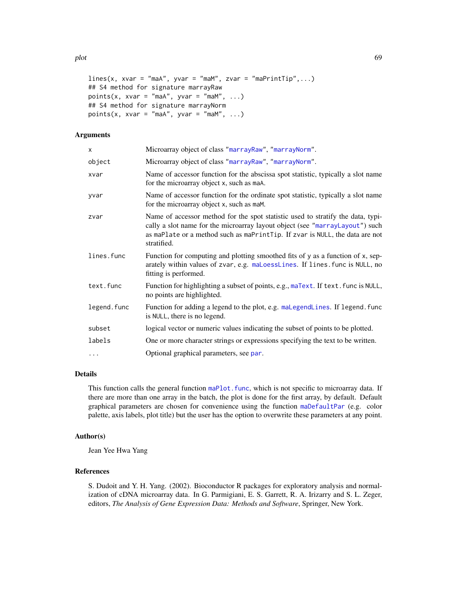```
lines(x, xvar = "maA", yvar = "maM", zvar = "maPrintTip", ...)## S4 method for signature marrayRaw
points(x, xvar = "maA", yvar = "maM", \ldots)
## S4 method for signature marrayNorm
points(x, xvar = "maA", yvar = "maM", ...)
```
# Arguments

| x           | Microarray object of class "marrayRaw", "marrayNorm".                                                                                                                                                                                                          |
|-------------|----------------------------------------------------------------------------------------------------------------------------------------------------------------------------------------------------------------------------------------------------------------|
| object      | Microarray object of class "marrayRaw", "marrayNorm".                                                                                                                                                                                                          |
| xvar        | Name of accessor function for the abscissa spot statistic, typically a slot name<br>for the microarray object x, such as maA.                                                                                                                                  |
| yvar        | Name of accessor function for the ordinate spot statistic, typically a slot name<br>for the microarray object x, such as maM.                                                                                                                                  |
| zvar        | Name of accessor method for the spot statistic used to stratify the data, typi-<br>cally a slot name for the microarray layout object (see "marrayLayout") such<br>as maPlate or a method such as maPrintTip. If zvar is NULL, the data are not<br>stratified. |
| lines.func  | Function for computing and plotting smoothed fits of y as a function of x, sep-<br>arately within values of zvar, e.g. maLoessLines. If lines. func is NULL, no<br>fitting is performed.                                                                       |
| text.func   | Function for highlighting a subset of points, e.g., maText. If text. func is NULL,<br>no points are highlighted.                                                                                                                                               |
| legend.func | Function for adding a legend to the plot, e.g. maLegendLines. If legend. func<br>is NULL, there is no legend.                                                                                                                                                  |
| subset      | logical vector or numeric values indicating the subset of points to be plotted.                                                                                                                                                                                |
| labels      | One or more character strings or expressions specifying the text to be written.                                                                                                                                                                                |
| $\cdots$    | Optional graphical parameters, see par.                                                                                                                                                                                                                        |
|             |                                                                                                                                                                                                                                                                |

# Details

This function calls the general function maPlot. func, which is not specific to microarray data. If there are more than one array in the batch, the plot is done for the first array, by default. Default graphical parameters are chosen for convenience using the function [maDefaultPar](#page-20-0) (e.g. color palette, axis labels, plot title) but the user has the option to overwrite these parameters at any point.

# Author(s)

Jean Yee Hwa Yang

# References

S. Dudoit and Y. H. Yang. (2002). Bioconductor R packages for exploratory analysis and normalization of cDNA microarray data. In G. Parmigiani, E. S. Garrett, R. A. Irizarry and S. L. Zeger, editors, *The Analysis of Gene Expression Data: Methods and Software*, Springer, New York.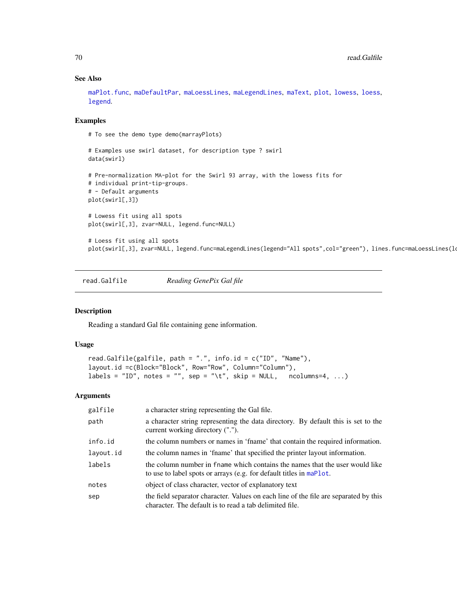## See Also

[maPlot.func](#page-50-0), [maDefaultPar](#page-20-0), [maLoessLines](#page-30-0), [maLegendLines](#page-28-0), [maText](#page-63-0), [plot](#page-67-0), [lowess](#page-0-0), [loess](#page-0-0), [legend](#page-0-0).

## Examples

# To see the demo type demo(marrayPlots)

```
# Examples use swirl dataset, for description type ? swirl
data(swirl)
# Pre-normalization MA-plot for the Swirl 93 array, with the lowess fits for
# individual print-tip-groups.
# - Default arguments
plot(swirl[,3])
# Lowess fit using all spots
plot(swirl[,3], zvar=NULL, legend.func=NULL)
# Loess fit using all spots
```
plot(swirl[,3], zvar=NULL, legend.func=maLegendLines(legend="All spots",col="green"), lines.func=maLoessLines(l

read.Galfile *Reading GenePix Gal file*

#### Description

Reading a standard Gal file containing gene information.

## Usage

```
read.Galfile(galfile, path = ".", info.id = c("ID", "Name"),
layout.id =c(Block="Block", Row="Row", Column="Column"),
labels = "ID", notes = "", sep = "\t", skip = NULL, ncolumns=4, ...)
```
#### Arguments

| galfile   | a character string representing the Gal file.                                                                                                       |
|-----------|-----------------------------------------------------------------------------------------------------------------------------------------------------|
| path      | a character string representing the data directory. By default this is set to the<br>current working directory (".").                               |
| info.id   | the column numbers or names in 'fname' that contain the required information.                                                                       |
| layout.id | the column names in 'fname' that specified the printer layout information.                                                                          |
| labels    | the column number in frame which contains the names that the user would like<br>to use to label spots or arrays (e.g. for default titles in maPlot. |
| notes     | object of class character, vector of explanatory text                                                                                               |
| sep       | the field separator character. Values on each line of the file are separated by this<br>character. The default is to read a tab delimited file.     |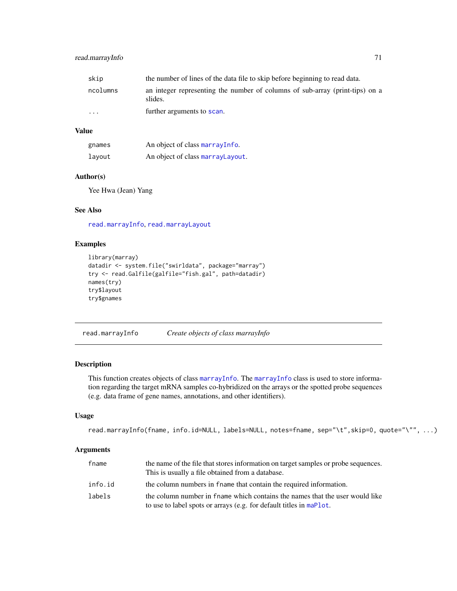# read.marrayInfo 71

| skip     | the number of lines of the data file to skip before beginning to read data.             |
|----------|-----------------------------------------------------------------------------------------|
| ncolumns | an integer representing the number of columns of sub-array (print-tips) on a<br>slides. |
| $\cdots$ | further arguments to scan.                                                              |

# Value

| gnames | An object of class marray Info.   |
|--------|-----------------------------------|
| lavout | An object of class marray Layout. |

# Author(s)

Yee Hwa (Jean) Yang

# See Also

[read.marrayInfo](#page-70-0), [read.marrayLayout](#page-71-0)

# Examples

```
library(marray)
datadir <- system.file("swirldata", package="marray")
try <- read.Galfile(galfile="fish.gal", path=datadir)
names(try)
try$layout
try$gnames
```
<span id="page-70-0"></span>read.marrayInfo *Create objects of class marrayInfo*

# Description

This function creates objects of class [marrayInfo](#page-51-0). The [marrayInfo](#page-51-0) class is used to store information regarding the target mRNA samples co-hybridized on the arrays or the spotted probe sequences (e.g. data frame of gene names, annotations, and other identifiers).

# Usage

```
read.marrayInfo(fname, info.id=NULL, labels=NULL, notes=fname, sep="\t",skip=0, quote="\"", ...)
```
#### Arguments

| fname   | the name of the file that stores information on target samples or probe sequences.<br>This is usually a file obtained from a database.              |
|---------|-----------------------------------------------------------------------------------------------------------------------------------------------------|
| info.id | the column numbers in frame that contain the required information.                                                                                  |
| labels  | the column number in frame which contains the names that the user would like<br>to use to label spots or arrays (e.g. for default titles in maPlot. |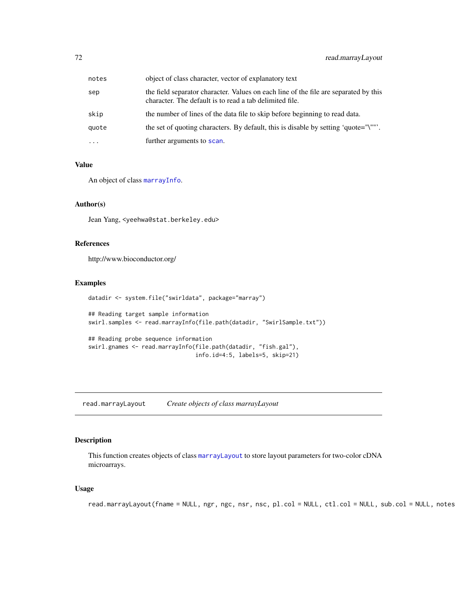| notes    | object of class character, vector of explanatory text                                                                                           |
|----------|-------------------------------------------------------------------------------------------------------------------------------------------------|
| sep      | the field separator character. Values on each line of the file are separated by this<br>character. The default is to read a tab delimited file. |
| skip     | the number of lines of the data file to skip before beginning to read data.                                                                     |
| quote    | the set of quoting characters. By default, this is disable by setting 'quote="\""'.                                                             |
| $\cdots$ | further arguments to scan.                                                                                                                      |

# Value

An object of class [marrayInfo](#page-51-0).

# Author(s)

Jean Yang, <yeehwa@stat.berkeley.edu>

# References

http://www.bioconductor.org/

# Examples

```
datadir <- system.file("swirldata", package="marray")
## Reading target sample information
swirl.samples <- read.marrayInfo(file.path(datadir, "SwirlSample.txt"))
## Reading probe sequence information
swirl.gnames <- read.marrayInfo(file.path(datadir, "fish.gal"),
                                info.id=4:5, labels=5, skip=21)
```
<span id="page-71-0"></span>read.marrayLayout *Create objects of class marrayLayout*

# Description

This function creates objects of class [marrayLayout](#page-52-0) to store layout parameters for two-color cDNA microarrays.

# Usage

```
read.marrayLayout(fname = NULL, ngr, ngc, nsr, nsc, pl.col = NULL, ctl.col = NULL, sub.col = NULL, notes
```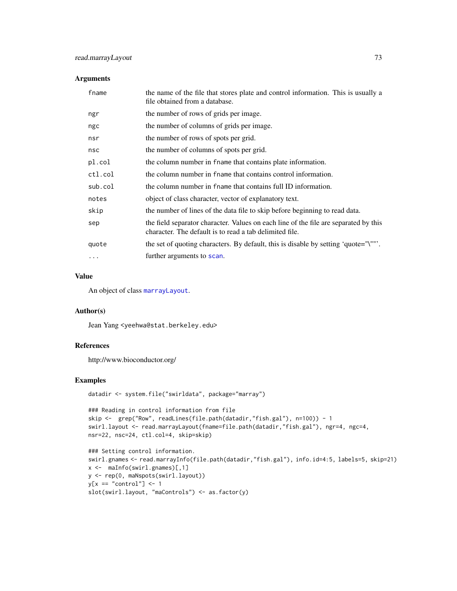## Arguments

| fname    | the name of the file that stores plate and control information. This is usually a<br>file obtained from a database.                             |
|----------|-------------------------------------------------------------------------------------------------------------------------------------------------|
| ngr      | the number of rows of grids per image.                                                                                                          |
| ngc      | the number of columns of grids per image.                                                                                                       |
| nsr      | the number of rows of spots per grid.                                                                                                           |
| nsc      | the number of columns of spots per grid.                                                                                                        |
| pl.col   | the column number in frame that contains plate information.                                                                                     |
| ctl.col  | the column number in frame that contains control information.                                                                                   |
| sub.col  | the column number in frame that contains full ID information.                                                                                   |
| notes    | object of class character, vector of explanatory text.                                                                                          |
| skip     | the number of lines of the data file to skip before beginning to read data.                                                                     |
| sep      | the field separator character. Values on each line of the file are separated by this<br>character. The default is to read a tab delimited file. |
| quote    | the set of quoting characters. By default, this is disable by setting 'quote="\""'.                                                             |
| $\cdots$ | further arguments to scan.                                                                                                                      |

## Value

An object of class [marrayLayout](#page-52-0).

## Author(s)

Jean Yang <yeehwa@stat.berkeley.edu>

## References

http://www.bioconductor.org/

#### Examples

datadir <- system.file("swirldata", package="marray")

```
### Reading in control information from file
skip <- grep("Row", readLines(file.path(datadir,"fish.gal"), n=100)) - 1
swirl.layout <- read.marrayLayout(fname=file.path(datadir,"fish.gal"), ngr=4, ngc=4,
nsr=22, nsc=24, ctl.col=4, skip=skip)
```

```
### Setting control information.
swirl.gnames <- read.marrayInfo(file.path(datadir,"fish.gal"), info.id=4:5, labels=5, skip=21)
x <- maInfo(swirl.gnames)[,1]
y <- rep(0, maNspots(swirl.layout))
y[x == "control"] \leftarrow 1slot(swirl.layout, "maControls") <- as.factor(y)
```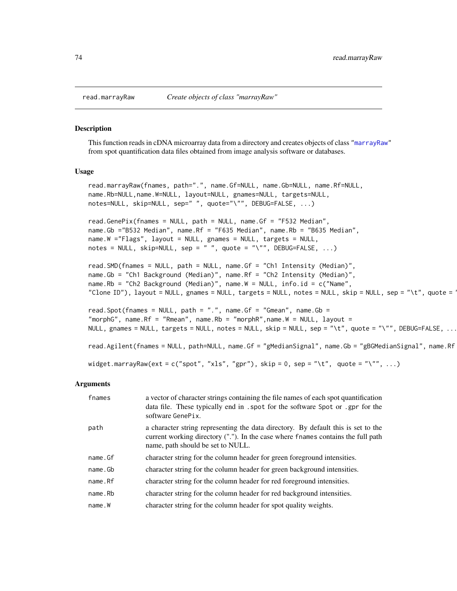#### Description

This function reads in cDNA microarray data from a directory and creates objects of class ["marrayRaw"](#page-58-0) from spot quantification data files obtained from image analysis software or databases.

#### Usage

```
read.marrayRaw(fnames, path=".", name.Gf=NULL, name.Gb=NULL, name.Rf=NULL,
name.Rb=NULL,name.W=NULL, layout=NULL, gnames=NULL, targets=NULL,
notes=NULL, skip=NULL, sep=" ", quote="\"", DEBUG=FALSE, ...)
read.GenePix(fnames = NULL, path = NULL, name.Gf = "F532 Median",
name.Gb ="B532 Median", name.Rf = "F635 Median", name.Rb = "B635 Median",
name.W ="Flags", layout = NULL, gnames = NULL, targets = NULL,
notes = NULL, skip=NULL, sep = "", quote = "\\". EEBUG=FALSE, ...)read.SMD(fnames = NULL, path = NULL, name.Gf = "Ch1 Intensity (Median)",
name.Gb = "Ch1 Background (Median)", name.Rf = "Ch2 Intensity (Median)",
name.Rb = "Ch2 Background (Median)", name.W = NULL, info.id = c("Name",
"Clone ID"), layout = NULL, gnames = NULL, targets = NULL, notes = NULL, skip = NULL, sep = "\t", quote = \overline{a}
```

```
read. Spot(fnames = NULL, path = ".", name. Gf = "Gmean", name. Gb =
"morphG", name.Rf = "Rmean", name.Rb = "morphR", name.W = NULL, layout =
NULL, gnames = NULL, targets = NULL, notes = NULL, skip = NULL, sep = "\t", quote = "\"", DEBUG=FALSE, ...)
```
read.Agilent(fnames = NULL, path=NULL, name.Gf = "gMedianSignal", name.Gb = "gBGMedianSignal", name.Rf

widget.marrayRaw(ext = c("spot", "xls", "gpr"), skip = 0, sep = "\t", quote = "\"",  $\dots$ )

#### Arguments

| fnames  | a vector of character strings containing the file names of each spot quantification<br>data file. These typically end in . spot for the software Spot or . gpr for the<br>software GenePix.                |
|---------|------------------------------------------------------------------------------------------------------------------------------------------------------------------------------------------------------------|
| path    | a character string representing the data directory. By default this is set to the<br>current working directory ("."). In the case where frames contains the full path<br>name, path should be set to NULL. |
| name.Gf | character string for the column header for green foreground intensities.                                                                                                                                   |
| name.Gb | character string for the column header for green background intensities.                                                                                                                                   |
| name.Rf | character string for the column header for red foreground intensities.                                                                                                                                     |
| name.Rb | character string for the column header for red background intensities.                                                                                                                                     |
| name.W  | character string for the column header for spot quality weights.                                                                                                                                           |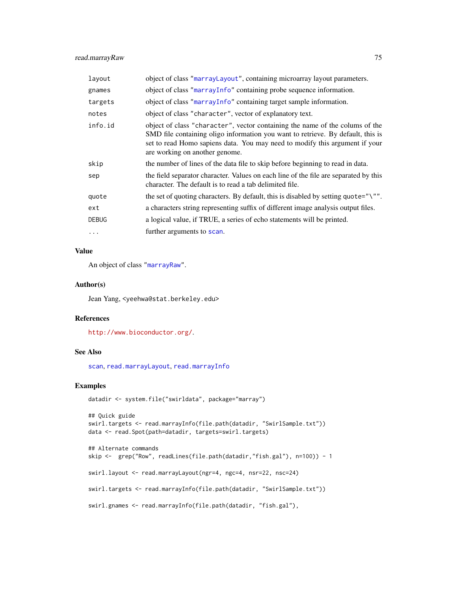## read.marrayRaw 75

| layout       | object of class "marrayLayout", containing microarray layout parameters.                                                                                                                                                                                                         |
|--------------|----------------------------------------------------------------------------------------------------------------------------------------------------------------------------------------------------------------------------------------------------------------------------------|
| gnames       | object of class "marrayInfo" containing probe sequence information.                                                                                                                                                                                                              |
| targets      | object of class "marrayInfo" containing target sample information.                                                                                                                                                                                                               |
| notes        | object of class "character", vector of explanatory text.                                                                                                                                                                                                                         |
| info.id      | object of class "character", vector containing the name of the colums of the<br>SMD file containing oligo information you want to retrieve. By default, this is<br>set to read Homo sapiens data. You may need to modify this argument if your<br>are working on another genome. |
| skip         | the number of lines of the data file to skip before beginning to read in data.                                                                                                                                                                                                   |
| sep          | the field separator character. Values on each line of the file are separated by this<br>character. The default is to read a tab delimited file.                                                                                                                                  |
| quote        | the set of quoting characters. By default, this is disabled by setting quote=" $\gamma$ ".                                                                                                                                                                                       |
| ext          | a characters string representing suffix of different image analysis output files.                                                                                                                                                                                                |
| <b>DEBUG</b> | a logical value, if TRUE, a series of echo statements will be printed.                                                                                                                                                                                                           |
| $\cdots$     | further arguments to scan.                                                                                                                                                                                                                                                       |

## Value

An object of class ["marrayRaw"](#page-58-0).

## Author(s)

Jean Yang, <yeehwa@stat.berkeley.edu>

## References

<http://www.bioconductor.org/>.

## See Also

[scan](#page-0-0), [read.marrayLayout](#page-71-0), [read.marrayInfo](#page-70-0)

```
datadir <- system.file("swirldata", package="marray")
## Quick guide
swirl.targets <- read.marrayInfo(file.path(datadir, "SwirlSample.txt"))
data <- read.Spot(path=datadir, targets=swirl.targets)
## Alternate commands
skip <- grep("Row", readLines(file.path(datadir,"fish.gal"), n=100)) - 1
swirl.layout <- read.marrayLayout(ngr=4, ngc=4, nsr=22, nsc=24)
swirl.targets <- read.marrayInfo(file.path(datadir, "SwirlSample.txt"))
```

```
swirl.gnames <- read.marrayInfo(file.path(datadir, "fish.gal"),
```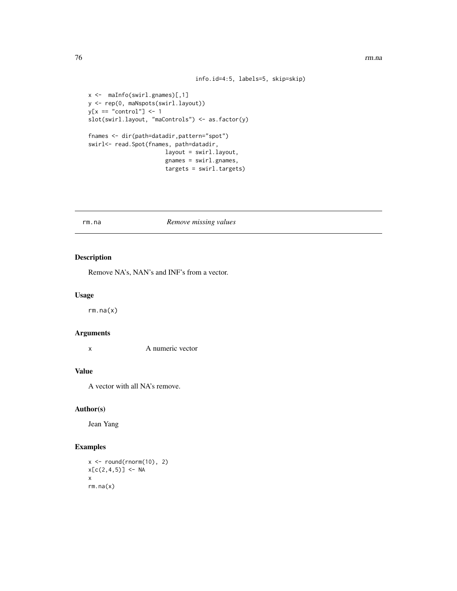```
info.id=4:5, labels=5, skip=skip)
```

```
x <- maInfo(swirl.gnames)[,1]
y <- rep(0, maNspots(swirl.layout))
y[x == "control"] \leftarrow 1slot(swirl.layout, "maControls") <- as.factor(y)
fnames <- dir(path=datadir,pattern="spot")
swirl<- read.Spot(fnames, path=datadir,
                       layout = swirl.layout,
                       gnames = swirl.gnames,
                       targets = swirl.targets)
```
#### rm.na *Remove missing values*

## Description

Remove NA's, NAN's and INF's from a vector.

### Usage

rm.na(x)

## Arguments

x A numeric vector

#### Value

A vector with all NA's remove.

## Author(s)

Jean Yang

```
x \leftarrow \text{round}(\text{rnorm}(10), 2)x[c(2,4,5)] <- NA
x
rm.na(x)
```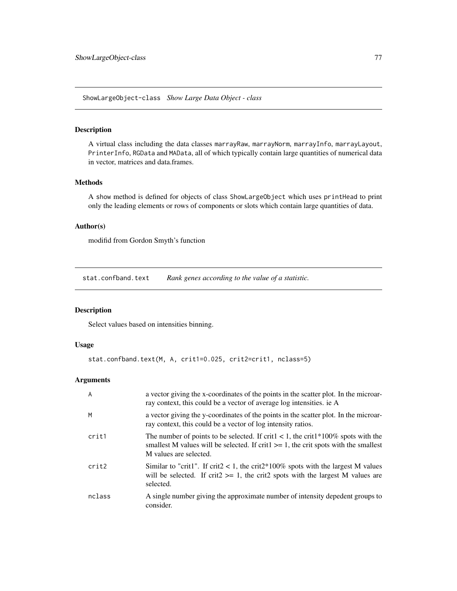<span id="page-76-0"></span>ShowLargeObject-class *Show Large Data Object - class*

#### Description

A virtual class including the data classes marrayRaw, marrayNorm, marrayInfo, marrayLayout, PrinterInfo, RGData and MAData, all of which typically contain large quantities of numerical data in vector, matrices and data.frames.

#### Methods

A show method is defined for objects of class ShowLargeObject which uses printHead to print only the leading elements or rows of components or slots which contain large quantities of data.

## Author(s)

modifid from Gordon Smyth's function

stat.confband.text *Rank genes according to the value of a statistic.*

## Description

Select values based on intensities binning.

## Usage

stat.confband.text(M, A, crit1=0.025, crit2=crit1, nclass=5)

#### Arguments

| A      | a vector giving the x-coordinates of the points in the scatter plot. In the microar-<br>ray context, this could be a vector of average log intensities. ie A                                                |
|--------|-------------------------------------------------------------------------------------------------------------------------------------------------------------------------------------------------------------|
| M      | a vector giving the y-coordinates of the points in the scatter plot. In the microar-<br>ray context, this could be a vector of log intensity ratios.                                                        |
| crit1  | The number of points to be selected. If crit $1 < 1$ , the crit $1*100\%$ spots with the<br>smallest M values will be selected. If crit $\ge$ 1, the crit spots with the smallest<br>M values are selected. |
| crit2  | Similar to "crit1". If crit2 < 1, the crit2*100% spots with the largest M values<br>will be selected. If crit $2 \ge 1$ , the crit $2$ spots with the largest M values are<br>selected.                     |
| nclass | A single number giving the approximate number of intensity depedent groups to<br>consider.                                                                                                                  |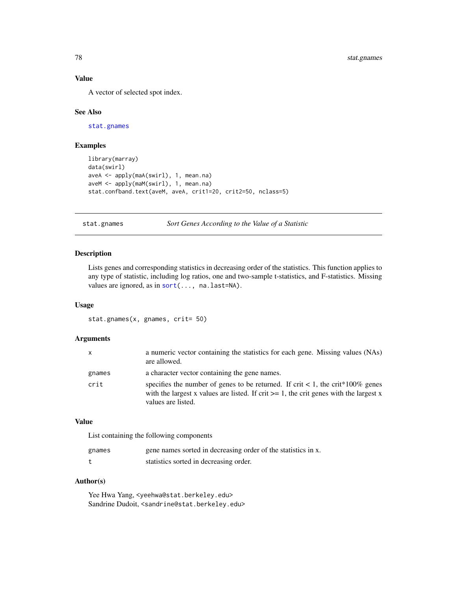## Value

A vector of selected spot index.

#### See Also

[stat.gnames](#page-77-0)

#### Examples

```
library(marray)
data(swirl)
aveA <- apply(maA(swirl), 1, mean.na)
aveM <- apply(maM(swirl), 1, mean.na)
stat.confband.text(aveM, aveA, crit1=20, crit2=50, nclass=5)
```
<span id="page-77-0"></span>stat.gnames *Sort Genes According to the Value of a Statistic*

#### Description

Lists genes and corresponding statistics in decreasing order of the statistics. This function applies to any type of statistic, including log ratios, one and two-sample t-statistics, and F-statistics. Missing values are ignored, as in [sort\(](#page-0-0)..., na.last=NA).

## Usage

```
stat.gnames(x, gnames, crit= 50)
```
#### Arguments

| $\mathsf{x}$ | a numeric vector containing the statistics for each gene. Missing values (NAs)<br>are allowed.                                                                                                                    |
|--------------|-------------------------------------------------------------------------------------------------------------------------------------------------------------------------------------------------------------------|
| gnames       | a character vector containing the gene names.                                                                                                                                                                     |
| crit         | specifies the number of genes to be returned. If crit $< 1$ , the crit <sup>*</sup> 100% genes<br>with the largest x values are listed. If crit $\geq$ 1, the crit genes with the largest x<br>values are listed. |

#### Value

List containing the following components

| gnames | gene names sorted in decreasing order of the statistics in x. |
|--------|---------------------------------------------------------------|
|        | statistics sorted in decreasing order.                        |

## Author(s)

Yee Hwa Yang, <yeehwa@stat.berkeley.edu> Sandrine Dudoit, <sandrine@stat.berkeley.edu>

<span id="page-77-1"></span>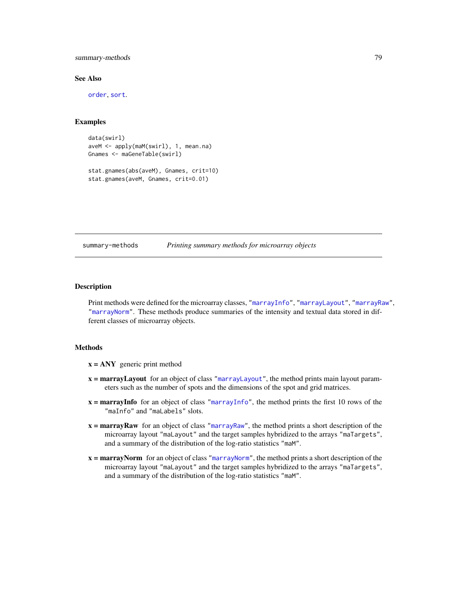<span id="page-78-0"></span>summary-methods 79

#### See Also

[order](#page-0-0), [sort](#page-0-0).

## Examples

```
data(swirl)
aveM <- apply(maM(swirl), 1, mean.na)
Gnames <- maGeneTable(swirl)
stat.gnames(abs(aveM), Gnames, crit=10)
stat.gnames(aveM, Gnames, crit=0.01)
```
#### summary-methods *Printing summary methods for microarray objects*

## Description

Print methods were defined for the microarray classes, ["marrayInfo"](#page-51-0), ["marrayLayout"](#page-52-0), ["marrayRaw"](#page-58-0), ["marrayNorm"](#page-55-0). These methods produce summaries of the intensity and textual data stored in different classes of microarray objects.

#### Methods

- $x = \text{ANY}$  generic print method
- x = marrayLayout for an object of class ["marrayLayout"](#page-52-0), the method prints main layout parameters such as the number of spots and the dimensions of the spot and grid matrices.
- $x =$ **marrayInfo** for an object of class ["marrayInfo"](#page-51-0), the method prints the first 10 rows of the "maInfo" and "maLabels" slots.
- x = marrayRaw for an object of class ["marrayRaw"](#page-58-0), the method prints a short description of the microarray layout "maLayout" and the target samples hybridized to the arrays "maTargets", and a summary of the distribution of the log-ratio statistics "maM".
- x = marrayNorm for an object of class ["marrayNorm"](#page-55-0), the method prints a short description of the microarray layout "maLayout" and the target samples hybridized to the arrays "maTargets", and a summary of the distribution of the log-ratio statistics "maM".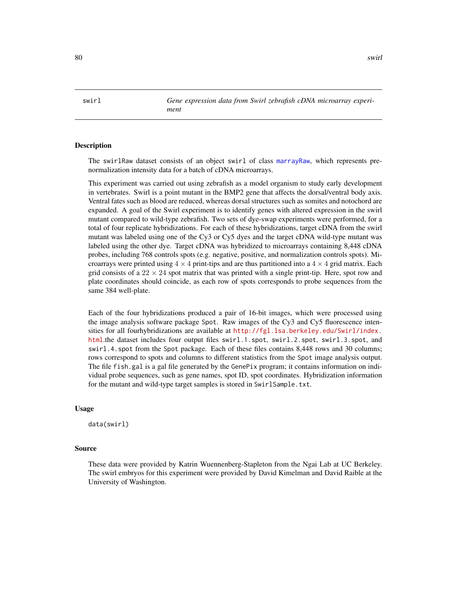<span id="page-79-0"></span>swirl *Gene expression data from Swirl zebrafish cDNA microarray experiment*

#### **Description**

The swirlRaw dataset consists of an object swirl of class [marrayRaw](#page-58-0), which represents prenormalization intensity data for a batch of cDNA microarrays.

This experiment was carried out using zebrafish as a model organism to study early development in vertebrates. Swirl is a point mutant in the BMP2 gene that affects the dorsal/ventral body axis. Ventral fates such as blood are reduced, whereas dorsal structures such as somites and notochord are expanded. A goal of the Swirl experiment is to identify genes with altered expression in the swirl mutant compared to wild-type zebrafish. Two sets of dye-swap experiments were performed, for a total of four replicate hybridizations. For each of these hybridizations, target cDNA from the swirl mutant was labeled using one of the Cy3 or Cy5 dyes and the target cDNA wild-type mutant was labeled using the other dye. Target cDNA was hybridized to microarrays containing 8,448 cDNA probes, including 768 controls spots (e.g. negative, positive, and normalization controls spots). Microarrays were printed using  $4 \times 4$  print-tips and are thus partitioned into a  $4 \times 4$  grid matrix. Each grid consists of a  $22 \times 24$  spot matrix that was printed with a single print-tip. Here, spot row and plate coordinates should coincide, as each row of spots corresponds to probe sequences from the same 384 well-plate.

Each of the four hybridizations produced a pair of 16-bit images, which were processed using the image analysis software package Spot. Raw images of the Cy3 and Cy5 fluorescence intensities for all fourhybridizations are available at [http://fgl.lsa.berkeley.edu/Swirl/index.](http://fgl.lsa.berkeley.edu/Swirl/index.html) [html](http://fgl.lsa.berkeley.edu/Swirl/index.html).the dataset includes four output files swirl.1.spot, swirl.2.spot, swirl.3.spot, and swirl.4.spot from the Spot package. Each of these files contains 8,448 rows and 30 columns; rows correspond to spots and columns to different statistics from the Spot image analysis output. The file fish.gal is a gal file generated by the GenePix program; it contains information on individual probe sequences, such as gene names, spot ID, spot coordinates. Hybridization information for the mutant and wild-type target samples is stored in SwirlSample.txt.

#### Usage

data(swirl)

#### Source

These data were provided by Katrin Wuennenberg-Stapleton from the Ngai Lab at UC Berkeley. The swirl embryos for this experiment were provided by David Kimelman and David Raible at the University of Washington.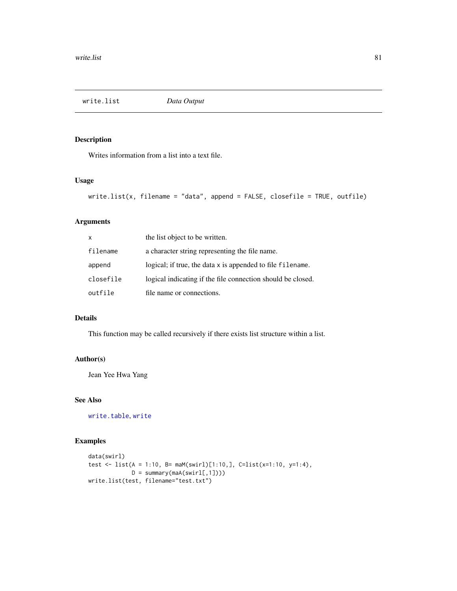<span id="page-80-1"></span><span id="page-80-0"></span>write.list *Data Output*

## Description

Writes information from a list into a text file.

## Usage

```
write.list(x, filename = "data", append = FALSE, closefile = TRUE, outfile)
```
## Arguments

| $\mathsf{x}$ | the list object to be written.                              |
|--------------|-------------------------------------------------------------|
| filename     | a character string representing the file name.              |
| append       | logical; if true, the data x is appended to file filename.  |
| closefile    | logical indicating if the file connection should be closed. |
| outfile      | file name or connections.                                   |

## Details

This function may be called recursively if there exists list structure within a list.

## Author(s)

Jean Yee Hwa Yang

## See Also

[write.table](#page-0-0), [write](#page-0-0)

```
data(swirl)
test <- list(A = 1:10, B= maM(swirl)[1:10,], C=list(x=1:10, y=1:4),
              D = \text{summary}(\text{maA}(\text{swirl},1]))write.list(test, filename="test.txt")
```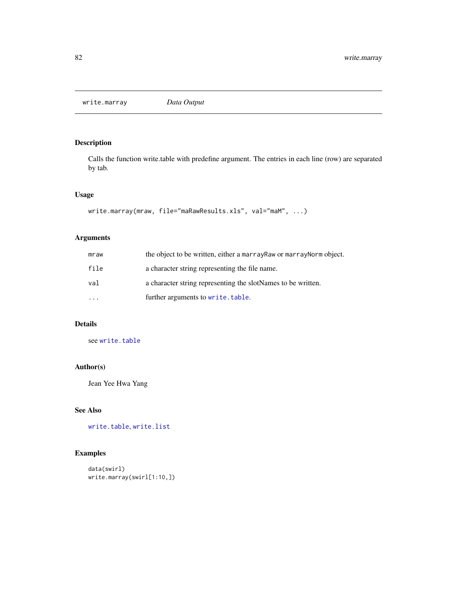<span id="page-81-0"></span>write.marray *Data Output*

## Description

Calls the function write.table with predefine argument. The entries in each line (row) are separated by tab.

## Usage

```
write.marray(mraw, file="maRawResults.xls", val="maM", ...)
```
## Arguments

| mraw      | the object to be written, either a marray Raw or marray Norm object. |
|-----------|----------------------------------------------------------------------|
| file      | a character string representing the file name.                       |
| val       | a character string representing the slotNames to be written.         |
| $\ddotsc$ | further arguments to write.table.                                    |

## Details

see [write.table](#page-0-0)

## Author(s)

Jean Yee Hwa Yang

## See Also

[write.table](#page-0-0), [write.list](#page-80-0)

```
data(swirl)
write.marray(swirl[1:10,])
```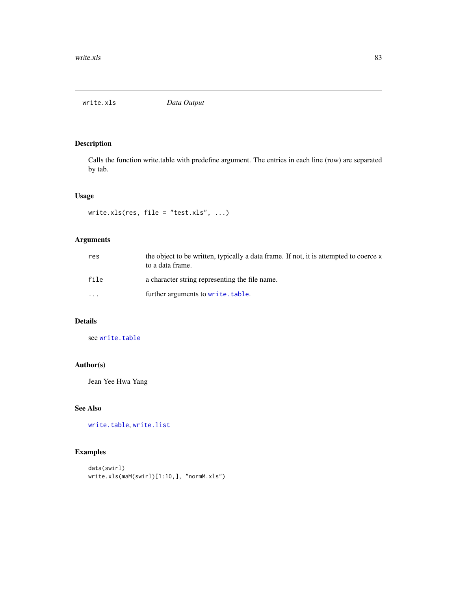<span id="page-82-0"></span>

## Description

Calls the function write.table with predefine argument. The entries in each line (row) are separated by tab.

## Usage

```
write.xls(res, file = "test.xls", ...)
```
## Arguments

| res      | the object to be written, typically a data frame. If not, it is attempted to coerce x<br>to a data frame. |
|----------|-----------------------------------------------------------------------------------------------------------|
| file     | a character string representing the file name.                                                            |
| $\cdots$ | further arguments to write.table.                                                                         |

## Details

see [write.table](#page-0-0)

## Author(s)

Jean Yee Hwa Yang

## See Also

[write.table](#page-0-0), [write.list](#page-80-0)

```
data(swirl)
write.xls(maM(swirl)[1:10,], "normM.xls")
```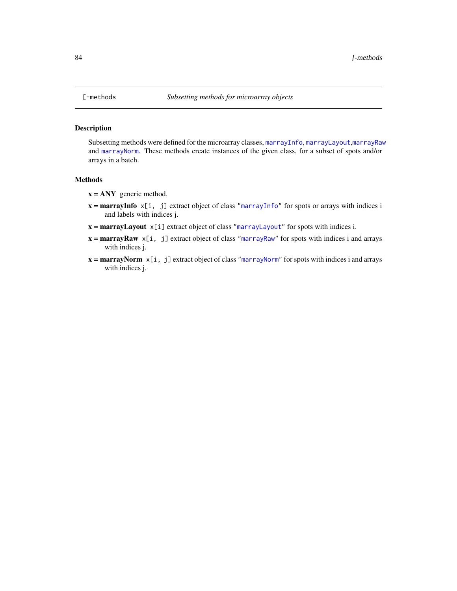<span id="page-83-0"></span>

## Description

Subsetting methods were defined for the microarray classes, [marrayInfo](#page-51-0), [marrayLayout](#page-52-0),[marrayRaw](#page-58-0) and [marrayNorm](#page-55-0). These methods create instances of the given class, for a subset of spots and/or arrays in a batch.

#### Methods

- $x = ANY$  generic method.
- $x =$ **marrayInfo**  $x[i, j]$  extract object of class ["marrayInfo"](#page-51-0) for spots or arrays with indices i and labels with indices j.
- $x =$ **marrayLayout**  $x[i]$  extract object of class ["marrayLayout"](#page-52-0) for spots with indices i.
- $x =$ **marrayRaw**  $x[i, j]$  extract object of class ["marrayRaw"](#page-58-0) for spots with indices i and arrays with indices j.
- $x =$ **marrayNorm**  $x[i, j]$  extract object of class ["marrayNorm"](#page-55-0) for spots with indices i and arrays with indices j.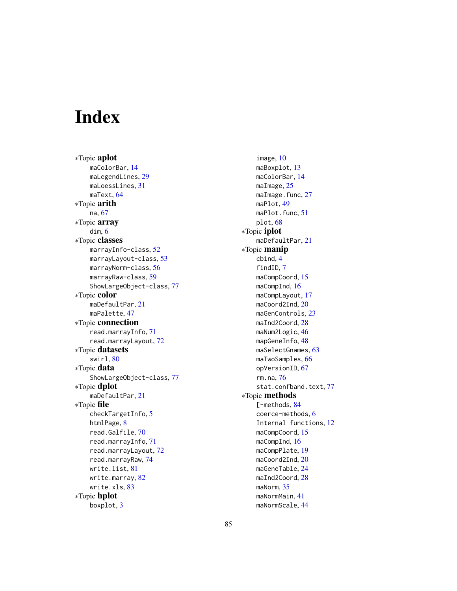# **Index**

∗Topic aplot maColorBar, [14](#page-13-0) maLegendLines, [29](#page-28-0) maLoessLines, [31](#page-30-0) maText, [64](#page-63-0) ∗Topic arith na, [67](#page-66-0) ∗Topic array dim, [6](#page-5-0) ∗Topic classes marrayInfo-class, [52](#page-51-1) marrayLayout-class, [53](#page-52-1) marrayNorm-class, [56](#page-55-1) marrayRaw-class, [59](#page-58-1) ShowLargeObject-class, [77](#page-76-0) ∗Topic color maDefaultPar, [21](#page-20-0) maPalette, [47](#page-46-0) ∗Topic connection read.marrayInfo, [71](#page-70-1) read.marrayLayout, [72](#page-71-1) ∗Topic datasets swirl, [80](#page-79-0) ∗Topic data ShowLargeObject-class, [77](#page-76-0) ∗Topic dplot maDefaultPar, [21](#page-20-0) ∗Topic file checkTargetInfo, [5](#page-4-0) htmlPage, [8](#page-7-0) read.Galfile, [70](#page-69-0) read.marrayInfo, [71](#page-70-1) read.marrayLayout, [72](#page-71-1) read.marrayRaw, [74](#page-73-0) write.list, [81](#page-80-1) write.marray, [82](#page-81-0) write.xls, [83](#page-82-0) ∗Topic hplot boxplot, [3](#page-2-0)

image, [10](#page-9-0) maBoxplot, [13](#page-12-0) maColorBar, [14](#page-13-0) maImage, [25](#page-24-0) maImage.func, [27](#page-26-0) maPlot, [49](#page-48-0) maPlot.func, [51](#page-50-0) plot, [68](#page-67-0) ∗Topic iplot maDefaultPar, [21](#page-20-0) ∗Topic manip cbind, [4](#page-3-0) findID, [7](#page-6-0) maCompCoord, [15](#page-14-0) maCompInd, [16](#page-15-0) maCompLayout, [17](#page-16-0) maCoord2Ind, [20](#page-19-0) maGenControls, [23](#page-22-0) maInd2Coord, [28](#page-27-0) maNum2Logic, [46](#page-45-0) mapGeneInfo, [48](#page-47-0) maSelectGnames, [63](#page-62-0) maTwoSamples, [66](#page-65-0) opVersionID, [67](#page-66-0) rm.na, [76](#page-75-0) stat.confband.text, [77](#page-76-0) ∗Topic methods [-methods, [84](#page-83-0) coerce-methods, [6](#page-5-0) Internal functions, [12](#page-11-0) maCompCoord, [15](#page-14-0) maCompInd, [16](#page-15-0) maCompPlate, [19](#page-18-0) maCoord2Ind, [20](#page-19-0) maGeneTable, [24](#page-23-0) maInd2Coord, [28](#page-27-0) maNorm, [35](#page-34-0) maNormMain, [41](#page-40-0) maNormScale, [44](#page-43-0)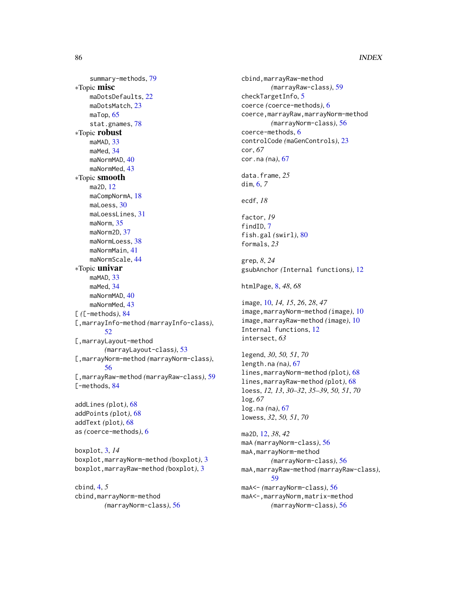summary-methods, [79](#page-78-0) ∗Topic misc maDotsDefaults, [22](#page-21-0) maDotsMatch, [23](#page-22-0) maTop, [65](#page-64-0) stat.gnames, [78](#page-77-1) ∗Topic robust maMAD, [33](#page-32-0) maMed, [34](#page-33-0) maNormMAD, [40](#page-39-0) maNormMed, [43](#page-42-0) ∗Topic smooth ma2D, [12](#page-11-0) maCompNormA, [18](#page-17-0) maLoess, [30](#page-29-0) maLoessLines, [31](#page-30-0) maNorm, [35](#page-34-0) maNorm2D, [37](#page-36-0) maNormLoess, [38](#page-37-0) maNormMain, [41](#page-40-0) maNormScale, [44](#page-43-0) ∗Topic univar maMAD, [33](#page-32-0) maMed, [34](#page-33-0) maNormMAD, [40](#page-39-0) maNormMed, [43](#page-42-0) [ *(*[-methods*)*, [84](#page-83-0) [,marrayInfo-method *(*marrayInfo-class*)*, [52](#page-51-1) [,marrayLayout-method *(*marrayLayout-class*)*, [53](#page-52-1) [,marrayNorm-method *(*marrayNorm-class*)*, [56](#page-55-1) [,marrayRaw-method *(*marrayRaw-class*)*, [59](#page-58-1) [-methods, [84](#page-83-0) addLines *(*plot*)*, [68](#page-67-0) addPoints *(*plot*)*, [68](#page-67-0) addText *(*plot*)*, [68](#page-67-0) as *(*coerce-methods*)*, [6](#page-5-0) boxplot, [3,](#page-2-0) *14*

boxplot,marrayNorm-method *(*boxplot*)*, [3](#page-2-0) boxplot,marrayRaw-method *(*boxplot*)*, [3](#page-2-0)

cbind, [4,](#page-3-0) *5* cbind,marrayNorm-method *(*marrayNorm-class*)*, [56](#page-55-1) cbind,marrayRaw-method *(*marrayRaw-class*)*, [59](#page-58-1) checkTargetInfo, [5](#page-4-0) coerce *(*coerce-methods*)*, [6](#page-5-0) coerce,marrayRaw,marrayNorm-method *(*marrayNorm-class*)*, [56](#page-55-1) coerce-methods, [6](#page-5-0) controlCode *(*maGenControls*)*, [23](#page-22-0) cor, *67* cor.na *(*na*)*, [67](#page-66-0) data.frame, *25* dim, [6,](#page-5-0) *7* ecdf, *18* factor, *19* findID, [7](#page-6-0) fish.gal *(*swirl*)*, [80](#page-79-0) formals, *23* grep, *8*, *24* gsubAnchor *(*Internal functions*)*, [12](#page-11-0) htmlPage, [8,](#page-7-0) *48*, *68* image, [10,](#page-9-0) *14, 15*, *26*, *28*, *47* image,marrayNorm-method *(*image*)*, [10](#page-9-0) image,marrayRaw-method *(*image*)*, [10](#page-9-0) Internal functions, [12](#page-11-0) intersect, *63* legend, *30*, *50, 51*, *70* length.na *(*na*)*, [67](#page-66-0) lines,marrayNorm-method *(*plot*)*, [68](#page-67-0) lines,marrayRaw-method *(*plot*)*, [68](#page-67-0) loess, *12, 13*, *30–32*, *35–39*, *50, 51*, *70* log, *67* log.na *(*na*)*, [67](#page-66-0) lowess, *32*, *50, 51*, *70* ma2D, [12,](#page-11-0) *38*, *42* maA *(*marrayNorm-class*)*, [56](#page-55-1) maA,marrayNorm-method *(*marrayNorm-class*)*, [56](#page-55-1) maA,marrayRaw-method *(*marrayRaw-class*)*, [59](#page-58-1) maA<- *(*marrayNorm-class*)*, [56](#page-55-1) maA<-,marrayNorm,matrix-method *(*marrayNorm-class*)*, [56](#page-55-1)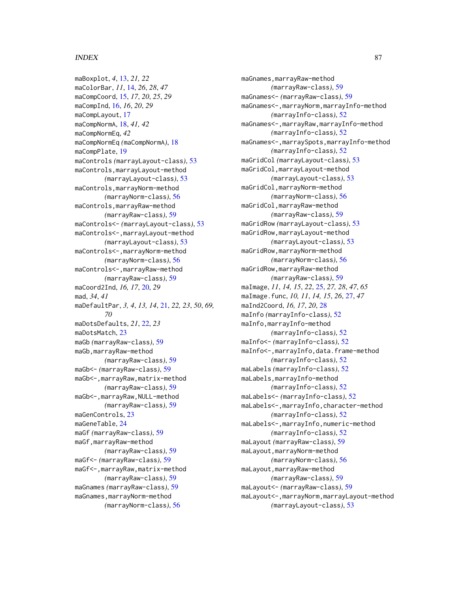maBoxplot, *4*, [13,](#page-12-0) *21, 22* maColorBar, *11*, [14,](#page-13-0) *26*, *28*, *47* maCompCoord, [15,](#page-14-0) *17*, *20*, *25*, *29* maCompInd, [16,](#page-15-0) *16*, *20*, *29* maCompLayout, [17](#page-16-0) maCompNormA, [18,](#page-17-0) *41, 42* maCompNormEq, *42* maCompNormEq *(*maCompNormA*)*, [18](#page-17-0) maCompPlate, [19](#page-18-0) maControls *(*marrayLayout-class*)*, [53](#page-52-1) maControls,marrayLayout-method *(*marrayLayout-class*)*, [53](#page-52-1) maControls,marrayNorm-method *(*marrayNorm-class*)*, [56](#page-55-1) maControls,marrayRaw-method *(*marrayRaw-class*)*, [59](#page-58-1) maControls<- *(*marrayLayout-class*)*, [53](#page-52-1) maControls<-,marrayLayout-method *(*marrayLayout-class*)*, [53](#page-52-1) maControls<-,marrayNorm-method *(*marrayNorm-class*)*, [56](#page-55-1) maControls<-,marrayRaw-method *(*marrayRaw-class*)*, [59](#page-58-1) maCoord2Ind, *16, 17*, [20,](#page-19-0) *29* mad, *34*, *41* maDefaultPar, *3, 4*, *13, 14*, [21,](#page-20-0) *22, 23*, *50*, *69, 70* maDotsDefaults, *21*, [22,](#page-21-0) *23* maDotsMatch, [23](#page-22-0) maGb *(*marrayRaw-class*)*, [59](#page-58-1) maGb,marrayRaw-method *(*marrayRaw-class*)*, [59](#page-58-1) maGb<- *(*marrayRaw-class*)*, [59](#page-58-1) maGb<-,marrayRaw,matrix-method *(*marrayRaw-class*)*, [59](#page-58-1) maGb<-,marrayRaw,NULL-method *(*marrayRaw-class*)*, [59](#page-58-1) maGenControls, [23](#page-22-0) maGeneTable, [24](#page-23-0) maGf *(*marrayRaw-class*)*, [59](#page-58-1) maGf,marrayRaw-method *(*marrayRaw-class*)*, [59](#page-58-1) maGf<- *(*marrayRaw-class*)*, [59](#page-58-1) maGf<-,marrayRaw,matrix-method *(*marrayRaw-class*)*, [59](#page-58-1) maGnames *(*marrayRaw-class*)*, [59](#page-58-1) maGnames, marrayNorm-method *(*marrayNorm-class*)*, [56](#page-55-1)

maGnames,marrayRaw-method *(*marrayRaw-class*)*, [59](#page-58-1) maGnames<- *(*marrayRaw-class*)*, [59](#page-58-1) maGnames<-,marrayNorm,marrayInfo-method *(*marrayInfo-class*)*, [52](#page-51-1) maGnames<-,marrayRaw,marrayInfo-method *(*marrayInfo-class*)*, [52](#page-51-1) maGnames<-,marraySpots,marrayInfo-method *(*marrayInfo-class*)*, [52](#page-51-1) maGridCol *(*marrayLayout-class*)*, [53](#page-52-1) maGridCol,marrayLayout-method *(*marrayLayout-class*)*, [53](#page-52-1) maGridCol,marrayNorm-method *(*marrayNorm-class*)*, [56](#page-55-1) maGridCol,marrayRaw-method *(*marrayRaw-class*)*, [59](#page-58-1) maGridRow *(*marrayLayout-class*)*, [53](#page-52-1) maGridRow,marrayLayout-method *(*marrayLayout-class*)*, [53](#page-52-1) maGridRow,marrayNorm-method *(*marrayNorm-class*)*, [56](#page-55-1) maGridRow,marrayRaw-method *(*marrayRaw-class*)*, [59](#page-58-1) maImage, *11*, *14, 15*, *22*, [25,](#page-24-0) *27, 28*, *47*, *65* maImage.func, *10, 11*, *14, 15*, *26*, [27,](#page-26-0) *47* maInd2Coord, *16, 17*, *20*, [28](#page-27-0) maInfo *(*marrayInfo-class*)*, [52](#page-51-1) maInfo,marrayInfo-method *(*marrayInfo-class*)*, [52](#page-51-1) maInfo<- *(*marrayInfo-class*)*, [52](#page-51-1) maInfo<-,marrayInfo,data.frame-method *(*marrayInfo-class*)*, [52](#page-51-1) maLabels *(*marrayInfo-class*)*, [52](#page-51-1) maLabels,marrayInfo-method *(*marrayInfo-class*)*, [52](#page-51-1) maLabels<- *(*marrayInfo-class*)*, [52](#page-51-1) maLabels<-,marrayInfo,character-method *(*marrayInfo-class*)*, [52](#page-51-1) maLabels<-,marrayInfo,numeric-method *(*marrayInfo-class*)*, [52](#page-51-1) maLayout *(*marrayRaw-class*)*, [59](#page-58-1) maLayout,marrayNorm-method *(*marrayNorm-class*)*, [56](#page-55-1) maLayout,marrayRaw-method *(*marrayRaw-class*)*, [59](#page-58-1) maLayout<- *(*marrayRaw-class*)*, [59](#page-58-1) maLayout<-,marrayNorm,marrayLayout-method *(*marrayLayout-class*)*, [53](#page-52-1)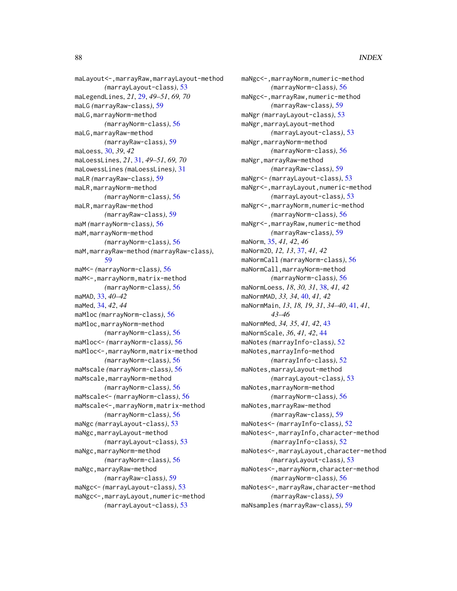maLayout<-,marrayRaw,marrayLayout-method *(*marrayLayout-class*)*, [53](#page-52-1) maLegendLines, *21*, [29,](#page-28-0) *49–51*, *69, 70* maLG *(*marrayRaw-class*)*, [59](#page-58-1) maLG,marrayNorm-method *(*marrayNorm-class*)*, [56](#page-55-1) maLG,marrayRaw-method *(*marrayRaw-class*)*, [59](#page-58-1) maLoess, [30,](#page-29-0) *39*, *42* maLoessLines, *21*, [31,](#page-30-0) *49–51*, *69, 70* maLowessLines *(*maLoessLines*)*, [31](#page-30-0) maLR *(*marrayRaw-class*)*, [59](#page-58-1) maLR,marrayNorm-method *(*marrayNorm-class*)*, [56](#page-55-1) maLR,marrayRaw-method *(*marrayRaw-class*)*, [59](#page-58-1) maM *(*marrayNorm-class*)*, [56](#page-55-1) maM,marrayNorm-method *(*marrayNorm-class*)*, [56](#page-55-1) maM,marrayRaw-method *(*marrayRaw-class*)*, [59](#page-58-1) maM<- *(*marrayNorm-class*)*, [56](#page-55-1) maM<-,marrayNorm,matrix-method *(*marrayNorm-class*)*, [56](#page-55-1) maMAD, [33,](#page-32-0) *40–42* maMed, [34,](#page-33-0) *42*, *44* maMloc *(*marrayNorm-class*)*, [56](#page-55-1) maMloc,marrayNorm-method *(*marrayNorm-class*)*, [56](#page-55-1) maMloc<- *(*marrayNorm-class*)*, [56](#page-55-1) maMloc<-,marrayNorm,matrix-method *(*marrayNorm-class*)*, [56](#page-55-1) maMscale *(*marrayNorm-class*)*, [56](#page-55-1) maMscale,marrayNorm-method *(*marrayNorm-class*)*, [56](#page-55-1) maMscale<- *(*marrayNorm-class*)*, [56](#page-55-1) maMscale<-,marrayNorm,matrix-method *(*marrayNorm-class*)*, [56](#page-55-1) maNgc *(*marrayLayout-class*)*, [53](#page-52-1) maNgc,marrayLayout-method *(*marrayLayout-class*)*, [53](#page-52-1) maNgc,marrayNorm-method *(*marrayNorm-class*)*, [56](#page-55-1) maNgc,marrayRaw-method *(*marrayRaw-class*)*, [59](#page-58-1) maNgc<- *(*marrayLayout-class*)*, [53](#page-52-1) maNgc<-,marrayLayout,numeric-method *(*marrayLayout-class*)*, [53](#page-52-1)

maNgc<-,marrayNorm,numeric-method *(*marrayNorm-class*)*, [56](#page-55-1) maNgc<-,marrayRaw,numeric-method *(*marrayRaw-class*)*, [59](#page-58-1) maNgr *(*marrayLayout-class*)*, [53](#page-52-1) maNgr,marrayLayout-method *(*marrayLayout-class*)*, [53](#page-52-1) maNgr,marrayNorm-method *(*marrayNorm-class*)*, [56](#page-55-1) maNgr,marrayRaw-method *(*marrayRaw-class*)*, [59](#page-58-1) maNgr<- *(*marrayLayout-class*)*, [53](#page-52-1) maNgr<-,marrayLayout,numeric-method *(*marrayLayout-class*)*, [53](#page-52-1) maNgr<-,marrayNorm,numeric-method *(*marrayNorm-class*)*, [56](#page-55-1) maNgr<-,marrayRaw,numeric-method *(*marrayRaw-class*)*, [59](#page-58-1) maNorm, [35,](#page-34-0) *41, 42*, *46* maNorm2D, *12, 13*, [37,](#page-36-0) *41, 42* maNormCall *(*marrayNorm-class*)*, [56](#page-55-1) maNormCall,marrayNorm-method *(*marrayNorm-class*)*, [56](#page-55-1) maNormLoess, *18*, *30, 31*, [38,](#page-37-0) *41, 42* maNormMAD, *33, 34*, [40,](#page-39-0) *41, 42* maNormMain, *13*, *18, 19*, *31*, *34–40*, [41,](#page-40-0) *41*, *43–46* maNormMed, *34, 35*, *41, 42*, [43](#page-42-0) maNormScale, *36*, *41, 42*, [44](#page-43-0) maNotes *(*marrayInfo-class*)*, [52](#page-51-1) maNotes,marrayInfo-method *(*marrayInfo-class*)*, [52](#page-51-1) maNotes,marrayLayout-method *(*marrayLayout-class*)*, [53](#page-52-1) maNotes,marrayNorm-method *(*marrayNorm-class*)*, [56](#page-55-1) maNotes,marrayRaw-method *(*marrayRaw-class*)*, [59](#page-58-1) maNotes<- *(*marrayInfo-class*)*, [52](#page-51-1) maNotes<-,marrayInfo,character-method *(*marrayInfo-class*)*, [52](#page-51-1) maNotes<-,marrayLayout,character-method *(*marrayLayout-class*)*, [53](#page-52-1) maNotes<-,marrayNorm,character-method *(*marrayNorm-class*)*, [56](#page-55-1) maNotes<-,marrayRaw,character-method *(*marrayRaw-class*)*, [59](#page-58-1) maNsamples *(*marrayRaw-class*)*, [59](#page-58-1)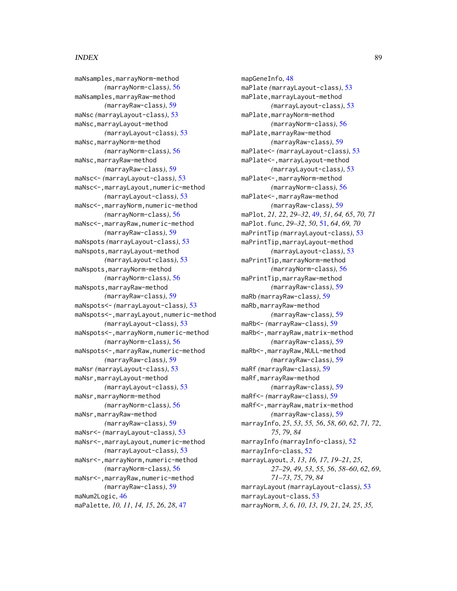maNsamples,marrayNorm-method *(*marrayNorm-class*)*, [56](#page-55-1) maNsamples,marrayRaw-method *(*marrayRaw-class*)*, [59](#page-58-1) maNsc *(*marrayLayout-class*)*, [53](#page-52-1) maNsc,marrayLayout-method *(*marrayLayout-class*)*, [53](#page-52-1) maNsc,marrayNorm-method *(*marrayNorm-class*)*, [56](#page-55-1) maNsc,marrayRaw-method *(*marrayRaw-class*)*, [59](#page-58-1) maNsc<- *(*marrayLayout-class*)*, [53](#page-52-1) maNsc<-,marrayLayout,numeric-method *(*marrayLayout-class*)*, [53](#page-52-1) maNsc<-,marrayNorm,numeric-method *(*marrayNorm-class*)*, [56](#page-55-1) maNsc<-,marrayRaw,numeric-method *(*marrayRaw-class*)*, [59](#page-58-1) maNspots *(*marrayLayout-class*)*, [53](#page-52-1) maNspots,marrayLayout-method *(*marrayLayout-class*)*, [53](#page-52-1) maNspots,marrayNorm-method *(*marrayNorm-class*)*, [56](#page-55-1) maNspots,marrayRaw-method *(*marrayRaw-class*)*, [59](#page-58-1) maNspots<- *(*marrayLayout-class*)*, [53](#page-52-1) maNspots<-,marrayLayout,numeric-method *(*marrayLayout-class*)*, [53](#page-52-1) maNspots<-,marrayNorm,numeric-method *(*marrayNorm-class*)*, [56](#page-55-1) maNspots<-,marrayRaw,numeric-method *(*marrayRaw-class*)*, [59](#page-58-1) maNsr *(*marrayLayout-class*)*, [53](#page-52-1) maNsr,marrayLayout-method *(*marrayLayout-class*)*, [53](#page-52-1) maNsr,marrayNorm-method *(*marrayNorm-class*)*, [56](#page-55-1) maNsr,marrayRaw-method *(*marrayRaw-class*)*, [59](#page-58-1) maNsr<- *(*marrayLayout-class*)*, [53](#page-52-1) maNsr<-,marrayLayout,numeric-method *(*marrayLayout-class*)*, [53](#page-52-1) maNsr<-,marrayNorm,numeric-method *(*marrayNorm-class*)*, [56](#page-55-1) maNsr<-,marrayRaw,numeric-method *(*marrayRaw-class*)*, [59](#page-58-1) maNum2Logic, [46](#page-45-0) maPalette, *10, 11*, *14, 15*, *26*, *28*, [47](#page-46-0)

mapGeneInfo, [48](#page-47-0) maPlate *(*marrayLayout-class*)*, [53](#page-52-1) maPlate,marrayLayout-method *(*marrayLayout-class*)*, [53](#page-52-1) maPlate,marrayNorm-method *(*marrayNorm-class*)*, [56](#page-55-1) maPlate,marrayRaw-method *(*marrayRaw-class*)*, [59](#page-58-1) maPlate<- *(*marrayLayout-class*)*, [53](#page-52-1) maPlate<-,marrayLayout-method *(*marrayLayout-class*)*, [53](#page-52-1) maPlate<-,marrayNorm-method *(*marrayNorm-class*)*, [56](#page-55-1) maPlate<-,marrayRaw-method *(*marrayRaw-class*)*, [59](#page-58-1) maPlot, *21, 22*, *29–32*, [49,](#page-48-0) *51*, *64, 65*, *70, 71* maPlot.func, *29–32*, *50*, [51,](#page-50-0) *64*, *69, 70* maPrintTip *(*marrayLayout-class*)*, [53](#page-52-1) maPrintTip,marrayLayout-method *(*marrayLayout-class*)*, [53](#page-52-1) maPrintTip,marrayNorm-method *(*marrayNorm-class*)*, [56](#page-55-1) maPrintTip,marrayRaw-method *(*marrayRaw-class*)*, [59](#page-58-1) maRb *(*marrayRaw-class*)*, [59](#page-58-1) maRb,marrayRaw-method *(*marrayRaw-class*)*, [59](#page-58-1) maRb<- *(*marrayRaw-class*)*, [59](#page-58-1) maRb<-,marrayRaw,matrix-method *(*marrayRaw-class*)*, [59](#page-58-1) maRb<-,marrayRaw,NULL-method *(*marrayRaw-class*)*, [59](#page-58-1) maRf *(*marrayRaw-class*)*, [59](#page-58-1) maRf,marrayRaw-method *(*marrayRaw-class*)*, [59](#page-58-1) maRf<- *(*marrayRaw-class*)*, [59](#page-58-1) maRf<-,marrayRaw,matrix-method *(*marrayRaw-class*)*, [59](#page-58-1) marrayInfo, *25*, *53*, *55, 56*, *58*, *60*, *62*, *71, 72*, *75*, *79*, *84* marrayInfo *(*marrayInfo-class*)*, [52](#page-51-1) marrayInfo-class, [52](#page-51-1) marrayLayout, *3*, *13*, *16, 17*, *19–21*, *25*, *27–29*, *49*, *53*, *55, 56*, *58–60*, *62*, *69*, *71–73*, *75*, *79*, *84* marrayLayout *(*marrayLayout-class*)*, [53](#page-52-1) marrayLayout-class, [53](#page-52-1) marrayNorm, *3*, *6*, *10*, *13*, *19*, *21*, *24, 25*, *35,*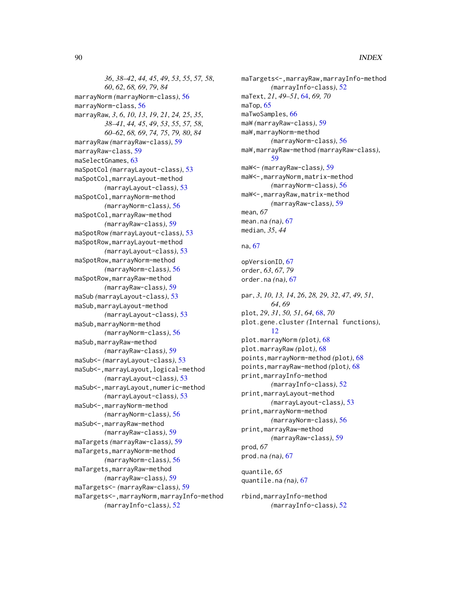*36*, *38–42*, *44, 45*, *49*, *53*, *55*, *57, 58*, *60*, *62*, *68, 69*, *79*, *84* marrayNorm *(*marrayNorm-class*)*, [56](#page-55-1) marrayNorm-class, [56](#page-55-1) marrayRaw, *3*, *6*, *10*, *13*, *19*, *21*, *24, 25*, *35*, *38–41*, *44, 45*, *49*, *53*, *55*, *57, 58*, *60–62*, *68, 69*, *74, 75*, *79, 80*, *84* marrayRaw *(*marrayRaw-class*)*, [59](#page-58-1) marrayRaw-class, [59](#page-58-1) maSelectGnames, [63](#page-62-0) maSpotCol *(*marrayLayout-class*)*, [53](#page-52-1) maSpotCol,marrayLayout-method *(*marrayLayout-class*)*, [53](#page-52-1) maSpotCol,marrayNorm-method *(*marrayNorm-class*)*, [56](#page-55-1) maSpotCol,marrayRaw-method *(*marrayRaw-class*)*, [59](#page-58-1) maSpotRow *(*marrayLayout-class*)*, [53](#page-52-1) maSpotRow,marrayLayout-method *(*marrayLayout-class*)*, [53](#page-52-1) maSpotRow,marrayNorm-method *(*marrayNorm-class*)*, [56](#page-55-1) maSpotRow,marrayRaw-method *(*marrayRaw-class*)*, [59](#page-58-1) maSub *(*marrayLayout-class*)*, [53](#page-52-1) maSub,marrayLayout-method *(*marrayLayout-class*)*, [53](#page-52-1) maSub,marrayNorm-method *(*marrayNorm-class*)*, [56](#page-55-1) maSub,marrayRaw-method *(*marrayRaw-class*)*, [59](#page-58-1) maSub<- *(*marrayLayout-class*)*, [53](#page-52-1) maSub<-,marrayLayout,logical-method *(*marrayLayout-class*)*, [53](#page-52-1) maSub<-,marrayLayout,numeric-method *(*marrayLayout-class*)*, [53](#page-52-1) maSub<-,marrayNorm-method *(*marrayNorm-class*)*, [56](#page-55-1) maSub<-,marrayRaw-method *(*marrayRaw-class*)*, [59](#page-58-1) maTargets *(*marrayRaw-class*)*, [59](#page-58-1) maTargets,marrayNorm-method *(*marrayNorm-class*)*, [56](#page-55-1) maTargets,marrayRaw-method *(*marrayRaw-class*)*, [59](#page-58-1) maTargets<- *(*marrayRaw-class*)*, [59](#page-58-1) maTargets<-,marrayNorm,marrayInfo-method *(*marrayInfo-class*)*, [52](#page-51-1)

maTargets<-,marrayRaw,marrayInfo-method *(*marrayInfo-class*)*, [52](#page-51-1) maText, *21*, *49–51*, [64,](#page-63-0) *69, 70* maTop, [65](#page-64-0) maTwoSamples, [66](#page-65-0) maW *(*marrayRaw-class*)*, [59](#page-58-1) maW,marrayNorm-method *(*marrayNorm-class*)*, [56](#page-55-1) maW,marrayRaw-method *(*marrayRaw-class*)*, [59](#page-58-1) maW<- *(*marrayRaw-class*)*, [59](#page-58-1) maW<-,marrayNorm,matrix-method *(*marrayNorm-class*)*, [56](#page-55-1) maW<-,marrayRaw,matrix-method *(*marrayRaw-class*)*, [59](#page-58-1) mean, *67* mean.na *(*na*)*, [67](#page-66-0) median, *35*, *44*

#### na, [67](#page-66-0)

opVersionID, [67](#page-66-0) order, *63*, *67*, *79* order.na *(*na*)*, [67](#page-66-0) par, *3*, *10*, *13, 14*, *26*, *28, 29*, *32*, *47*, *49*, *51*, *64*, *69* plot, *29*, *31*, *50, 51*, *64*, [68,](#page-67-0) *70* plot.gene.cluster *(*Internal functions*)*, [12](#page-11-0) plot.marrayNorm *(*plot*)*, [68](#page-67-0) plot.marrayRaw *(*plot*)*, [68](#page-67-0) points,marrayNorm-method *(*plot*)*, [68](#page-67-0) points,marrayRaw-method *(*plot*)*, [68](#page-67-0) print,marrayInfo-method *(*marrayInfo-class*)*, [52](#page-51-1) print,marrayLayout-method *(*marrayLayout-class*)*, [53](#page-52-1) print,marrayNorm-method *(*marrayNorm-class*)*, [56](#page-55-1) print,marrayRaw-method *(*marrayRaw-class*)*, [59](#page-58-1) prod, *67* prod.na *(*na*)*, [67](#page-66-0) quantile, *65* quantile.na *(*na*)*, [67](#page-66-0)

rbind,marrayInfo-method *(*marrayInfo-class*)*, [52](#page-51-1)